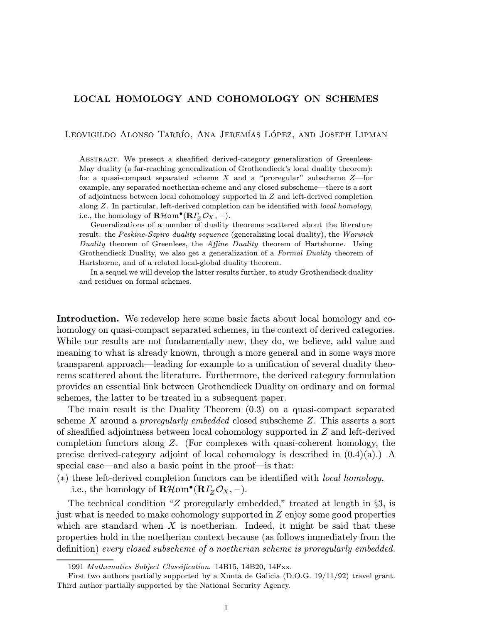## LOCAL HOMOLOGY AND COHOMOLOGY ON SCHEMES

Leovigildo Alonso Tarrío, Ana Jeremías López, and Joseph Lipman

Abstract. We present a sheafified derived-category generalization of Greenlees-May duality (a far-reaching generalization of Grothendieck's local duality theorem): for a quasi-compact separated scheme  $X$  and a "proregular" subscheme  $Z$ —for example, any separated noetherian scheme and any closed subscheme—there is a sort of adjointness between local cohomology supported in Z and left-derived completion along Z. In particular, left-derived completion can be identified with local homology, i.e., the homology of  $\mathbf{R}\mathcal{H}$ om $\bullet(\mathbf{R}\Gamma_z\mathcal{O}_X, -)$ .

Generalizations of a number of duality theorems scattered about the literature result: the Peskine-Szpiro duality sequence (generalizing local duality), the Warwick Duality theorem of Greenlees, the Affine Duality theorem of Hartshorne. Using Grothendieck Duality, we also get a generalization of a Formal Duality theorem of Hartshorne, and of a related local-global duality theorem.

In a sequel we will develop the latter results further, to study Grothendieck duality and residues on formal schemes.

Introduction. We redevelop here some basic facts about local homology and cohomology on quasi-compact separated schemes, in the context of derived categories. While our results are not fundamentally new, they do, we believe, add value and meaning to what is already known, through a more general and in some ways more transparent approach—leading for example to a unification of several duality theorems scattered about the literature. Furthermore, the derived category formulation provides an essential link between Grothendieck Duality on ordinary and on formal schemes, the latter to be treated in a subsequent paper.

The main result is the Duality Theorem (0.3) on a quasi-compact separated scheme X around a *proregularly embedded* closed subscheme  $Z$ . This asserts a sort of sheafified adjointness between local cohomology supported in Z and left-derived completion functors along Z. (For complexes with quasi-coherent homology, the precise derived-category adjoint of local cohomology is described in  $(0.4)(a)$ .) A special case—and also a basic point in the proof—is that:

(∗) these left-derived completion functors can be identified with local homology,

i.e., the homology of  $\mathbf{R}\mathcal{H}$ om $\bullet(\mathbf{R}\Gamma_Z\mathcal{O}_X,-)$ .

The technical condition "Z proregularly embedded," treated at length in §3, is just what is needed to make cohomology supported in Z enjoy some good properties which are standard when  $X$  is noetherian. Indeed, it might be said that these properties hold in the noetherian context because (as follows immediately from the definition) every closed subscheme of a noetherian scheme is proregularly embedded.

<sup>1991</sup> Mathematics Subject Classification. 14B15, 14B20, 14Fxx.

First two authors partially supported by a Xunta de Galicia (D.O.G. 19/11/92) travel grant. Third author partially supported by the National Security Agency.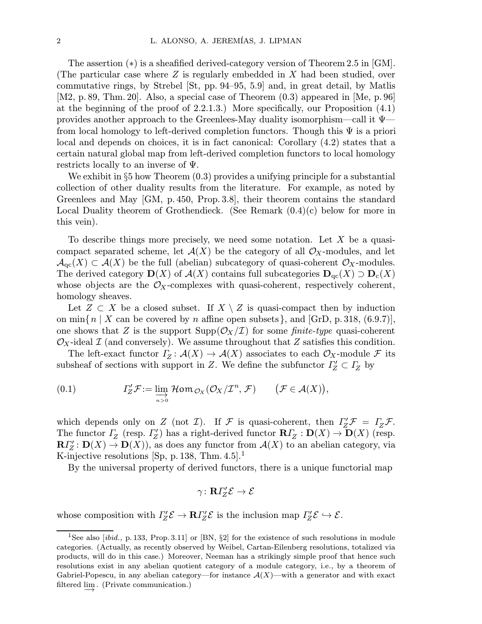The assertion (∗) is a sheafified derived-category version of Theorem 2.5 in [GM]. (The particular case where  $Z$  is regularly embedded in  $X$  had been studied, over commutative rings, by Strebel [St, pp. 94–95, 5.9] and, in great detail, by Matlis [M2, p. 89, Thm. 20]. Also, a special case of Theorem (0.3) appeared in [Me, p.96] at the beginning of the proof of 2.2.1.3.) More specifically, our Proposition (4.1) provides another approach to the Greenlees-May duality isomorphism—call it Ψ from local homology to left-derived completion functors. Though this  $\Psi$  is a priori local and depends on choices, it is in fact canonical: Corollary (4.2) states that a certain natural global map from left-derived completion functors to local homology restricts locally to an inverse of  $\Psi$ .

We exhibit in  $\S5$  how Theorem  $(0.3)$  provides a unifying principle for a substantial collection of other duality results from the literature. For example, as noted by Greenlees and May [GM, p.450, Prop. 3.8], their theorem contains the standard Local Duality theorem of Grothendieck. (See Remark  $(0.4)(c)$  below for more in this vein).

To describe things more precisely, we need some notation. Let  $X$  be a quasicompact separated scheme, let  $\mathcal{A}(X)$  be the category of all  $\mathcal{O}_X$ -modules, and let  $\mathcal{A}_{\mathrm{qc}}(X) \subset \mathcal{A}(X)$  be the full (abelian) subcategory of quasi-coherent  $\mathcal{O}_X$ -modules. The derived category  $\mathbf{D}(X)$  of  $\mathcal{A}(X)$  contains full subcategories  $\mathbf{D}_{\text{qc}}(X) \supset \mathbf{D}_{\text{c}}(X)$ whose objects are the  $\mathcal{O}_X$ -complexes with quasi-coherent, respectively coherent, homology sheaves.

Let  $Z \subset X$  be a closed subset. If  $X \setminus Z$  is quasi-compact then by induction on min $\{n \mid X \text{ can be covered by } n \text{ affine open subsets}\},\$  and  $[\text{GrD, p. 318}, (6.9.7)],$ one shows that Z is the support  $\text{Supp}(\mathcal{O}_X/\mathcal{I})$  for some finite-type quasi-coherent  $\mathcal{O}_X$ -ideal  $\mathcal I$  (and conversely). We assume throughout that Z satisfies this condition.

The left-exact functor  $\varGamma_Z : \mathcal{A}(X) \to \mathcal{A}(X)$  associates to each  $\mathcal{O}_X$ -module  $\mathcal F$  its subsheaf of sections with support in Z. We define the subfunctor  $\Gamma Z \subset Z$  by

(0.1) 
$$
\Gamma'_Z \mathcal{F} := \varinjlim_{n>0} \mathcal{H}om_{\mathcal{O}_X}(\mathcal{O}_X/\mathcal{I}^n, \mathcal{F}) \qquad (\mathcal{F} \in \mathcal{A}(X)),
$$

which depends only on Z (not I). If F is quasi-coherent, then  $\Gamma_Z' \mathcal{F} = \Gamma_Z \mathcal{F}$ . The functor  $\Gamma$ <sub>Z</sub> (resp.  $\Gamma$ <sup>'</sup><sub>Z</sub>) has a right-derived functor  $R\Gamma$ <sup>'</sup><sub>Z</sub> :  $D(X) \to D(X)$  (resp.  $\mathbf{R}\Gamma'_{Z} : \mathbf{D}(X) \to \mathbf{D}(X)$ , as does any functor from  $\mathcal{A}(X)$  to an abelian category, via K-injective resolutions [Sp, p. 138, Thm.  $4.5$ ].<sup>1</sup>

By the universal property of derived functors, there is a unique functorial map

$$
\gamma\colon \mathbf{R} \varGamma_Z' \mathcal{E} \to \mathcal{E}
$$

whose composition with  $\Gamma'_{Z} \mathcal{E} \to \mathbf{R} \Gamma'_{Z} \mathcal{E}$  is the inclusion map  $\Gamma'_{Z} \mathcal{E} \hookrightarrow \mathcal{E}$ .

<sup>&</sup>lt;sup>1</sup>See also [*ibid.*, p. 133, Prop. 3.11] or [BN,  $\S2$ ] for the existence of such resolutions in module categories. (Actually, as recently observed by Weibel, Cartan-Eilenberg resolutions, totalized via products, will do in this case.) Moreover, Neeman has a strikingly simple proof that hence such resolutions exist in any abelian quotient category of a module category, i.e., by a theorem of Gabriel-Popescu, in any abelian category—for instance  $\mathcal{A}(X)$ —with a generator and with exact filtered lim<sub>→</sub> (Private communication.)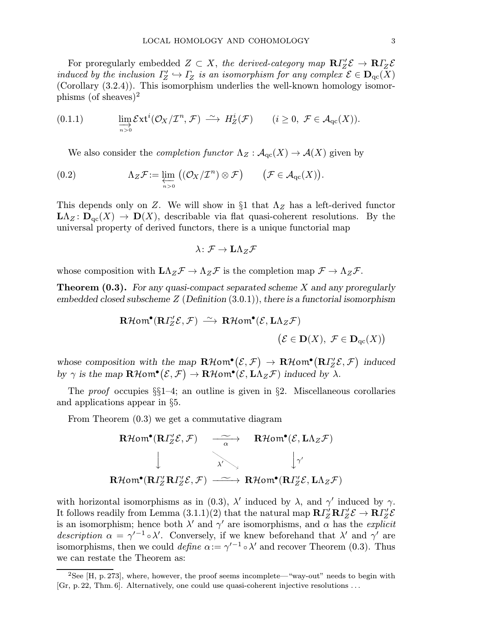For proregularly embedded  $Z \subset X$ , the derived-category map  $\mathbb{R}\Gamma Z' \mathcal{E} \to \mathbb{R}\Gamma Z Z$ induced by the inclusion  $\Gamma'_{Z} \hookrightarrow \Gamma_{Z}$  is an isomorphism for any complex  $\mathcal{E} \in \mathbf{D}_{\mathrm{qc}}(X)$ (Corollary (3.2.4)). This isomorphism underlies the well-known homology isomorphisms (of sheaves)<sup>2</sup>

(0.1.1) 
$$
\lim_{n>0} \mathcal{E}xt^{i}(\mathcal{O}_{X}/\mathcal{I}^{n}, \mathcal{F}) \stackrel{\sim}{\longrightarrow} H^{i}_{Z}(\mathcal{F}) \qquad (i \geq 0, \ \mathcal{F} \in \mathcal{A}_{\mathrm{qc}}(X)).
$$

We also consider the *completion functor*  $\Lambda_Z : \mathcal{A}_{\mathrm{qc}}(X) \to \mathcal{A}(X)$  given by

(0.2) 
$$
\Lambda_Z \mathcal{F} := \varprojlim_{n>0} ((\mathcal{O}_X/\mathcal{I}^n) \otimes \mathcal{F}) \qquad (\mathcal{F} \in \mathcal{A}_{\mathrm{qc}}(X)).
$$

This depends only on Z. We will show in §1 that  $\Lambda_Z$  has a left-derived functor  $\mathbf{L}\Lambda_Z\colon \mathbf{D}_{\mathrm{qc}}(X) \to \mathbf{D}(X)$ , describable via flat quasi-coherent resolutions. By the universal property of derived functors, there is a unique functorial map

$$
\lambda\colon \mathcal{F}\to \mathbf{L}\Lambda_Z\mathcal{F}
$$

whose composition with  $L\Lambda_Z\mathcal{F} \to \Lambda_Z\mathcal{F}$  is the completion map  $\mathcal{F} \to \Lambda_Z\mathcal{F}$ .

**Theorem (0.3).** For any quasi-compact separated scheme  $X$  and any proregularly embedded closed subscheme  $Z$  (Definition  $(3.0.1)$ ), there is a functorial isomorphism

$$
\mathbf{R}\mathcal{H}\text{om}^{\bullet}(\mathbf{R}\Gamma'_{Z}\mathcal{E},\mathcal{F}) \stackrel{\sim}{\longrightarrow} \mathbf{R}\mathcal{H}\text{om}^{\bullet}(\mathcal{E},\mathbf{L}\Lambda_{Z}\mathcal{F})
$$

$$
(\mathcal{E} \in \mathbf{D}(X), \ \mathcal{F} \in \mathbf{D}_{\mathrm{qc}}(X))
$$

whose composition with the map  $\mathbf{R}\mathcal{H}$ om $\bullet (\mathcal{E}, \mathcal{F}) \to \mathbf{R}\mathcal{H}$ om $\bullet (\mathbf{R}\Gamma'_{Z}\mathcal{E}, \mathcal{F})$  induced by  $\gamma$  is the map  $\mathbf{R}\mathcal{H}$ om<sup>o</sup> $(\mathcal{E}, \mathcal{F}) \to \mathbf{R}\mathcal{H}$ om<sup>o</sup> $(\mathcal{E}, L\Lambda_Z\mathcal{F})$  induced by  $\lambda$ .

The *proof* occupies  $\S_1 - 4$ ; an outline is given in  $\S_2$ . Miscellaneous corollaries and applications appear in §5.

From Theorem (0.3) we get a commutative diagram

$$
\begin{array}{ccc}\n\textbf{R}\mathcal{H}\text{om}^{\bullet}(\textbf{R}\Gamma_{Z}^{\prime}\mathcal{E},\mathcal{F}) & \xrightarrow[\alpha]{\sim} & \textbf{R}\mathcal{H}\text{om}^{\bullet}(\mathcal{E},\textbf{L}\Lambda_{Z}\mathcal{F}) \\
&\downarrow & & \downarrow \gamma \\
\textbf{R}\mathcal{H}\text{om}^{\bullet}(\textbf{R}\Gamma_{Z}^{\prime}\textbf{R}\Gamma_{Z}^{\prime}\mathcal{E},\mathcal{F}) & \xrightarrow{\sim} & \textbf{R}\mathcal{H}\text{om}^{\bullet}(\textbf{R}\Gamma_{Z}^{\prime}\mathcal{E},\textbf{L}\Lambda_{Z}\mathcal{F})\n\end{array}
$$

with horizontal isomorphisms as in (0.3),  $\lambda'$  induced by  $\lambda$ , and  $\gamma'$  induced by  $\gamma$ . It follows readily from Lemma (3.1.1)(2) that the natural map  $\mathbf{R}\Gamma_{\!Z}'\mathbf{R}\Gamma_{\!Z}'\mathcal{E} \to \mathbf{R}\Gamma_{\!Z}'\mathcal{E}$ is an isomorphism; hence both  $\lambda'$  and  $\gamma'$  are isomorphisms, and  $\alpha$  has the *explicit* description  $\alpha = \gamma^{-1} \circ \lambda'$ . Conversely, if we knew beforehand that  $\lambda'$  and  $\gamma'$  are isomorphisms, then we could define  $\alpha := \gamma'^{-1} \circ \lambda'$  and recover Theorem (0.3). Thus we can restate the Theorem as:

<sup>&</sup>lt;sup>2</sup>See [H, p. 273], where, however, the proof seems incomplete—"way-out" needs to begin with [Gr, p. 22, Thm. 6]. Alternatively, one could use quasi-coherent injective resolutions ...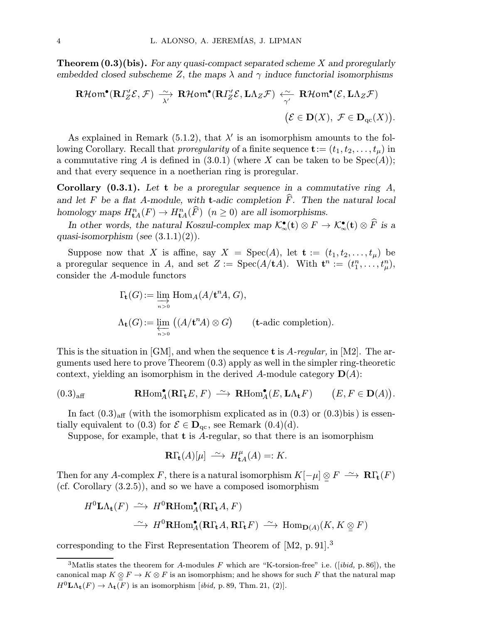**Theorem**  $(0.3)(bis)$ **.** For any quasi-compact separated scheme X and proregularly embedded closed subscheme Z, the maps  $\lambda$  and  $\gamma$  induce functorial isomorphisms

$$
\mathbf{R}\mathcal{H}\mathsf{om}^{\bullet}(\mathbf{R}\Gamma_{\!Z}^{\prime}\mathcal{E},\mathcal{F})\xrightarrow[\lambda^{\prime}]{\sim}\mathbf{R}\mathcal{H}\mathsf{om}^{\bullet}(\mathbf{R}\Gamma_{\!Z}^{\prime}\mathcal{E},\mathbf{L}\Lambda_{Z}\mathcal{F})\xleftarrow[\gamma^{\prime}]{\mathbf{R}\mathcal{H}\mathsf{om}^{\bullet}(\mathcal{E},\mathbf{L}\Lambda_{Z}\mathcal{F})}(\mathcal{E}\in\mathbf{D}(X),\ \mathcal{F}\in\mathbf{D}_{\mathrm{qc}}(X)).
$$

As explained in Remark (5.1.2), that  $\lambda'$  is an isomorphism amounts to the following Corollary. Recall that *proregularity* of a finite sequence  $\mathbf{t} := (t_1, t_2, \ldots, t_u)$  in a commutative ring A is defined in  $(3.0.1)$  (where X can be taken to be  $Spec(A)$ ); and that every sequence in a noetherian ring is proregular.

**Corollary (0.3.1).** Let t be a proregular sequence in a commutative ring  $A$ , and let F be a flat A-module, with **t**-adic completion  $\widehat{F}$ . Then the natural local homology maps  $H_{\mathbf{t}A}^n(F) \to H_{\mathbf{t}A}^n(\widehat{F})$   $(n \geq 0)$  are all isomorphisms.

In other words, the natural Koszul-complex map  $\mathcal{K}_{\infty}^{\bullet}(\mathbf{t}) \otimes F \to \mathcal{K}_{\infty}^{\bullet}(\mathbf{t}) \otimes \widehat{F}$  is a quasi-isomorphism (see  $(3.1.1)(2)$ ).

Suppose now that X is affine, say  $X = \text{Spec}(A)$ , let  $\mathbf{t} := (t_1, t_2, \ldots, t_\mu)$  be a proregular sequence in A, and set  $Z := \text{Spec}(A/\mathbf{t}A)$ . With  $\mathbf{t}^n := (t_1^n, \ldots, t_\mu^n)$ , consider the A-module functors

$$
\Gamma_{\mathbf{t}}(G) := \varinjlim_{n>0} \text{Hom}_{A}(A/\mathbf{t}^{n} A, G),
$$
  

$$
\Lambda_{\mathbf{t}}(G) := \varprojlim_{n>0} ((A/\mathbf{t}^{n} A) \otimes G) \qquad (\mathbf{t} \text{-adic completion}).
$$

This is the situation in [GM], and when the sequence **t** is  $A$ -regular, in [M2]. The arguments used here to prove Theorem (0.3) apply as well in the simpler ring-theoretic context, yielding an isomorphism in the derived A-module category  $\mathbf{D}(A)$ :

$$
(0.3)_{\text{aff}} \qquad \qquad \mathbf{R}\text{Hom}_{A}^{\bullet}(\mathbf{R}\Gamma_{\mathbf{t}}E, F) \ \stackrel{\sim}{\longrightarrow} \ \mathbf{R}\text{Hom}_{A}^{\bullet}(E, \mathbf{L}\Lambda_{\mathbf{t}}F) \qquad (E, F \in \mathbf{D}(A)).
$$

In fact  $(0.3)_{\text{aff}}$  (with the isomorphism explicated as in  $(0.3)$  or  $(0.3)$ bis) is essentially equivalent to (0.3) for  $\mathcal{E} \in \mathbf{D}_{\text{ac}}$ , see Remark (0.4)(d).

Suppose, for example, that  $t$  is A-regular, so that there is an isomorphism

$$
\mathbf{R}\Gamma_{\mathbf{t}}(A)[\mu] \ \stackrel{\sim}{\longrightarrow} H_{\mathbf{t}A}^{\mu}(A) =: K.
$$

Then for any A-complex F, there is a natural isomorphism  $K[-\mu] \otimes F \longrightarrow \mathbf{R}\Gamma_{\mathbf{t}}(F)$ (cf. Corollary (3.2.5)), and so we have a composed isomorphism

$$
H^{0}\mathbf{L}\Lambda_{\mathbf{t}}(F) \xrightarrow{\sim} H^{0}\mathbf{R}\text{Hom}_{A}^{\bullet}(\mathbf{R}\Gamma_{\mathbf{t}}A, F)
$$
  

$$
\xrightarrow{\sim} H^{0}\mathbf{R}\text{Hom}_{A}^{\bullet}(\mathbf{R}\Gamma_{\mathbf{t}}A, \mathbf{R}\Gamma_{\mathbf{t}}F) \xrightarrow{\sim} \text{Hom}_{\mathbf{D}(A)}(K, K \otimes F)
$$

corresponding to the First Representation Theorem of [M2, p. 91].<sup>3</sup>

<sup>&</sup>lt;sup>3</sup>Matlis states the theorem for A-modules F which are "K-torsion-free" i.e. ([*ibid*, p. 86]), the canonical map  $K \underset{\cong}{\otimes} F \to K \otimes F$  is an isomorphism; and he shows for such F that the natural map  $H^{0}L\Lambda_{\mathbf{t}}(F) \to \Lambda_{\mathbf{t}}(F)$  is an isomorphism [*ibid*, p. 89, Thm. 21, (2)].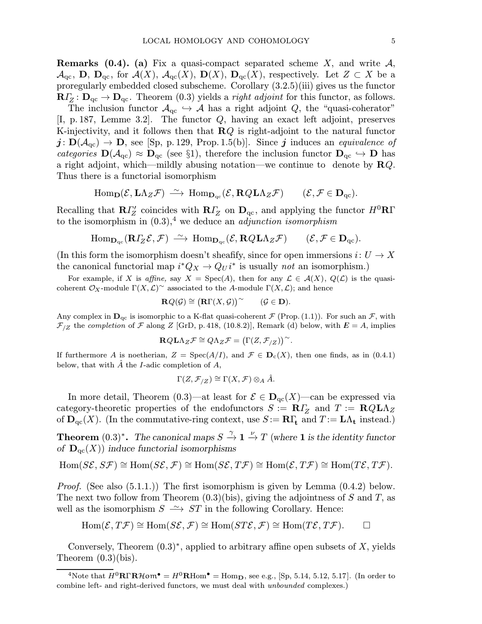**Remarks (0.4).** (a) Fix a quasi-compact separated scheme X, and write  $\mathcal{A}$ ,  $\mathcal{A}_{\text{qc}}, \mathbf{D}, \mathbf{D}_{\text{qc}}, \text{ for } \mathcal{A}(X), \mathcal{A}_{\text{qc}}(X), \mathbf{D}(X), \mathbf{D}_{\text{qc}}(X), \text{ respectively.}$  Let  $Z \subset X$  be a proregularly embedded closed subscheme. Corollary (3.2.5)(iii) gives us the functor  $\mathbf{R}\Gamma_Z : \mathbf{D}_{\text{qc}} \to \mathbf{D}_{\text{qc}}$ . Theorem (0.3) yields a *right adjoint* for this functor, as follows.

The inclusion functor  $A_{qc} \hookrightarrow A$  has a right adjoint Q, the "quasi-coherator" [I, p. 187, Lemme 3.2]. The functor Q, having an exact left adjoint, preserves K-injectivity, and it follows then that  $\mathbf{R}Q$  is right-adjoint to the natural functor  $j: D(\mathcal{A}_{\text{qc}}) \to D$ , see [Sp, p. 129, Prop. 1.5(b)]. Since j induces an equivalence of categories  $\mathbf{D}(\mathcal{A}_{\mathrm{qc}}) \approx \mathbf{D}_{\mathrm{qc}}$  (see §1), therefore the inclusion functor  $\mathbf{D}_{\mathrm{qc}} \hookrightarrow \mathbf{D}$  has a right adjoint, which—mildly abusing notation—we continue to denote by  $\mathbf{R}Q$ . Thus there is a functorial isomorphism

$$
\mathrm{Hom}_{\mathbf{D}}(\mathcal{E}, \mathbf{L} \Lambda_Z \mathcal{F}) \; \xrightarrow{\sim} \; \mathrm{Hom}_{\mathbf{D}_{qc}}(\mathcal{E}, \mathbf{R} Q \mathbf{L} \Lambda_Z \mathcal{F}) \qquad (\mathcal{E}, \mathcal{F} \in \mathbf{D}_{qc}).
$$

Recalling that  $R\Gamma'_{Z}$  coincides with  $R\Gamma'_{Z}$  on  $D_{\text{qc}}$ , and applying the functor  $H^{0}R\Gamma$ to the isomorphism in  $(0.3)$ ,<sup>4</sup> we deduce an *adjunction isomorphism* 

$$
\mathrm{Hom}_{\mathbf{D}_{\mathrm{qc}}}(\mathbf{R} \varGamma_{Z} \mathcal{E}, \mathcal{F}) \, \xrightarrow{\,\sim\,} \, \mathrm{Hom}_{\mathbf{D}_{\mathrm{qc}}}(\mathcal{E}, \mathbf{R} \mathcal{Q} \mathbf{L} \Lambda_{Z} \mathcal{F}) \qquad (\mathcal{E}, \mathcal{F} \in \mathbf{D}_{\mathrm{qc}}).
$$

(In this form the isomorphism doesn't sheafify, since for open immersions  $i: U \to X$ the canonical functorial map  $i^*Q_X \to Q_U i^*$  is usually not an isomorphism.)

For example, if X is affine, say  $X = \text{Spec}(A)$ , then for any  $\mathcal{L} \in \mathcal{A}(X)$ ,  $Q(\mathcal{L})$  is the quasicoherent  $\mathcal{O}_X$ -module  $\Gamma(X, \mathcal{L})^{\sim}$  associated to the A-module  $\Gamma(X, \mathcal{L})$ ; and hence

$$
\mathbf{R} Q(\mathcal{G}) \cong \big( \mathbf{R} \Gamma(X, \mathcal{G}) \big)^{\sim} \qquad (\mathcal{G} \in \mathbf{D}).
$$

Any complex in  $\mathbf{D}_{\text{qc}}$  is isomorphic to a K-flat quasi-coherent  $\mathcal F$  (Prop. (1.1)). For such an  $\mathcal F$ , with  $\mathcal{F}_{Z}$  the completion of  $\mathcal F$  along  $Z$  [GrD, p. 418, (10.8.2)], Remark (d) below, with  $E = A$ , implies

$$
\mathbf{R} Q \mathbf{L} \Lambda_Z \mathcal{F} \cong Q \Lambda_Z \mathcal{F} = \big( \Gamma(Z, \mathcal{F}_{/Z}) \big)^\sim.
$$

If furthermore A is noetherian,  $Z = \text{Spec}(A/I)$ , and  $\mathcal{F} \in \mathbf{D}_{c}(X)$ , then one finds, as in (0.4.1) below, that with  $\ddot{A}$  the *I*-adic completion of  $A$ ,

$$
\Gamma(Z,\mathcal{F}_{/Z}) \cong \Gamma(X,\mathcal{F}) \otimes_A \hat{A}.
$$

In more detail, Theorem (0.3)—at least for  $\mathcal{E} \in \mathbf{D}_{qc}(X)$ —can be expressed via category-theoretic properties of the endofunctors  $S := \mathbb{R} \Gamma_Z$  and  $T := \mathbb{R} Q \mathbb{L} \Lambda_Z$ of  $\mathbf{D}_{\mathrm{qc}}(X)$ . (In the commutative-ring context, use  $S := \mathbf{R}\Gamma_t$  and  $T := \mathbf{L}\Lambda_t$  instead.)

**Theorem**  $(0.3)^*$ . The canonical maps  $S \stackrel{\gamma}{\to} \mathbf{1} \stackrel{\nu}{\to} T$  (where **1** is the identity functor of  $\mathbf{D}_{\mathrm{qc}}(X)$  induce functorial isomorphisms

$$
\operatorname{Hom}(S\mathcal{E},S\mathcal{F}) \cong \operatorname{Hom}(S\mathcal{E},\mathcal{F}) \cong \operatorname{Hom}(S\mathcal{E},T\mathcal{F}) \cong \operatorname{Hom}(\mathcal{E},T\mathcal{F}) \cong \operatorname{Hom}(T\mathcal{E},T\mathcal{F}).
$$

*Proof.* (See also  $(5.1.1.)$ ) The first isomorphism is given by Lemma  $(0.4.2)$  below. The next two follow from Theorem  $(0.3)(bis)$ , giving the adjointness of S and T, as well as the isomorphism  $S \rightarrow \mathcal{S}$  in the following Corollary. Hence:

$$
\operatorname{Hom}(\mathcal{E},T\mathcal{F})\cong \operatorname{Hom}(S\mathcal{E},\mathcal{F})\cong \operatorname{Hom}(ST\mathcal{E},\mathcal{F})\cong \operatorname{Hom}(T\mathcal{E},T\mathcal{F}).\qquad \Box
$$

Conversely, Theorem  $(0.3)$ <sup>\*</sup>, applied to arbitrary affine open subsets of X, yields Theorem  $(0.3)(bis)$ .

<sup>4</sup>Note that  $H^0\mathbf{R}\Gamma\mathbf{R}\mathcal{H}\mathbf{om}^\bullet = H^0\mathbf{R}\text{Hom}^\bullet = \text{Hom}_{\mathbf{D}}$ , see e.g., [Sp, 5.14, 5.12, 5.17]. (In order to combine left- and right-derived functors, we must deal with unbounded complexes.)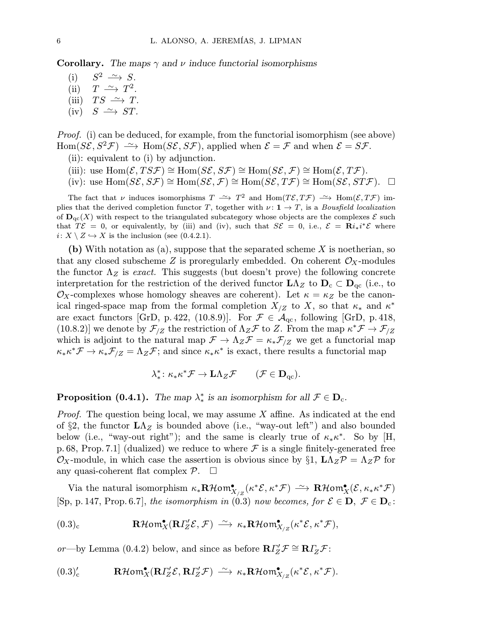**Corollary.** The maps  $\gamma$  and  $\nu$  induce functorial isomorphisms

(i)  $S^2 \longrightarrow S$ . (ii)  $T \longrightarrow T^2$ . (iii)  $TS \rightarrow T$ .  $(iv)$   $S \rightarrow ST$ .

Proof. (i) can be deduced, for example, from the functorial isomorphism (see above) Hom( $S\mathcal{E}, S^2\mathcal{F}$ )  $\longrightarrow$  Hom( $S\mathcal{E}, S\mathcal{F}$ ), applied when  $\mathcal{E} = \mathcal{F}$  and when  $\mathcal{E} = S\mathcal{F}$ .

- (ii): equivalent to (i) by adjunction.
- (iii): use  $\text{Hom}(\mathcal{E},T S \mathcal{F}) \cong \text{Hom}(S \mathcal{E}, S \mathcal{F}) \cong \text{Hom}(S \mathcal{E}, \mathcal{F}) \cong \text{Hom}(\mathcal{E}, T \mathcal{F}).$
- (iv): use  $\text{Hom}(S\mathcal{E}, S\mathcal{F}) \cong \text{Hom}(S\mathcal{E}, \mathcal{F}) \cong \text{Hom}(S\mathcal{E}, T\mathcal{F}) \cong \text{Hom}(S\mathcal{E}, ST\mathcal{F})$ .  $\square$

The fact that v induces isomorphisms  $T \rightharpoonup T^2$  and  $\text{Hom}(T\mathcal{E}, T\mathcal{F}) \rightharpoonup \text{Hom}(\mathcal{E}, T\mathcal{F})$  implies that the derived completion functor T, together with  $\nu: \mathbf{1} \to T$ , is a *Bousfield localization* of  $\mathbf{D}_{\text{qc}}(X)$  with respect to the triangulated subcategory whose objects are the complexes  $\mathcal E$  such that  $T\mathcal{E} = 0$ , or equivalently, by (iii) and (iv), such that  $S\mathcal{E} = 0$ , i.e.,  $\mathcal{E} = \mathbf{R}i_*i^*\mathcal{E}$  where  $i: X \setminus Z \hookrightarrow X$  is the inclusion (see (0.4.2.1).

(b) With notation as (a), suppose that the separated scheme  $X$  is noetherian, so that any closed subscheme Z is proregularly embedded. On coherent  $\mathcal{O}_X$ -modules the functor  $\Lambda_Z$  is exact. This suggests (but doesn't prove) the following concrete interpretation for the restriction of the derived functor  $\mathbf{L}\Lambda_Z$  to  $\mathbf{D}_c \subset \mathbf{D}_{qc}$  (i.e., to  $\mathcal{O}_X$ -complexes whose homology sheaves are coherent). Let  $\kappa = \kappa_Z$  be the canonical ringed-space map from the formal completion  $X_{Z}$  to X, so that  $\kappa_*$  and  $\kappa^*$ are exact functors [GrD, p. 422, (10.8.9)]. For  $\mathcal{F} \in \mathcal{A}_{qc}$ , following [GrD, p. 418, (10.8.2)] we denote by  $\mathcal{F}_{Z}$  the restriction of  $\Lambda_Z\mathcal{F}$  to Z. From the map  $\kappa^*\mathcal{F}\to\mathcal{F}_{Z}$ which is adjoint to the natural map  $\mathcal{F} \to \Lambda_Z \mathcal{F} = \kappa_* \mathcal{F}_{/Z}$  we get a functorial map  $\kappa_* \kappa^* \mathcal{F} \to \kappa_* \mathcal{F}_{Z} = \Lambda_Z \mathcal{F}$ ; and since  $\kappa_* \kappa^*$  is exact, there results a functorial map

$$
\lambda^*_{*} \colon \kappa_{*} \kappa^* \mathcal{F} \to \mathbf{L} \Lambda_Z \mathcal{F} \qquad (\mathcal{F} \in \mathbf{D}_{\mathrm{qc}}).
$$

**Proposition** (0.4.1). The map  $\lambda^*_*$  is an isomorphism for all  $\mathcal{F} \in \mathbf{D}_c$ .

*Proof.* The question being local, we may assume  $X$  affine. As indicated at the end of §2, the functor  $\mathbf{L}\Lambda_Z$  is bounded above (i.e., "way-out left") and also bounded below (i.e., "way-out right"); and the same is clearly true of  $\kappa_* \kappa^*$ . So by [H, p. 68, Prop. 7.1 (dualized) we reduce to where  $\mathcal F$  is a single finitely-generated free  $\mathcal{O}_X$ -module, in which case the assertion is obvious since by §1,  $L\Lambda_Z\mathcal{P} = \Lambda_Z\mathcal{P}$  for any quasi-coherent flat complex  $\mathcal{P}$ .  $\Box$ 

Via the natural isomorphism  $\kappa_*\mathbf{R}\mathcal{H}\mathbf{om}^\bullet_{X/Z}(\kappa^*\mathcal{E},\kappa^*\mathcal{F}) \xrightarrow{\sim} \mathbf{R}\mathcal{H}\mathbf{om}^\bullet_X(\mathcal{E},\kappa_*\kappa^*\mathcal{F})$ [Sp, p. 147, Prop. 6.7], the isomorphism in (0.3) now becomes, for  $\mathcal{E} \in \mathbf{D}$ ,  $\mathcal{F} \in \mathbf{D}_c$ :

$$
(0.3)_{\rm c} \qquad \qquad \mathbf{R}\mathcal{H}\text{om}_{X}^{\bullet}(\mathbf{R}\Gamma_{Z}^{\prime}\mathcal{E},\mathcal{F}) \ \stackrel{\sim}{\longrightarrow} \ \kappa_*\mathbf{R}\mathcal{H}\text{om}_{X_{/Z}}^{\bullet}(\kappa^*\mathcal{E},\kappa^*\mathcal{F}),
$$

or—by Lemma (0.4.2) below, and since as before  $\mathbf{R} \Gamma'_{Z} \mathcal{F} \cong \mathbf{R} \Gamma_{Z} \mathcal{F}$ :

$$
(0.3)'_{c} \qquad \mathbf{R}\mathcal{H}\mathbf{om}^{\bullet}_{X}(\mathbf{R}\Gamma_{Z}'\mathcal{E},\mathbf{R}\Gamma_{Z}'\mathcal{F}) \longrightarrow \kappa_{*}\mathbf{R}\mathcal{H}\mathbf{om}^{\bullet}_{X_{/Z}}(\kappa^{*}\mathcal{E},\kappa^{*}\mathcal{F}).
$$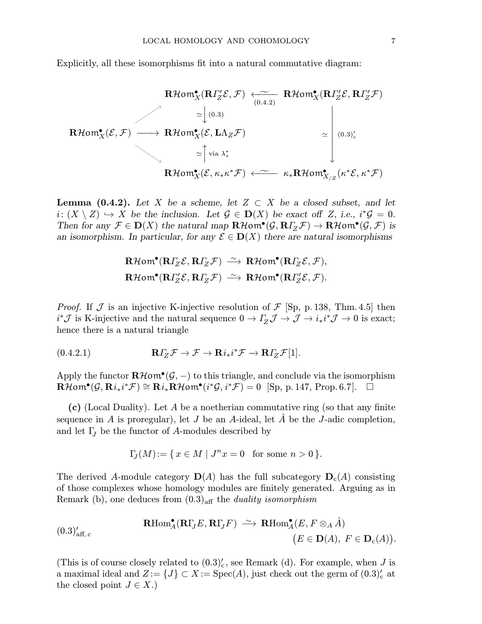Explicitly, all these isomorphisms fit into a natural commutative diagram:

$$
\mathbf{R}\mathcal{H}\text{om}_{X}^{\bullet}(\mathbf{R}\Gamma_{Z}^{\prime}\mathcal{E},\mathcal{F}) \xleftarrow{\sim} \mathbf{R}\mathcal{H}\text{om}_{X}^{\bullet}(\mathbf{R}\Gamma_{Z}^{\prime}\mathcal{E},\mathbf{R}\Gamma_{Z}^{\prime}\mathcal{F})
$$
\n
$$
\simeq \begin{bmatrix}\n\text{0.3)} & \\
\text{0.4.2}\n\end{bmatrix}
$$
\n
$$
\mathbf{R}\mathcal{H}\text{om}_{X}^{\bullet}(\mathcal{E},\mathcal{F}) \longrightarrow \mathbf{R}\mathcal{H}\text{om}_{X}^{\bullet}(\mathcal{E},\mathbf{L}\Lambda_{Z}\mathcal{F}) \simeq \begin{bmatrix}\n\text{0.3} \\
\text{0.3} \\
\text{0.4} \\
\text{0.5}\n\end{bmatrix}
$$
\n
$$
\simeq \begin{bmatrix}\n\text{via }\lambda_{*}^{*} & \\
\text{0.6} \\
\text{0.7}\n\end{bmatrix}
$$
\n
$$
\simeq \begin{bmatrix}\n\text{via }\lambda_{*}^{*} & \\
\text{0.7}\n\end{bmatrix}
$$
\n
$$
\simeq \begin{bmatrix}\n\text{via }\lambda_{*}^{*} & \\
\text{0.8}\n\end{bmatrix}
$$

**Lemma (0.4.2).** Let X be a scheme, let  $Z \subset X$  be a closed subset, and let  $i: (X \setminus Z) \hookrightarrow X$  be the inclusion. Let  $\mathcal{G} \in \mathbf{D}(X)$  be exact off Z, i.e.,  $i^*\mathcal{G} = 0$ . Then for any  $\mathcal{F} \in \mathbf{D}(X)$  the natural map  $\mathbf{R}\mathcal{H}$ om $\mathbf{C}(\mathcal{G},\mathbf{R}\Gamma_Z\mathcal{F}) \to \mathbf{R}\mathcal{H}$ om $\mathbf{C}(\mathcal{G},\mathcal{F})$  is an isomorphism. In particular, for any  $\mathcal{E} \in \mathbf{D}(X)$  there are natural isomorphisms

$$
\mathbf{R}\mathcal{H}\text{om}^{\bullet}(\mathbf{R}\Gamma_{Z}\mathcal{E},\mathbf{R}\Gamma_{Z}\mathcal{F}) \xrightarrow{\sim} \mathbf{R}\mathcal{H}\text{om}^{\bullet}(\mathbf{R}\Gamma_{Z}\mathcal{E},\mathcal{F}),
$$
  

$$
\mathbf{R}\mathcal{H}\text{om}^{\bullet}(\mathbf{R}\Gamma_{Z}'\mathcal{E},\mathbf{R}\Gamma_{Z}\mathcal{F}) \xrightarrow{\sim} \mathbf{R}\mathcal{H}\text{om}^{\bullet}(\mathbf{R}\Gamma_{Z}'\mathcal{E},\mathcal{F}).
$$

*Proof.* If J is an injective K-injective resolution of  $\mathcal{F}$  [Sp, p. 138, Thm. 4.5] then  $i^*J$  is K-injective and the natural sequence  $0 \to I_Z^J \mathcal{J} \to \mathcal{J} \to i_*i^*\mathcal{J} \to 0$  is exact; hence there is a natural triangle

(0.4.2.1) 
$$
\mathbf{R}\Gamma_Z\mathcal{F}\to\mathcal{F}\to\mathbf{R}i_*i^*\mathcal{F}\to\mathbf{R}\Gamma_Z\mathcal{F}[1].
$$

Apply the functor  $\mathbf{R}\mathcal{H}\mathbf{om}(\mathcal{G},-)$  to this triangle, and conclude via the isomorphism  $\mathbf{R}\mathcal{H}\mathsf{om}^{\bullet}(\mathcal{G},\mathbf{R}i_*i^*\mathcal{F})\cong \mathbf{R}i_*\mathbf{R}\mathcal{H}\mathsf{om}^{\bullet}(i^*\mathcal{G},i^*\mathcal{F})=0~~[\mathrm{Sp},\, \mathrm{p}.\, 147,\, \mathrm{Prop}.\, 6.7].$ 

(c) (Local Duality). Let A be a noetherian commutative ring (so that any finite sequence in  $A$  is proregular), let  $J$  be an  $A$ -ideal, let  $\overline{A}$  be the  $J$ -adic completion, and let  $\Gamma_J$  be the functor of A-modules described by

$$
\Gamma_{\!J}(M)\!:=\{\,x\in M\mid J^nx=0\ \ \, \text{for some }n>0\,\}.
$$

The derived A-module category  $\mathbf{D}(A)$  has the full subcategory  $\mathbf{D}_{c}(A)$  consisting of those complexes whose homology modules are finitely generated. Arguing as in Remark (b), one deduces from  $(0.3)_{\text{aff}}$  the *duality isomorphism* 

(0.3)<sub>aff,c</sub>'  
\n
$$
\mathbf{R}\mathrm{Hom}_{A}^{\bullet}(\mathbf{R}\Gamma_{J}E,\mathbf{R}\Gamma_{J}F) \xrightarrow{\sim} \mathbf{R}\mathrm{Hom}_{A}^{\bullet}(E,F\otimes_{A}\hat{A})
$$
\n
$$
(E\in \mathbf{D}(A),\ F\in \mathbf{D}_{c}(A)).
$$

(This is of course closely related to  $(0.3)'_c$ , see Remark (d). For example, when J is a maximal ideal and  $Z := \{J\} \subset X := \text{Spec}(A)$ , just check out the germ of  $(0.3)'_{c}$  at the closed point  $J \in X$ .)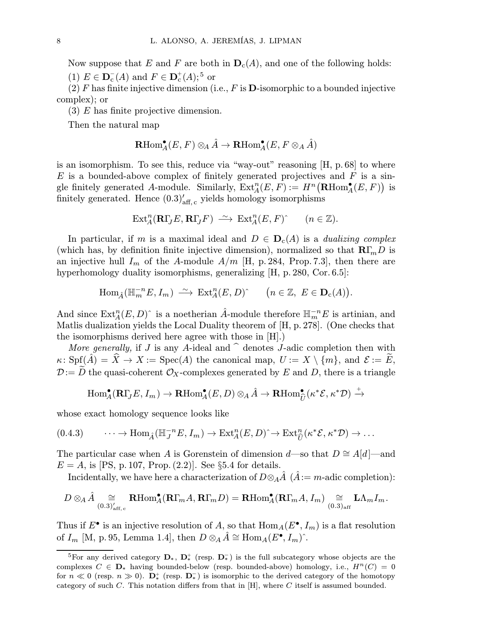Now suppose that E and F are both in  $D_c(A)$ , and one of the following holds:

(1)  $E \in \mathbf{D}_{c}^{-}(A)$  and  $F \in \mathbf{D}_{c}^{+}(A)$ ;<sup>5</sup> or

(2) F has finite injective dimension (i.e., F is  $\mathbf D$ -isomorphic to a bounded injective complex); or

(3) E has finite projective dimension.

Then the natural map

$$
\mathbf{R}\mathrm{Hom}_{A}^\bullet(E,F) \otimes_A \hat{A} \rightarrow \mathbf{R}\mathrm{Hom}_{A}^\bullet(E,F \otimes_A \hat{A})
$$

is an isomorphism. To see this, reduce via "way-out" reasoning  $[H, p.68]$  to where E is a bounded-above complex of finitely generated projectives and  $F$  is a single finitely generated A-module. Similarly,  $\text{Ext}_{A}^{n}(E, F) := H^{n}(\text{RHom}_{A}^{\bullet}(E, F))$  is finitely generated. Hence  $(0.3)'_{\text{aff}, c}$  yields homology isomorphisms

$$
\mathrm{Ext}^n_A(\mathbf{R}\Gamma_J E,\mathbf{R}\Gamma_J F) \xrightarrow{\sim} \mathrm{Ext}^n_A(E,F) \qquad (n \in \mathbb{Z}).
$$

In particular, if m is a maximal ideal and  $D \in \mathbf{D}_{c}(A)$  is a *dualizing complex* (which has, by definition finite injective dimension), normalized so that  $R\Gamma_m D$  is an injective hull  $I_m$  of the A-module  $A/m$  [H, p. 284, Prop. 7.3], then there are hyperhomology duality isomorphisms, generalizing [H, p. 280, Cor. 6.5]:

$$
\operatorname{Hom}_{\hat{A}}(\mathbb{H}_m^{-n}E, I_m) \xrightarrow{\sim} \operatorname{Ext}_A^n(E, D)^\wedge \qquad (n \in \mathbb{Z}, E \in \mathbf{D}_c(A)).
$$

And since  $\text{Ext}_{A}^{n}(E, D)$ <sup>^</sup> is a noetherian  $\hat{A}$ -module therefore  $\mathbb{H}_{m}^{-n}E$  is artinian, and Matlis dualization yields the Local Duality theorem of [H, p. 278]. (One checks that the isomorphisms derived here agree with those in [H].)

More generally, if J is any A-ideal and  $\hat{ }$  denotes J-adic completion then with  $\kappa: Spf(\hat{A}) = \hat{X} \to X := Spec(A)$  the canonical map,  $U := X \setminus \{m\}$ , and  $\mathcal{E} := E$ ,  $\mathcal{D}:=D$  the quasi-coherent  $\mathcal{O}_X$ -complexes generated by E and D, there is a triangle

$$
\operatorname{Hom}\nolimits^\bullet_A(\mathbf{R}\Gamma_J E, I_m) \to \mathbf{R}\operatorname{Hom}\nolimits^\bullet_A(E, D) \otimes_A \hat{A} \to \mathbf{R}\operatorname{Hom}\nolimits^\bullet_{\widehat{U}}(\kappa^* \mathcal{E}, \kappa^* \mathcal{D}) \xrightarrow{+}
$$

whose exact homology sequence looks like

$$
(0.4.3) \qquad \cdots \to \text{Hom}_{\hat{A}}(\mathbb{H}_{J}^{-n}E, I_{m}) \to \text{Ext}_{A}^{n}(E, D)^{\hat{}} \to \text{Ext}_{\hat{U}}^{n}(\kappa^{*}\mathcal{E}, \kappa^{*}\mathcal{D}) \to \ldots
$$

The particular case when A is Gorenstein of dimension d—so that  $D \cong A[d]$ —and  $E = A$ , is [PS, p. 107, Prop. (2.2)]. See §5.4 for details.

Incidentally, we have here a characterization of  $D \otimes_A \tilde{A}$  ( $\tilde{A} := m$ -adic completion):

$$
D \otimes_A \hat{A} \underset{(0.3)'_{\mathrm{aff}, \, c}}{\cong} \mathbf{R}\mathrm{Hom}_{A}^\bullet(\mathbf{R}\Gamma_m A, \mathbf{R}\Gamma_m D) = \mathbf{R}\mathrm{Hom}_{A}^\bullet(\mathbf{R}\Gamma_m A, I_m) \underset{(0.3)_{\mathrm{aff}}}{\cong} \mathbf{L}\Lambda_m I_m.
$$

Thus if  $E^{\bullet}$  is an injective resolution of A, so that  $\text{Hom}_A(E^{\bullet}, I_m)$  is a flat resolution of  $I_m$  [M, p. 95, Lemma 1.4], then  $D \otimes_A \hat{A} \cong \text{Hom}_A(E^{\bullet}, I_m)^{\hat{ }}$ .

<sup>&</sup>lt;sup>5</sup>For any derived category  $\mathbf{D}_*, \ \mathbf{D}_*^+$  (resp.  $\mathbf{D}_*^-$ ) is the full subcategory whose objects are the complexes  $C \in \mathbf{D}_{*}$  having bounded-below (resp. bounded-above) homology, i.e.,  $H^{n}(C)=0$ for  $n \ll 0$  (resp.  $n \gg 0$ ).  $\mathbf{D}_{\ast}^{+}$  (resp.  $\mathbf{D}_{\ast}^{-}$ ) is isomorphic to the derived category of the homotopy category of such  $C$ . This notation differs from that in  $[H]$ , where  $C$  itself is assumed bounded.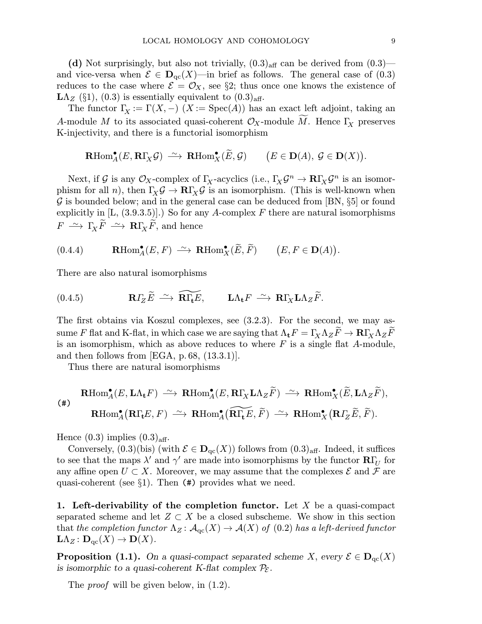(d) Not surprisingly, but also not trivially,  $(0.3)_{\text{aff}}$  can be derived from  $(0.3)$  and vice-versa when  $\mathcal{E} \in \mathbf{D}_{\mathrm{qc}}(X)$ —in brief as follows. The general case of (0.3) reduces to the case where  $\mathcal{E} = \mathcal{O}_X$ , see §2; thus once one knows the existence of  $LA_Z$  (§1), (0.3) is essentially equivalent to  $(0.3)_{\text{aff}}$ .

The functor  $\Gamma_X := \Gamma(X, -)$   $(X := \text{Spec}(A))$  has an exact left adjoint, taking an A-module M to its associated quasi-coherent  $\mathcal{O}_X$ -module M. Hence  $\Gamma_X$  preserves K-injectivity, and there is a functorial isomorphism

$$
\mathrm{\mathbf{R}Hom}^\bullet_A(E,\mathrm{\mathbf{R}\Gamma}_X\mathcal{G})\ \stackrel{\sim}{\longrightarrow}\ \mathrm{\mathbf{R}Hom}^\bullet_X(\widetilde{E},\mathcal{G})\qquad \big(E\in \mathrm{\mathbf{D}}(A),\ \mathcal{G}\in \mathrm{\mathbf{D}}(X)\big).
$$

Next, if G is any  $\mathcal{O}_X$ -complex of  $\Gamma_X$ -acyclics (i.e.,  $\Gamma_X\mathcal{G}^n \to \mathbb{R}\Gamma_X\mathcal{G}^n$  is an isomorphism for all n), then  $\Gamma_X \mathcal{G} \to \mathbb{R} \Gamma_X \mathcal{G}$  is an isomorphism. (This is well-known when  $\mathcal G$  is bounded below; and in the general case can be deduced from [BN,  $\S5$ ] or found explicitly in  $[L, (3.9.3.5)]$ .) So for any A-complex F there are natural isomorphisms  $F \longrightarrow \Gamma_X \widetilde{F} \longrightarrow \mathbf{R} \Gamma_X \widetilde{F}$ , and hence

(0.4.4) 
$$
\mathbf{R}\text{Hom}_{A}^{\bullet}(E, F) \xrightarrow{\sim} \mathbf{R}\text{Hom}_{X}^{\bullet}(\widetilde{E}, \widetilde{F})
$$
  $(E, F \in \mathbf{D}(A)).$ 

There are also natural isomorphisms

(0.4.5) 
$$
\mathbf{R}\Gamma_Z\widetilde{E} \stackrel{\sim}{\longrightarrow} \widetilde{\mathbf{R}\Gamma_{\mathbf{t}}}E, \qquad \mathbf{L}\Lambda_{\mathbf{t}}F \stackrel{\sim}{\longrightarrow} \mathbf{R}\Gamma_X\mathbf{L}\Lambda_Z\widetilde{F}.
$$

The first obtains via Koszul complexes, see (3.2.3). For the second, we may assume F flat and K-flat, in which case we are saying that  $\Lambda_t F = \Gamma_X \Lambda_Z F \to \mathbf{R} \Gamma_X \Lambda_Z F$ is an isomorphism, which as above reduces to where  $F$  is a single flat  $A$ -module, and then follows from [EGA, p. 68,  $(13.3.1)$ ].

Thus there are natural isomorphisms

$$
\begin{array}{cccc}\n\text{RHom}_{A}^{\bullet}(E,\text{L}\Lambda_{\textbf{t}} F) & \xrightarrow{\sim} & \text{RHom}_{A}^{\bullet}(E,\text{R}\Gamma_{X}\text{L}\Lambda_{Z}\widetilde{F}) & \xrightarrow{\sim} & \text{RHom}_{X}^{\bullet}(\widetilde{E},\text{L}\Lambda_{Z}\widetilde{F}),\\
\text{RHom}_{A}^{\bullet}(\text{R}\Gamma_{\textbf{t}} E,F) & \xrightarrow{\sim} & \text{RHom}_{A}^{\bullet}(\widetilde{\text{R}\Gamma_{\textbf{t}} E},\widetilde{F}) & \xrightarrow{\sim} & \text{RHom}_{X}^{\bullet}(\text{R}I_{Z} \widetilde{E},\widetilde{F}).\n\end{array}
$$

Hence  $(0.3)$  implies  $(0.3)_{\text{aff}}$ .

Conversely,  $(0.3)(\text{bis})$  (with  $\mathcal{E} \in \mathbf{D}_{\text{qc}}(X)$ ) follows from  $(0.3)_{\text{aff}}$ . Indeed, it suffices to see that the maps  $\lambda'$  and  $\gamma'$  are made into isomorphisms by the functor  $\mathbf{R}\Gamma_{U}$  for any affine open  $U \subset X$ . Moreover, we may assume that the complexes  $\mathcal E$  and  $\mathcal F$  are quasi-coherent (see §1). Then (#) provides what we need.

1. Left-derivability of the completion functor. Let X be a quasi-compact separated scheme and let  $Z \subset X$  be a closed subscheme. We show in this section that the completion functor  $\Lambda_Z \colon \mathcal{A}_{\mathrm{qc}}(X) \to \mathcal{A}(X)$  of  $(0.2)$  has a left-derived functor  $\mathbf{L}\Lambda_Z\colon \mathbf{D}_{\mathrm{qc}}(X)\to \mathbf{D}(X).$ 

**Proposition (1.1).** On a quasi-compact separated scheme X, every  $\mathcal{E} \in \mathbf{D}_{\text{qc}}(X)$ is isomorphic to a quasi-coherent K-flat complex  $P_{\mathcal{E}}$ .

The *proof* will be given below, in  $(1.2)$ .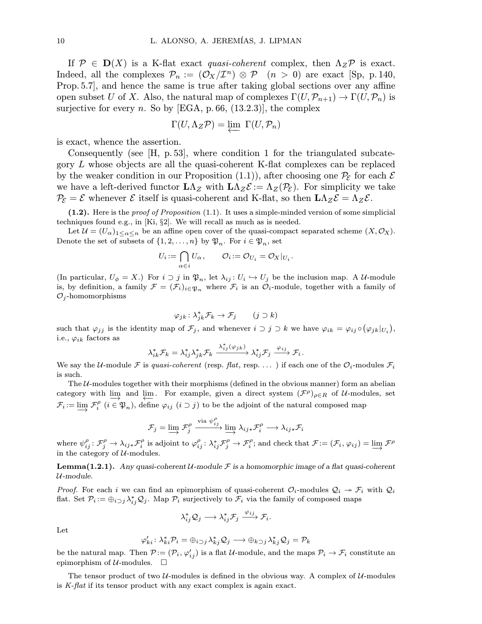If  $\mathcal{P} \in \mathbf{D}(X)$  is a K-flat exact quasi-coherent complex, then  $\Lambda_Z \mathcal{P}$  is exact. Indeed, all the complexes  $\mathcal{P}_n := (\mathcal{O}_X/\mathcal{I}^n) \otimes \mathcal{P}$   $(n > 0)$  are exact [Sp, p. 140, Prop.5.7], and hence the same is true after taking global sections over any affine open subset U of X. Also, the natural map of complexes  $\Gamma(U,\mathcal{P}_{n+1}) \to \Gamma(U,\mathcal{P}_n)$  is surjective for every n. So by [EGA, p. 66,  $(13.2.3)$ ], the complex

$$
\Gamma(U, \Lambda_Z \mathcal{P}) = \varprojlim \Gamma(U, \mathcal{P}_n)
$$

is exact, whence the assertion.

Consequently (see  $\vert H, p.53 \vert$ , where condition 1 for the triangulated subcategory L whose objects are all the quasi-coherent K-flat complexes can be replaced by the weaker condition in our Proposition (1.1)), after choosing one  $\mathcal{P}_{\mathcal{E}}$  for each  $\mathcal E$ we have a left-derived functor  $L\Lambda_Z$  with  $L\Lambda_Z \mathcal{E} := \Lambda_Z(\mathcal{P}_{\mathcal{E}})$ . For simplicity we take  $\mathcal{P}_{\mathcal{E}} = \mathcal{E}$  whenever  $\mathcal{E}$  itself is quasi-coherent and K-flat, so then  $L \Lambda_Z \mathcal{E} = \Lambda_Z \mathcal{E}$ .

(1.2). Here is the proof of Proposition (1.1). It uses a simple-minded version of some simplicial techniques found e.g., in [Ki,  $\S2$ ]. We will recall as much as is needed.

Let  $\mathcal{U} = (U_{\alpha})_{1 \leq \alpha \leq n}$  be an affine open cover of the quasi-compact separated scheme  $(X, \mathcal{O}_X)$ . Denote the set of subsets of  $\{1, 2, ..., n\}$  by  $\mathfrak{P}_n$ . For  $i \in \mathfrak{P}_n$ , set

$$
U_i\!:=\bigcap_{\alpha\in i}U_\alpha\,,\qquad \mathcal{O}_i\!:=\mathcal{O}_{U_i}=\mathcal{O}_X|_{U_i}\,.
$$

(In particular,  $U_{\phi} = X$ .) For  $i \supset j$  in  $\mathfrak{P}_n$ , let  $\lambda_{ij} : U_i \hookrightarrow U_j$  be the inclusion map. A U-module is, by definition, a family  $\mathcal{F} = (\mathcal{F}_i)_{i \in \mathfrak{P}_n}$  where  $\mathcal{F}_i$  is an  $\mathcal{O}_i$ -module, together with a family of  $\mathcal{O}_j$ -homomorphisms

$$
\varphi_{jk} \colon \lambda_{jk}^* \mathcal{F}_k \to \mathcal{F}_j \qquad (j \supset k)
$$

such that  $\varphi_{jj}$  is the identity map of  $\mathcal{F}_j$ , and whenever  $i \supset j \supset k$  we have  $\varphi_{ik} = \varphi_{ij} \circ (\varphi_{jk}|_{U_i}),$ i.e.,  $\varphi_{ik}$  factors as

$$
\lambda_{ik}^* \mathcal{F}_k = \lambda_{ij}^* \lambda_{jk}^* \mathcal{F}_k \xrightarrow{\lambda_{ij}^* (\varphi_{jk})} \lambda_{ij}^* \mathcal{F}_j \xrightarrow{\varphi_{ij}} \mathcal{F}_i.
$$

We say the U-module F is quasi-coherent (resp. flat, resp. ...) if each one of the  $\mathcal{O}_i$ -modules  $\mathcal{F}_i$ is such.

The  $U$ -modules together with their morphisms (defined in the obvious manner) form an abelian category with  $\lim_{n \to \infty}$  and  $\lim_{n \to \infty}$ . For example, given a direct system  $(\mathcal{F}^{\rho})_{\rho \in R}$  of U-modules, set  $\mathcal{F}_i := \varinjlim \mathcal{F}_i^\rho \,\, (i \in \mathfrak{P}_n)$ , define  $\varphi_{ij} \,\, (i \supset j)$  to be the adjoint of the natural composed map

$$
\mathcal{F}_j = \varinjlim \mathcal{F}_j^{\rho} \xrightarrow{\text{via } \psi_{ij}^{\rho}} \varinjlim \lambda_{ij *} \mathcal{F}_i^{\rho} \longrightarrow \lambda_{ij *} \mathcal{F}_i
$$

where  $\psi_{ij}^{\rho} : \mathcal{F}_{j}^{\rho} \to \lambda_{ij} * \mathcal{F}_{i}^{\rho}$  is adjoint to  $\varphi_{ij}^{\rho} : \lambda_{ij} * \mathcal{F}_{j}^{\rho} \to \mathcal{F}_{i}^{\rho}$ ; and check that  $\mathcal{F} := (\mathcal{F}_{i}, \varphi_{ij}) = \varinjlim \mathcal{F}^{\rho}$ in the category of  $\mathcal{U}\text{-modules.}$ 

**Lemma(1.2.1).** Any quasi-coherent  $U$ -module  $\mathcal F$  is a homomorphic image of a flat quasi-coherent U-module.

*Proof.* For each i we can find an epimorphism of quasi-coherent  $\mathcal{O}_i$ -modules  $\mathcal{Q}_i \rightarrow \mathcal{F}_i$  with  $\mathcal{Q}_i$ flat. Set  $\mathcal{P}_i := \bigoplus_{i \supset j} \lambda_{ij}^* \mathcal{Q}_j$ . Map  $\mathcal{P}_i$  surjectively to  $\mathcal{F}_i$  via the family of composed maps

$$
\lambda_{ij}^*\mathcal{Q}_j\longrightarrow \lambda_{ij}^*\mathcal{F}_j\stackrel{\varphi_{ij}}{\longrightarrow}\mathcal{F}_i.
$$

Let

$$
\varphi'_{ki}\colon \lambda_{ki}^*\mathcal{P}_i=\oplus_{i\supset j}\lambda_{kj}^*\mathcal{Q}_j\longrightarrow \oplus_{k\supset j}\lambda_{kj}^*\mathcal{Q}_j=\mathcal{P}_k
$$

be the natural map. Then  $\mathcal{P} := (\mathcal{P}_i, \varphi'_{ij})$  is a flat  $\mathcal{U}\text{-module, and the maps }\mathcal{P}_i\to\mathcal{F}_i$  constitute an epimorphism of  $U$ -modules.  $\square$ 

The tensor product of two  $U$ -modules is defined in the obvious way. A complex of  $U$ -modules is K-flat if its tensor product with any exact complex is again exact.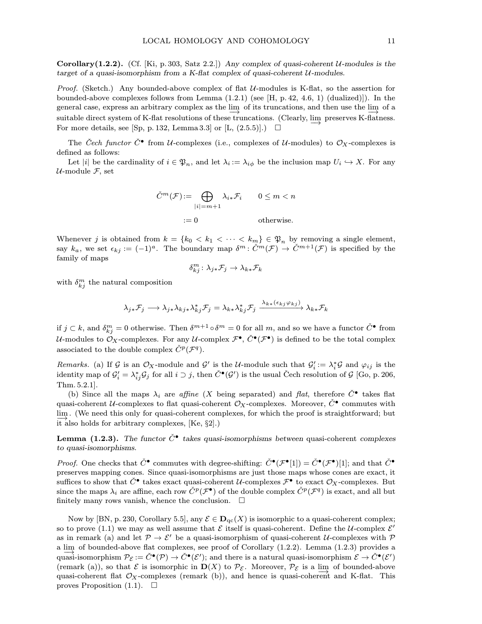Corollary(1.2.2). (Cf. [Ki, p. 303, Satz 2.2.]) Any complex of quasi-coherent  $U$ -modules is the target of a quasi-isomorphism from a K-flat complex of quasi-coherent  $U$ -modules.

*Proof.* (Sketch.) Any bounded-above complex of flat  $U$ -modules is K-flat, so the assertion for bounded-above complexes follows from Lemma  $(1.2.1)$  (see [H, p. 42, 4.6, 1) (dualized)]). In the general case, express an arbitrary complex as the lim  $\frac{\text{dim}}{\rightarrow}$  of its truncations, and then use the lim of a suitable direct system of K-flat resolutions of these truncations. (Clearly, lim preserves K-flatness. For more details, see [Sp, p. 132, Lemma 3.3] or [L,  $(2.5.5)$ ].)  $\Box$ 

The Cech functor  $\check{C}^{\bullet}$  from U-complexes (i.e., complexes of U-modules) to  $\mathcal{O}_X$ -complexes is defined as follows:

Let |i| be the cardinality of  $i \in \mathfrak{P}_n$ , and let  $\lambda_i := \lambda_{i\phi}$  be the inclusion map  $U_i \hookrightarrow X$ . For any  $U$ -module  $\mathcal{F}$ , set

$$
\check{C}^m(\mathcal{F}) := \bigoplus_{|i|=m+1} \lambda_{i*} \mathcal{F}_i \qquad 0 \le m < n
$$

$$
:= 0 \qquad \text{otherwise.}
$$

Whenever j is obtained from  $k = \{k_0 < k_1 < \cdots < k_m\} \in \mathfrak{P}_n$  by removing a single element, say  $k_a$ , we set  $\epsilon_{kj} := (-1)^a$ . The boundary map  $\delta^m : \check{C}^m(\mathcal{F}) \to \check{C}^{m+1}(\mathcal{F})$  is specified by the family of maps

$$
\delta_{kj}^m\colon \lambda_{j*}\mathcal{F}_j\to \lambda_{k*}\mathcal{F}_k
$$

with  $\delta_{kj}^m$  the natural composition

 $\lambda_{j *} \mathcal{F}_{j} \longrightarrow \lambda_{j *} \lambda_{k j *} \lambda_{k j}^* \mathcal{F}_{j} = \lambda_{k *} \lambda_{kj}^* \mathcal{F}_{j} \stackrel{\lambda_{k *} \left( \epsilon_{k j} \varphi_{k j} \right)}{\longrightarrow} \lambda_{k *} \mathcal{F}_{k}$ 

if  $j \subset k$ , and  $\delta_{kj}^m = 0$  otherwise. Then  $\delta^{m+1} \circ \delta^m = 0$  for all m, and so we have a functor  $\check{C}^{\bullet}$  from U-modules to  $\mathcal{O}_X$ -complexes. For any U-complex  $\mathcal{F}^\bullet$ ,  $\check{C}^\bullet(\mathcal{F}^\bullet)$  is defined to be the total complex associated to the double complex  $\check{C}^p(\mathcal{F}^q)$ .

Remarks. (a) If G is an  $\mathcal{O}_X$ -module and G' is the U-module such that  $\mathcal{G}'_i := \lambda_i^* \mathcal{G}$  and  $\varphi_{ij}$  is the identity map of  $\mathcal{G}'_i = \lambda_{ij}^* \mathcal{G}_j$  for all  $i \supset j$ , then  $\check{C}^{\bullet}(\mathcal{G}')$  is the usual Čech resolution of  $\mathcal{G}$  [Go, p. 206, Thm. 5.2.1].

(b) Since all the maps  $\lambda_i$  are affine (X being separated) and flat, therefore  $\check{C}^{\bullet}$  takes flat quasi-coherent  $U$ -complexes to flat quasi-coherent  $\mathcal{O}_X$ -complexes. Moreover,  $\check{C}$ <sup>•</sup> commutes with lim → . (We need this only for quasi-coherent complexes, for which the proof is straightforward; but it also holds for arbitrary complexes, [Ke, §2].)

**Lemma (1.2.3).** The functor  $\check{C}^{\bullet}$  takes quasi-isomorphisms between quasi-coherent complexes to quasi-isomorphisms.

*Proof.* One checks that  $\check{C}^{\bullet}$  commutes with degree-shifting:  $\check{C}^{\bullet}(\mathcal{F}^{\bullet}[1]) = \check{C}^{\bullet}(\mathcal{F}^{\bullet})[1]$ ; and that  $\check{C}^{\bullet}$ preserves mapping cones. Since quasi-isomorphisms are just those maps whose cones are exact, it suffices to show that  $\check{C}^{\bullet}$  takes exact quasi-coherent U-complexes  $\mathcal{F}^{\bullet}$  to exact  $\mathcal{O}_X$ -complexes. But since the maps  $\lambda_i$  are affine, each row  $\check{C}^p(\mathcal{F}^{\bullet})$  of the double complex  $\check{C}^p(\mathcal{F}^q)$  is exact, and all but finitely many rows vanish, whence the conclusion.  $\Box$ 

Now by [BN, p. 230, Corollary 5.5], any  $\mathcal{E} \in \mathbf{D}_{\text{qc}}(X)$  is isomorphic to a quasi-coherent complex; so to prove (1.1) we may as well assume that  $\mathcal E$  itself is quasi-coherent. Define the U-complex  $\mathcal E'$ as in remark (a) and let  $\mathcal{P} \to \mathcal{E}'$  be a quasi-isomorphism of quasi-coherent U-complexes with  $\mathcal{P}$ a lim of bounded-above flat complexes, see proof of Corollary (1.2.2). Lemma (1.2.3) provides a quasi-isomorphism  $\mathcal{P}_{\mathcal{E}} := \check{C}^{\bullet}(\mathcal{P}) \to \check{C}^{\bullet}(\mathcal{E}')$ ; and there is a natural quasi-isomorphism  $\mathcal{E} \to \check{C}^{\bullet}(\mathcal{E}')$ (remark (a)), so that  $\mathcal E$  is isomorphic in  $\mathbf D(X)$  to  $\mathcal P_{\mathcal E}$ . Moreover,  $\mathcal P_{\mathcal E}$  is a lim of bounded-above<br>were above that  $\mathcal P_{\mathcal E}$  assumed that  $\mathcal P_{\mathcal E}$  and hence is guaranteed and  $K$  flat. This quasi-coherent flat  $\mathcal{O}_X$ -complexes (remark (b)), and hence is quasi-coherent and K-flat. This proves Proposition  $(1.1)$ .  $\Box$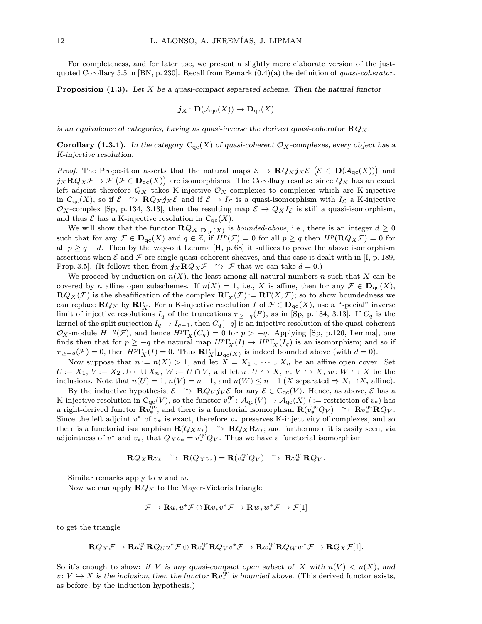For completeness, and for later use, we present a slightly more elaborate version of the justquoted Corollary 5.5 in [BN, p. 230]. Recall from Remark  $(0.4)(a)$  the definition of *quasi-coherator*.

**Proposition (1.3).** Let X be a quasi-compact separated scheme. Then the natural functor

$$
\boldsymbol{j}_{X} \colon \mathbf{D}(\mathcal{A}_{\mathrm{qc}}(X)) \to \mathbf{D}_{\mathrm{qc}}(X)
$$

is an equivalence of categories, having as quasi-inverse the derived quasi-coherator  $\mathbb{R}Q_X$ .

**Corollary (1.3.1).** In the category  $C_{qc}(X)$  of quasi-coherent  $\mathcal{O}_X$ -complexes, every object has a K-injective resolution.

*Proof.* The Proposition asserts that the natural maps  $\mathcal{E} \to \mathbf{R} Q_X \mathbf{j}_X \mathcal{E}$  ( $\mathcal{E} \in \mathbf{D}(\mathcal{A}_{\mathrm{qc}}(X))$ ) and  $j_X \mathbf{R} Q_X \mathcal{F} \to \mathcal{F} \left( \mathcal{F} \in \mathbf{D}_{\mathrm{qc}}(X) \right)$  are isomorphisms. The Corollary results: since  $Q_X$  has an exact left adjoint therefore  $Q_X$  takes K-injective  $\mathcal{O}_X$ -complexes to complexes which are K-injective in C<sub>qc</sub>(X), so if  $\mathcal{E} \longrightarrow \mathbf{R}Q_Xj_X\mathcal{E}$  and if  $\mathcal{E} \to I_{\mathcal{E}}$  is a quasi-isomorphism with  $I_{\mathcal{E}}$  a K-injective  $\mathcal{O}_X$ -complex [Sp, p. 134, 3.13], then the resulting map  $\mathcal{E} \to Q_X I_{\mathcal{E}}$  is still a quasi-isomorphism, and thus  $\mathcal E$  has a K-injective resolution in  $C_{\text{qc}}(X)$ .

We will show that the functor  $\mathbf{R}Q_X|_{\mathbf{D}_{\mathrm{qc}}(X)}$  is *bounded-above*, i.e., there is an integer  $d \geq 0$ such that for any  $\mathcal{F} \in \mathbf{D}_{\mathrm{qc}}(X)$  and  $q \in \mathbb{Z}$ , if  $H^p(\mathcal{F}) = 0$  for all  $p \geq q$  then  $H^p(\mathbf{R} Q_X \mathcal{F}) = 0$  for all  $p > q + d$ . Then by the way-out Lemma [H, p. 68] it suffices to prove the above isomorphism assertions when  $\mathcal E$  and  $\mathcal F$  are single quasi-coherent sheaves, and this case is dealt with in [I, p. 189, Prop. 3.5]. (It follows then from  $j_X \mathbf{R} Q_X \mathcal{F} \longrightarrow \mathcal{F}$  that we can take  $d = 0$ .)

We proceed by induction on  $n(X)$ , the least among all natural numbers n such that X can be covered by n affine open subschemes. If  $n(X) = 1$ , i.e., X is affine, then for any  $\mathcal{F} \in \mathbf{D}_{\mathrm{qc}}(X)$ ,  ${\bf R}Q_X(\mathcal{F})$  is the sheafification of the complex  ${\bf R}\Gamma_X(\mathcal{F})\coloneqq {\bf R}\Gamma(X,\mathcal{F})$ ; so to show boundedness we can replace  $\mathbf{R}Q_X$  by  $\mathbf{R}\Gamma_X$ . For a K-injective resolution I of  $\mathcal{F} \in \mathbf{D}_{\text{qc}}(X)$ , use a "special" inverse limit of injective resolutions  $I_q$  of the truncations  $\tau_{\geq-q}(F)$ , as in [Sp, p. 134, 3.13]. If  $C_q$  is the kernel of the split surjection  $I_q \to I_{q-1}$ , then  $C_q[-q]$  is an injective resolution of the quasi-coherent  $\mathcal{O}_X$ -module  $H^{-q}(\mathcal{F})$ , and hence  $H^p\Gamma_X(C_q) = 0$  for  $p > -q$ . Applying [Sp, p.126, Lemma], one finds then that for  $p \ge -q$  the natural map  $H^p\Gamma_\chi(I) \to H^p\Gamma_\chi(I_q)$  is an isomorphism; and so if  $\tau_{\geq -q}(\mathcal{F}) = 0$ , then  $H^p\Gamma_X(I) = 0$ . Thus  $\mathbb{R}\Gamma_X|_{\mathbf{D}_{\mathrm{qc}}(X)}$  is indeed bounded above (with  $d = 0$ ).

Now suppose that  $n := n(X) > 1$ , and let  $X = X_1 \cup \cdots \cup X_n$  be an affine open cover. Set  $U := X_1, V := X_2 \cup \cdots \cup X_n, W := U \cap V$ , and let  $u: U \hookrightarrow X$ ,  $v: V \hookrightarrow X$ ,  $w: W \hookrightarrow X$  be the inclusions. Note that  $n(U) = 1$ ,  $n(V) = n-1$ , and  $n(W) \leq n-1$  (X separated  $\Rightarrow X_1 \cap X_i$  affine).

By the inductive hypothesis,  $\mathcal{E} \longrightarrow \mathbf{R} Q_V \mathbf{j}_V \mathcal{E}$  for any  $\mathcal{E} \in C_{qc}(V)$ . Hence, as above,  $\mathcal{E}$  has a K-injective resolution in  $C_{\text{qc}}(V)$ , so the functor  $v_*^{\text{qc}}$ :  $\mathcal{A}_{\text{qc}}(V) \to \mathcal{A}_{\text{qc}}(X)$  (:= restriction of  $v_*$ ) has a right-derived functor  $\mathbf{R}v_*^{\text{qc}}$ , and there is a functorial isomorphism  $\mathbf{R}(v_*^{\text{qc}}Q_V) \longrightarrow \mathbf{R}v_*^{\text{qc}}\mathbf{R}Q_V$ . Since the left adjoint  $v^*$  of  $v_*$  is exact, therefore  $v_*$  preserves K-injectivity of complexes, and so there is a functorial isomorphism  $\mathbf{R}(Q_Xv_*) \longrightarrow \mathbf{R}Q_X\mathbf{R}v_*$ ; and furthermore it is easily seen, via adjointness of  $v^*$  and  $v_*$ , that  $Q_Xv_* = v_*^{\text{qc}}Q_V$ . Thus we have a functorial isomorphism

$$
\mathbf{R} Q_X \mathbf{R} v_* \xrightarrow{\sim} \mathbf{R} (Q_X v_*) = \mathbf{R} (v_*^{\mathrm{qc}} Q_V) \xrightarrow{\sim} \mathbf{R} v_*^{\mathrm{qc}} \mathbf{R} Q_V.
$$

Similar remarks apply to  $u$  and  $w$ .

Now we can apply  $\mathbf{R}Q_X$  to the Mayer-Vietoris triangle

$$
\mathcal{F} \to \mathbf{R} u_* u^* \mathcal{F} \oplus \mathbf{R} v_* v^* \mathcal{F} \to \mathbf{R} w_* w^* \mathcal{F} \to \mathcal{F}[1]
$$

to get the triangle

$$
\mathbf{R} Q_X\mathcal{F} \rightarrow \mathbf{R} u^{\mathrm{qc}}_* \mathbf{R} Q_U u^*\mathcal{F} \oplus \mathbf{R} v^{\mathrm{qc}}_* \mathbf{R} Q_V v^*\mathcal{F} \rightarrow \mathbf{R} w^{\mathrm{qc}}_* \mathbf{R} Q_W w^*\mathcal{F} \rightarrow \mathbf{R} Q_X\mathcal{F}[1].
$$

So it's enough to show: if V is any quasi-compact open subset of X with  $n(V) < n(X)$ , and  $v: V \hookrightarrow X$  is the inclusion, then the functor  $\mathbf{R}v^{\hat{\mathbf{q}}c}_{*}$  is bounded above. (This derived functor exists, as before, by the induction hypothesis.)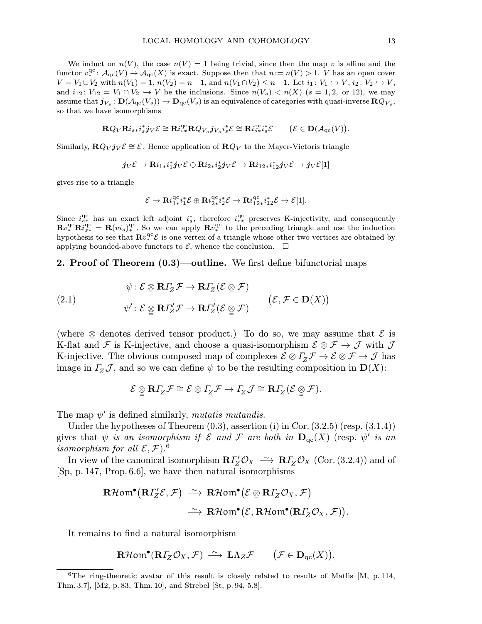We induct on  $n(V)$ , the case  $n(V) = 1$  being trivial, since then the map v is affine and the functor  $v^{\text{qc}}_* : \mathcal{A}_{\text{qc}}(V) \to \mathcal{A}_{\text{qc}}(X)$  is exact. Suppose then that  $n := n(V) > 1$ . V has an open cover  $V = V_1 \cup V_2$  with  $n(V_1) = 1$ ,  $n(V_2) = n - 1$ , and  $n(V_1 \cap V_2) \leq n - 1$ . Let  $i_1: V_1 \hookrightarrow V$ ,  $i_2: V_2 \hookrightarrow V$ , and  $i_{12}$ :  $V_{12} = V_1 \cap V_2 \hookrightarrow V$  be the inclusions. Since  $n(V_s) < n(X)$  ( $s = 1, 2, \text{ or } 12$ ), we may assume that  $j_{V_s}: \mathbf{D}(\mathcal{A}_{\mathrm{qc}}(V_s)) \to \mathbf{D}_{\mathrm{qc}}(V_s)$  is an equivalence of categories with quasi-inverse  $\mathbf{R}Q_{V_s}$ , so that we have isomorphisms

$$
\mathbf{R} Q_V \mathbf{R} i_{s *} i_s^* \mathbf{j}_V \mathcal{E} \cong \mathbf{R} i_{s *}^{\mathrm{qc}} \mathbf{R} Q_{V_s} \mathbf{j}_{V_s} i_s^* \mathcal{E} \cong \mathbf{R} i_{s *}^{\mathrm{qc}} i_s^* \mathcal{E} \qquad \big( \mathcal{E} \in \mathbf{D} (\mathcal{A}_{\mathrm{qc}}(V) \big).
$$

Similarly,  $\mathbf{R}Q_V \mathbf{j}_V \mathcal{E} \cong \mathcal{E}$ . Hence application of  $\mathbf{R}Q_V$  to the Mayer-Vietoris triangle

$$
\boldsymbol{j}_V\mathcal{E}\to{\mathbf{R}i_{1*}}i_1^*\boldsymbol{j}_V\mathcal{E}\oplus{\mathbf{R}i_{2*}}i_2^*\boldsymbol{j}_V\mathcal{E}\to{\mathbf{R}i_{12*}}i_{12}^*\boldsymbol{j}_V\mathcal{E}\to\boldsymbol{j}_V\mathcal{E}[1]
$$

gives rise to a triangle

$$
\mathcal{E}\rightarrow {\mathbf{R}i^{\mathrm{qc}}_{1*}}i_1^*\mathcal{E}\oplus {\mathbf{R}i^{\mathrm{qc}}_{2*}}i_2^*\mathcal{E}\rightarrow {\mathbf{R}i^{\mathrm{qc}}_{12*}}i_{12}^*\mathcal{E}\rightarrow \mathcal{E}[1].
$$

Since  $i_{s*}^{\text{qc}}$  has an exact left adjoint  $i_{s}^{*}$ , therefore  $i_{s*}^{\text{qc}}$  preserves K-injectivity, and consequently  $\mathbf{R}v_*^{\text{qc}}\mathbf{R}i_{s*}^{\text{qc}} = \mathbf{R}(vi_s)^{\text{qc}}$ . So we can apply  $\mathbf{R}v_*^{\text{qc}}$  to the preceding triangle and use the induction hypothesis to see that  $\mathbf{R}v_*^{\text{qc}}\mathcal{E}$  is one vertex of a triangle whose other two vertices are obtained by applying bounded-above functors to  $\mathcal{E}$ , whence the conclusion.  $\Box$ 

## 2. Proof of Theorem (0.3)—outline. We first define bifunctorial maps

(2.1) 
$$
\psi : \mathcal{E} \underset{\mathcal{D}}{\otimes} \mathbf{R} \Gamma_Z \mathcal{F} \to \mathbf{R} \Gamma_Z (\mathcal{E} \underset{\mathcal{D}}{\otimes} \mathcal{F})
$$

$$
\psi' : \mathcal{E} \underset{\mathcal{D}}{\otimes} \mathbf{R} \Gamma_Z' \mathcal{F} \to \mathbf{R} \Gamma_Z' (\mathcal{E} \underset{\mathcal{D}}{\otimes} \mathcal{F})
$$

$$
(\mathcal{E}, \mathcal{F} \in \mathbf{D}(X))
$$

(where  $\otimes$  denotes derived tensor product.) To do so, we may assume that  $\mathcal{E}$  is K-flat and  $\mathcal F$  is K-injective, and choose a quasi-isomorphism  $\mathcal E\otimes\mathcal F\to\mathcal J$  with  $\mathcal J$ K-injective. The obvious composed map of complexes  $\mathcal{E} \otimes \Gamma_Z \mathcal{F} \to \mathcal{E} \otimes \mathcal{F} \to \mathcal{J}$  has image in  $\Gamma_z \mathcal{J}$ , and so we can define  $\psi$  to be the resulting composition in  $\mathbf{D}(X)$ :

$$
\mathcal{E}\varrho\llbracket \mathbf{R} \varGamma_Z\mathcal{F}\cong \mathcal{E}\otimes \varGamma_Z\mathcal{F}\rightarrow \varGamma_Z\mathcal{J}\cong \mathbf{R} \varGamma_Z(\mathcal{E}\varrho\varrho\,\mathcal{F}).
$$

The map  $\psi'$  is defined similarly, mutatis mutandis.

Under the hypotheses of Theorem  $(0.3)$ , assertion  $(i)$  in Cor.  $(3.2.5)$  (resp.  $(3.1.4)$ ) gives that  $\psi$  is an isomorphism if  $\mathcal E$  and  $\mathcal F$  are both in  $\mathbf{D}_{\text{qc}}(X)$  (resp.  $\psi'$  is an isomorphism for all  $\mathcal{E}, \mathcal{F}$ ).<sup>6</sup>

In view of the canonical isomorphism  $R\Gamma'_{Z}\mathcal{O}_{X} \ \xrightarrow{\sim} \ R\Gamma'_{Z}\mathcal{O}_{X}$  (Cor. (3.2.4)) and of [Sp, p. 147, Prop.6.6], we have then natural isomorphisms

$$
\mathbf{R}\mathcal{H}\text{om}^{\bullet}(\mathbf{R}\Gamma_{Z}^{\prime}\mathcal{E},\mathcal{F})\stackrel{\sim}{\longrightarrow}\mathbf{R}\mathcal{H}\text{om}^{\bullet}(\mathcal{E}\underset{\simeq}{\otimes}\mathbf{R}\Gamma_{Z}\mathcal{O}_{X},\mathcal{F})\stackrel{\sim}{\longrightarrow}\mathbf{R}\mathcal{H}\text{om}^{\bullet}(\mathcal{E},\mathbf{R}\mathcal{H}\text{om}^{\bullet}(\mathbf{R}\Gamma_{Z}\mathcal{O}_{X},\mathcal{F})).
$$

It remains to find a natural isomorphism

$$
\mathbf{R}\mathcal{H}\mathbf{om}^{\bullet}(\mathbf{R}\Gamma_{\!Z}\mathcal{O}_X,\mathcal{F})\,\stackrel{\sim}{\longrightarrow}\,\mathbf{L}\Lambda_Z\mathcal{F}\qquad \big(\mathcal{F}\in\mathbf{D}_{\mathrm{qc}}(X)\big).
$$

 $6$ The ring-theoretic avatar of this result is closely related to results of Matlis [M, p. 114, Thm. 3.7], [M2, p. 83, Thm. 10], and Strebel [St, p. 94, 5.8].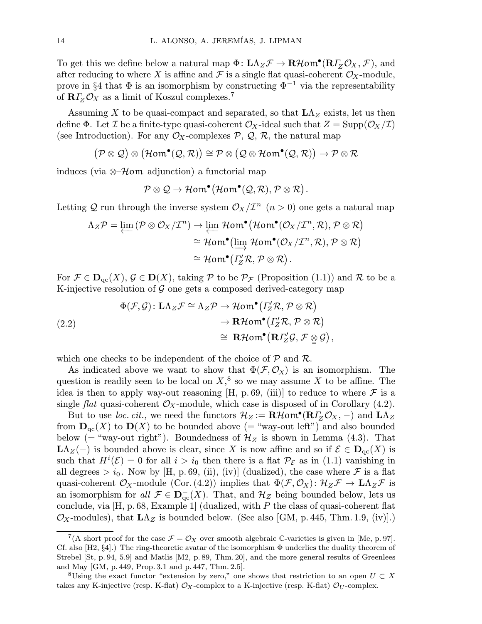To get this we define below a natural map  $\Phi: \mathbf{L}\Lambda_Z\mathcal{F} \to \mathbf{R}\mathcal{H}$ om<sup>•</sup>( $\mathbf{R}\Gamma_Z\mathcal{O}_X, \mathcal{F}$ ), and after reducing to where X is affine and  $\mathcal F$  is a single flat quasi-coherent  $\mathcal O_X$ -module, prove in §4 that  $\Phi$  is an isomorphism by constructing  $\Phi^{-1}$  via the representability of  $R\Gamma_Z\mathcal{O}_X$  as a limit of Koszul complexes.<sup>7</sup>

Assuming X to be quasi-compact and separated, so that  $L\Lambda_Z$  exists, let us then define  $\Phi$ . Let  $\mathcal I$  be a finite-type quasi-coherent  $\mathcal O_X$ -ideal such that  $Z = \text{Supp}(\mathcal O_X/\mathcal I)$ (see Introduction). For any  $\mathcal{O}_X$ -complexes  $\mathcal{P}, \mathcal{Q}, \mathcal{R}$ , the natural map

$$
(\mathcal{P} \otimes \mathcal{Q}) \otimes (\mathcal{H}om^{\bullet}(\mathcal{Q}, \mathcal{R})) \cong \mathcal{P} \otimes (\mathcal{Q} \otimes \mathcal{H}om^{\bullet}(\mathcal{Q}, \mathcal{R})) \to \mathcal{P} \otimes \mathcal{R}
$$

induces (via  $\otimes \mathcal{H}$ om adjunction) a functorial map

$$
\mathcal{P}\otimes\mathcal{Q}\to \mathcal{H}\mathit{om}^{\bullet}(\mathcal{H}\mathit{om}^{\bullet}(\mathcal{Q},\mathcal{R}),\mathcal{P}\otimes\mathcal{R})\,.
$$

Letting Q run through the inverse system  $\mathcal{O}_X/\mathcal{I}^n$  ( $n > 0$ ) one gets a natural map

$$
\Lambda_Z \mathcal{P} = \varprojlim (\mathcal{P} \otimes \mathcal{O}_X / \mathcal{I}^n) \to \varprojlim \mathcal{H}om^{\bullet}(\mathcal{H}om^{\bullet}(\mathcal{O}_X / \mathcal{I}^n, \mathcal{R}), \mathcal{P} \otimes \mathcal{R})
$$
  
\n
$$
\cong \mathcal{H}om^{\bullet}(\varinjlim \mathcal{H}om^{\bullet}(\mathcal{O}_X / \mathcal{I}^n, \mathcal{R}), \mathcal{P} \otimes \mathcal{R})
$$
  
\n
$$
\cong \mathcal{H}om^{\bullet}(\varGamma'_Z \mathcal{R}, \mathcal{P} \otimes \mathcal{R}).
$$

For  $\mathcal{F} \in \mathbf{D}_{\mathrm{qc}}(X), \mathcal{G} \in \mathbf{D}(X)$ , taking  $\mathcal{P}$  to be  $\mathcal{P}_{\mathcal{F}}$  (Proposition (1.1)) and  $\mathcal{R}$  to be a K-injective resolution of  $G$  one gets a composed derived-category map

(2.2)  
\n
$$
\Phi(\mathcal{F}, \mathcal{G}) : \mathbf{L}\Lambda_Z \mathcal{F} \cong \Lambda_Z \mathcal{P} \to \mathcal{H}om^{\bullet}(I'_Z \mathcal{R}, \mathcal{P} \otimes \mathcal{R})
$$
\n
$$
\to \mathbf{R}\mathcal{H}om^{\bullet}(I'_Z \mathcal{R}, \mathcal{P} \otimes \mathcal{R})
$$
\n
$$
\cong \mathbf{R}\mathcal{H}om^{\bullet}(\mathbf{R}I'_Z \mathcal{G}, \mathcal{F} \otimes \mathcal{G}),
$$

which one checks to be independent of the choice of  $P$  and  $R$ .

As indicated above we want to show that  $\Phi(\mathcal{F}, \mathcal{O}_X)$  is an isomorphism. The question is readily seen to be local on  $X$ <sup>8</sup>, so we may assume X to be affine. The idea is then to apply way-out reasoning [H, p. 69, (iii)] to reduce to where  $\mathcal F$  is a single flat quasi-coherent  $\mathcal{O}_X$ -module, which case is disposed of in Corollary (4.2).

But to use loc. cit., we need the functors  $\mathcal{H}_Z := \mathbf{R} \mathcal{H}$ om<sup>•</sup>( $\mathbf{R} \Gamma_Z \mathcal{O}_X$ , -) and  $\mathbf{L} \Lambda_Z$ from  $\mathbf{D}_{\mathrm{qc}}(X)$  to  $\mathbf{D}(X)$  to be bounded above (= "way-out left") and also bounded below (= "way-out right"). Boundedness of  $\mathcal{H}_Z$  is shown in Lemma (4.3). That  $\mathbf{L}\Lambda_Z(-)$  is bounded above is clear, since X is now affine and so if  $\mathcal{E} \in \mathbf{D}_{\mathrm{qc}}(X)$  is such that  $H^{i}(\mathcal{E}) = 0$  for all  $i > i_0$  then there is a flat  $\mathcal{P}_{\mathcal{E}}$  as in (1.1) vanishing in all degrees  $> i_0$ . Now by [H, p. 69, (ii), (iv)] (dualized), the case where  $\mathcal F$  is a flat quasi-coherent  $\mathcal{O}_X$ -module (Cor. (4.2)) implies that  $\Phi(\mathcal{F}, \mathcal{O}_X) : \mathcal{H}_Z\mathcal{F} \to \mathbf{L}\Lambda_Z\mathcal{F}$  is an isomorphism for all  $\mathcal{F} \in \mathbf{D}_{\text{qc}}^-(X)$ . That, and  $\mathcal{H}_Z$  being bounded below, lets us conclude, via  $[H, p. 68, Example 1]$  (dualized, with P the class of quasi-coherent flat  $\mathcal{O}_X$ -modules), that  $L\Lambda_Z$  is bounded below. (See also [GM, p. 445, Thm. 1.9, (iv)].)

<sup>&</sup>lt;sup>7</sup>(A short proof for the case  $\mathcal{F} = \mathcal{O}_X$  over smooth algebraic C-varieties is given in [Me, p. 97]. Cf. also  $[H2, §4]$ .) The ring-theoretic avatar of the isomorphism  $\Phi$  underlies the duality theorem of Strebel [St, p. 94, 5.9] and Matlis [M2, p. 89, Thm. 20], and the more general results of Greenlees and May [GM, p. 449, Prop. 3.1 and p. 447, Thm. 2.5].

<sup>&</sup>lt;sup>8</sup>Using the exact functor "extension by zero," one shows that restriction to an open  $U \subset X$ takes any K-injective (resp. K-flat)  $\mathcal{O}_X$ -complex to a K-injective (resp. K-flat)  $\mathcal{O}_U$ -complex.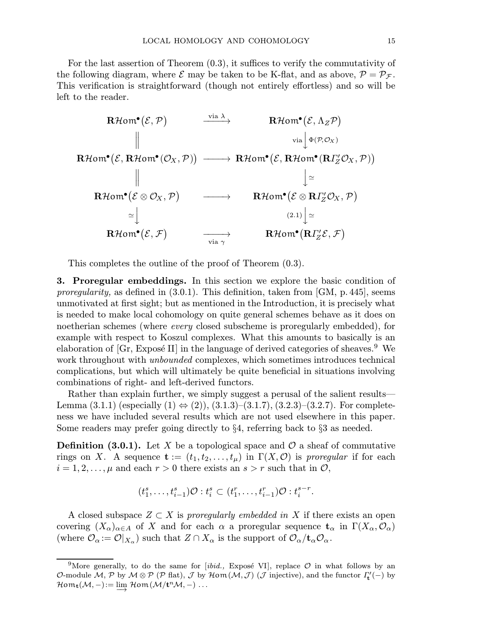For the last assertion of Theorem (0.3), it suffices to verify the commutativity of the following diagram, where  $\mathcal E$  may be taken to be K-flat, and as above,  $\mathcal P = \mathcal P_{\mathcal F}$ . This verification is straightforward (though not entirely effortless) and so will be left to the reader.

$$
\begin{array}{ccc}\n\textbf{R}\mathcal{H}\text{om}^{\bullet}(\mathcal{E},\mathcal{P}) & \xrightarrow{\text{via }\lambda} & \textbf{R}\mathcal{H}\text{om}^{\bullet}(\mathcal{E},\Lambda_{Z}\mathcal{P}) \\
\parallel & & \text{via } \Big\downarrow \Phi(\mathcal{P},\mathcal{O}_{X}) \\
\textbf{R}\mathcal{H}\text{om}^{\bullet}(\mathcal{E},\textbf{R}\mathcal{H}\text{om}^{\bullet}(\mathcal{O}_{X},\mathcal{P})) & \xrightarrow{\text{in }\lambda} & \textbf{R}\mathcal{H}\text{om}^{\bullet}(\mathcal{E},\textbf{R}\mathcal{H}\text{om}^{\bullet}(\textbf{R}\Gamma_{Z}^{\prime}\mathcal{O}_{X},\mathcal{P})) \\
\parallel & & \Big\downarrow \simeq \\
\textbf{R}\mathcal{H}\text{om}^{\bullet}(\mathcal{E}\otimes\mathcal{O}_{X},\mathcal{P}) & \xrightarrow{\sim} & \textbf{R}\mathcal{H}\text{om}^{\bullet}(\mathcal{E}\otimes\textbf{R}\Gamma_{Z}^{\prime}\mathcal{O}_{X},\mathcal{P}) \\
\simeq & & \Big\downarrow \\
\textbf{R}\mathcal{H}\text{om}^{\bullet}(\mathcal{E},\mathcal{F}) & \xrightarrow{\text{via }\gamma} & \textbf{R}\mathcal{H}\text{om}^{\bullet}(\textbf{R}\Gamma_{Z}^{\prime}\mathcal{E},\mathcal{F})\n\end{array}
$$

This completes the outline of the proof of Theorem (0.3).

3. Proregular embeddings. In this section we explore the basic condition of proregularity, as defined in  $(3.0.1)$ . This definition, taken from [GM, p. 445], seems unmotivated at first sight; but as mentioned in the Introduction, it is precisely what is needed to make local cohomology on quite general schemes behave as it does on noetherian schemes (where every closed subscheme is proregularly embedded), for example with respect to Koszul complexes. What this amounts to basically is an elaboration of  $[Gr, Expose II]$  in the language of derived categories of sheaves.<sup>9</sup> We work throughout with *unbounded* complexes, which sometimes introduces technical complications, but which will ultimately be quite beneficial in situations involving combinations of right- and left-derived functors.

Rather than explain further, we simply suggest a perusal of the salient results— Lemma (3.1.1) (especially  $(1) \Leftrightarrow (2)$ ),  $(3.1.3)$ – $(3.1.7)$ ,  $(3.2.3)$ – $(3.2.7)$ . For completeness we have included several results which are not used elsewhere in this paper. Some readers may prefer going directly to  $\S 4$ , referring back to  $\S 3$  as needed.

**Definition (3.0.1).** Let X be a topological space and  $\mathcal{O}$  a sheaf of commutative rings on X. A sequence  $\mathbf{t} := (t_1, t_2, \ldots, t_\mu)$  in  $\Gamma(X, \mathcal{O})$  is proregular if for each  $i = 1, 2, \ldots, \mu$  and each  $r > 0$  there exists an  $s > r$  such that in  $\mathcal{O},$ 

$$
(t_1^s, \ldots, t_{i-1}^s)\mathcal{O}: t_i^s \subset (t_1^r, \ldots, t_{i-1}^r)\mathcal{O}: t_i^{s-r}.
$$

A closed subspace  $Z \subset X$  is proregularly embedded in X if there exists an open covering  $(X_\alpha)_{\alpha\in A}$  of X and for each  $\alpha$  a proregular sequence  $\mathbf{t}_\alpha$  in  $\Gamma(X_\alpha,\mathcal{O}_\alpha)$ (where  $\mathcal{O}_{\alpha} := \mathcal{O}|_{X_{\alpha}}$ ) such that  $Z \cap X_{\alpha}$  is the support of  $\mathcal{O}_{\alpha}/\mathbf{t}_{\alpha}\mathcal{O}_{\alpha}$ .

<sup>&</sup>lt;sup>9</sup>More generally, to do the same for [*ibid.*, Exposé VI], replace  $\mathcal O$  in what follows by an O-module  $\cal M$ ,  $\cal P$  by  $\cal M\otimes \cal P$  ( $\cal P$  flat),  $\cal J$  by  $\cal H$ om $(\cal M, \cal J)$  ( $\cal J$  injective), and the functor  $\varGamma'_{{\bf t}}(-)$  by  $\mathcal{H} \text{om}_{\mathbf{t}}(\mathcal{M},-) \coloneqq \varinjlim \, \mathcal{H} \text{om}\left(\mathcal{M}/\mathbf{t}^n \mathcal{M},-\right) \ldots$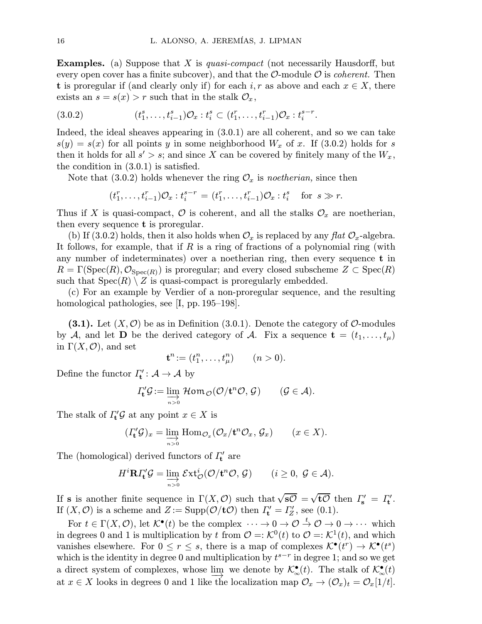**Examples.** (a) Suppose that X is *quasi-compact* (not necessarily Hausdorff, but every open cover has a finite subcover), and that the  $\mathcal{O}$ -module  $\mathcal{O}$  is *coherent*. Then t is proregular if (and clearly only if) for each  $i, r$  as above and each  $x \in X$ , there exists an  $s = s(x) > r$  such that in the stalk  $\mathcal{O}_x$ ,

$$
(3.0.2) \qquad \qquad (t_1^s, \ldots, t_{i-1}^s) \mathcal{O}_x : t_i^s \subset (t_1^r, \ldots, t_{i-1}^r) \mathcal{O}_x : t_i^{s-r}.
$$

Indeed, the ideal sheaves appearing in (3.0.1) are all coherent, and so we can take  $s(y) = s(x)$  for all points y in some neighborhood  $W_x$  of x. If (3.0.2) holds for s then it holds for all  $s' > s$ ; and since X can be covered by finitely many of the  $W_x$ , the condition in (3.0.1) is satisfied.

Note that (3.0.2) holds whenever the ring  $\mathcal{O}_x$  is noetherian, since then

$$
(t_1^r, \ldots, t_{i-1}^r) \mathcal{O}_x : t_i^{s-r} = (t_1^r, \ldots, t_{i-1}^r) \mathcal{O}_x : t_i^s \quad \text{for } s \gg r.
$$

Thus if X is quasi-compact,  $\mathcal O$  is coherent, and all the stalks  $\mathcal O_x$  are noetherian, then every sequence  $t$  is proregular.

(b) If (3.0.2) holds, then it also holds when  $\mathcal{O}_x$  is replaced by any flat  $\mathcal{O}_x$ -algebra. It follows, for example, that if  $R$  is a ring of fractions of a polynomial ring (with any number of indeterminates) over a noetherian ring, then every sequence t in  $R = \Gamma(\text{Spec}(R), \mathcal{O}_{\text{Spec}(R)})$  is proregular; and every closed subscheme  $Z \subset \text{Spec}(R)$ such that  $Spec(R) \setminus Z$  is quasi-compact is proregularly embedded.

(c) For an example by Verdier of a non-proregular sequence, and the resulting homological pathologies, see [I, pp. 195–198].

(3.1). Let  $(X, \mathcal{O})$  be as in Definition (3.0.1). Denote the category of  $\mathcal{O}$ -modules by A, and let D be the derived category of A. Fix a sequence  $\mathbf{t} = (t_1, \ldots, t_\mu)$ in  $\Gamma(X, \mathcal{O})$ , and set

$$
\mathbf{t}^n := (t_1^n, \dots, t_\mu^n) \qquad (n > 0).
$$

Define the functor  $\varGamma_{\mathbf{t}}': \mathcal{A} \to \mathcal{A}$  by

$$
\varGamma_{\mathbf{t}}' \mathcal{G} := \varinjlim_{n>0} \mathcal{H} \text{om}_{\mathcal{O}}(\mathcal{O}/\mathbf{t}^n \mathcal{O}, \mathcal{G}) \qquad (\mathcal{G} \in \mathcal{A}).
$$

The stalk of  $\Gamma'_{\mathbf{t}} \mathcal{G}$  at any point  $x \in X$  is

$$
(I'_{\mathbf{t}}\mathcal{G})_x = \varinjlim_{n>0} \text{Hom}_{\mathcal{O}_x}(\mathcal{O}_x/\mathbf{t}^n \mathcal{O}_x, \mathcal{G}_x) \qquad (x \in X).
$$

The (homological) derived functors of  $\Gamma'_{\mathbf{t}}$  are

$$
H^{i}\mathbf{R}\Gamma'_{\mathbf{t}}\mathcal{G}=\lim_{n>0}\mathcal{E}\mathbf{xt}^{i}_{\mathcal{O}}(\mathcal{O}/\mathbf{t}^{n}\mathcal{O},\mathcal{G})\qquad(i\geq 0,\ \mathcal{G}\in\mathcal{A}).
$$

If **s** is another finite sequence in  $\Gamma(X, \mathcal{O})$  such that  $\sqrt{s\mathcal{O}} = \sqrt{t\mathcal{O}}$  then  $\Gamma'_{s} = \Gamma'_{t}$ . If  $(X, \mathcal{O})$  is a scheme and  $Z := \text{Supp}(\mathcal{O}/t\mathcal{O})$  then  $\Gamma'_{t} = \Gamma'_{Z}$ , see (0.1).

For  $t \in \Gamma(X, \mathcal{O})$ , let  $\mathcal{K}^{\bullet}(t)$  be the complex  $\cdots \to 0 \to \mathcal{O} \to \mathcal{O} \to 0 \to \cdots$  which in degrees 0 and 1 is multiplication by t from  $\mathcal{O} = \mathcal{K}^0(t)$  to  $\mathcal{O} = \mathcal{K}^1(t)$ , and which vanishes elsewhere. For  $0 \le r \le s$ , there is a map of complexes  $\mathcal{K}^{\bullet}(t^r) \to \mathcal{K}^{\bullet}(t^s)$ which is the identity in degree 0 and multiplication by  $t^{s-r}$  in degree 1; and so we get a direct system of complexes, whose lim<sub>→</sub> we denote by  $\mathcal{K}^{\bullet}_{\infty}(t)$ . The stalk of  $\mathcal{K}^{\bullet}_{\infty}(t)$ at  $x \in X$  looks in degrees 0 and 1 like the localization map  $\mathcal{O}_x \to (\mathcal{O}_x)_t = \mathcal{O}_x[1/t].$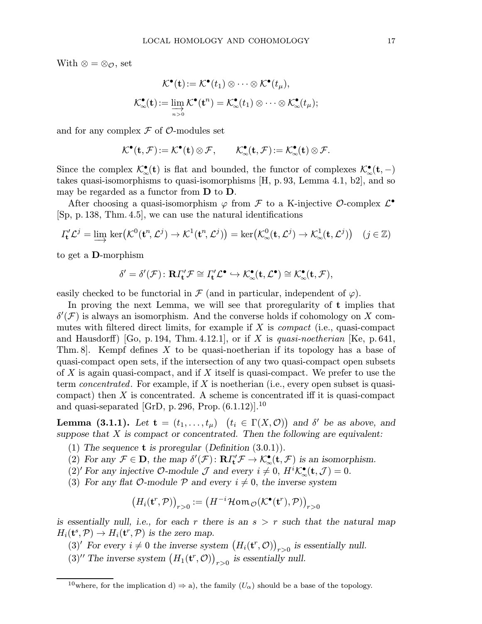With  $\otimes = \otimes_{\mathcal{O}}$ , set

$$
\mathcal{K}^{\bullet}(\mathbf{t}) := \mathcal{K}^{\bullet}(t_1) \otimes \cdots \otimes \mathcal{K}^{\bullet}(t_{\mu}),
$$

$$
\mathcal{K}^{\bullet}_{\infty}(\mathbf{t}) := \varinjlim_{n>0} \mathcal{K}^{\bullet}(\mathbf{t}^n) = \mathcal{K}^{\bullet}_{\infty}(t_1) \otimes \cdots \otimes \mathcal{K}^{\bullet}_{\infty}(t_{\mu});
$$

and for any complex  $\mathcal F$  of  $\mathcal O$ -modules set

$$
\mathcal{K}^\bullet(t,\mathcal{F})\!:=\!\mathcal{K}^\bullet(t)\otimes\mathcal{F},\qquad \mathcal{K}^\bullet_\infty(t,\mathcal{F})\!:=\mathcal{K}^\bullet_\infty(t)\otimes\mathcal{F}.
$$

Since the complex  $\mathcal{K}_{\infty}^{\bullet}(\mathbf{t})$  is flat and bounded, the functor of complexes  $\mathcal{K}_{\infty}^{\bullet}(\mathbf{t},-)$ takes quasi-isomorphisms to quasi-isomorphisms [H, p.93, Lemma 4.1, b2], and so may be regarded as a functor from D to D.

After choosing a quasi-isomorphism  $\varphi$  from  $\mathcal F$  to a K-injective  $\mathcal O$ -complex  $\mathcal L^{\bullet}$ [Sp, p. 138, Thm. 4.5], we can use the natural identifications

$$
\Gamma'_{\mathbf{t}} \mathcal{L}^j = \varinjlim \ker \bigl( \mathcal{K}^0(\mathbf{t}^n, \mathcal{L}^j) \to \mathcal{K}^1(\mathbf{t}^n, \mathcal{L}^j) \bigr) = \ker \bigl( \mathcal{K}^0_{\infty}(\mathbf{t}, \mathcal{L}^j) \to \mathcal{K}^1_{\infty}(\mathbf{t}, \mathcal{L}^j) \bigr) \quad (j \in \mathbb{Z})
$$

to get a D-morphism

$$
\delta' = \delta'(\mathcal{F}) \colon \mathbf{R} \Gamma'_{\mathbf{t}} \mathcal{F} \cong \Gamma'_{\mathbf{t}} \mathcal{L}^{\bullet} \hookrightarrow \mathcal{K}^{\bullet}_{\infty}(\mathbf{t}, \mathcal{L}^{\bullet}) \cong \mathcal{K}^{\bullet}_{\infty}(\mathbf{t}, \mathcal{F}),
$$

easily checked to be functorial in  $\mathcal F$  (and in particular, independent of  $\varphi$ ).

In proving the next Lemma, we will see that proregularity of t implies that  $\delta(\mathcal{F})$  is always an isomorphism. And the converse holds if cohomology on X commutes with filtered direct limits, for example if  $X$  is *compact* (i.e., quasi-compact and Hausdorff) [Go, p. 194, Thm. 4.12.1], or if X is quasi-noetherian [Ke, p. 641, Thm. 8. Kempf defines X to be quasi-noetherian if its topology has a base of quasi-compact open sets, if the intersection of any two quasi-compact open subsets of  $X$  is again quasi-compact, and if  $X$  itself is quasi-compact. We prefer to use the term *concentrated*. For example, if  $X$  is noetherian (i.e., every open subset is quasicompact) then  $X$  is concentrated. A scheme is concentrated iff it is quasi-compact and quasi-separated [GrD, p. 296, Prop.  $(6.1.12)$ ].<sup>10</sup>

**Lemma (3.1.1).** Let  $\mathbf{t} = (t_1, \ldots, t_\mu)$   $(t_i \in \Gamma(X, \mathcal{O}))$  and  $\delta'$  be as above, and suppose that  $X$  is compact or concentrated. Then the following are equivalent:

- (1) The sequence **t** is proregular (Definition  $(3.0.1)$ ).
- (2) For any  $\mathcal{F} \in \mathbf{D}$ , the map  $\delta'(\mathcal{F}) \colon \mathbf{R}\Gamma'_{\mathbf{t}}(\mathcal{F}) \to \mathcal{K}^{\bullet}_{\infty}(\mathbf{t}, \mathcal{F})$  is an isomorphism.
- (2)' For any injective  $\mathcal{O}\text{-module } \mathcal{J}$  and every  $i \neq 0, H^i \mathcal{K}^\bullet_\infty(\mathbf{t}, \mathcal{J}) = 0.$
- (3) For any flat  $\mathcal{O}\text{-module } \mathcal{P}$  and every  $i \neq 0$ , the inverse system

$$
(H_i(\mathbf{t}^r, \mathcal{P}))_{r>0} := (H^{-i}\mathcal{H}\mathsf{om}_{\mathcal{O}}(\mathcal{K}^{\bullet}(\mathbf{t}^r), \mathcal{P}))_{r>0}
$$

is essentially null, i.e., for each r there is an  $s > r$  such that the natural map  $H_i(\mathbf{t}^s, \mathcal{P}) \to H_i(\mathbf{t}^r, \mathcal{P})$  is the zero map.

- (3)' For every  $i \neq 0$  the inverse system  $(H_i(\mathbf{t}^r, \mathcal{O}))_{r>0}$  is essentially null.
- (3)<sup>*''*</sup> The inverse system  $(H_1(\mathbf{t}^r, \mathcal{O}))_{r>0}$  is essentially null.

<sup>&</sup>lt;sup>10</sup>where, for the implication d)  $\Rightarrow$  a), the family  $(U_{\alpha})$  should be a base of the topology.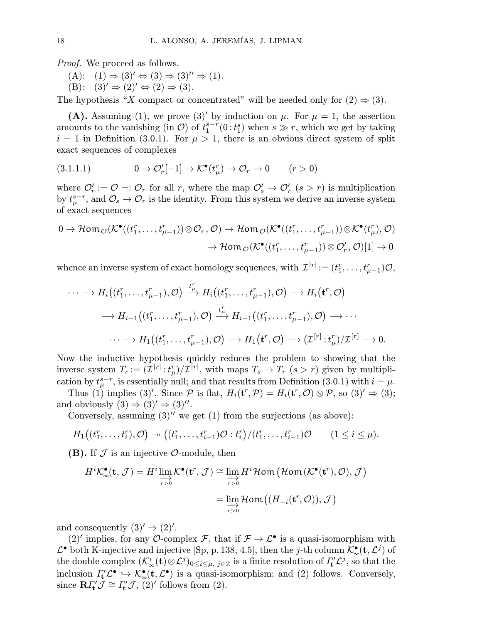*Proof.* We proceed as follows.

- $(A): (1) \Rightarrow (3)' \Leftrightarrow (3) \Rightarrow (3)'' \Rightarrow (1).$
- (B):  $(3)' \Rightarrow (2)' \Leftrightarrow (2) \Rightarrow (3)$ .

The hypothesis "X compact or concentrated" will be needed only for  $(2) \Rightarrow (3)$ .

(A). Assuming (1), we prove (3)' by induction on  $\mu$ . For  $\mu = 1$ , the assertion amounts to the vanishing (in  $\mathcal{O}$ ) of  $t_1^{s-r}(0:t_1^s)$  when  $s \gg r$ , which we get by taking  $i = 1$  in Definition (3.0.1). For  $\mu > 1$ , there is an obvious direct system of split exact sequences of complexes

(3.1.1.1) 
$$
0 \to \mathcal{O}'_r[-1] \to \mathcal{K}^{\bullet}(t^r_\mu) \to \mathcal{O}_r \to 0 \qquad (r > 0)
$$

where  $\mathcal{O}'_r := \mathcal{O} =: \mathcal{O}_r$  for all r, where the map  $\mathcal{O}'_s \to \mathcal{O}'_r$   $(s > r)$  is multiplication by  $t_{\mu}^{s-r}$ , and  $\mathcal{O}_s \to \mathcal{O}_r$  is the identity. From this system we derive an inverse system of exact sequences

$$
0 \to \mathcal{H}\mathsf{om}_{\mathcal{O}}(\mathcal{K}^{\bullet}((t_1^r, \ldots, t_{\mu-1}^r)) \otimes \mathcal{O}_r, \mathcal{O}) \to \mathcal{H}\mathsf{om}_{\mathcal{O}}(\mathcal{K}^{\bullet}((t_1^r, \ldots, t_{\mu-1}^r)) \otimes \mathcal{K}^{\bullet}(t_{\mu}^r), \mathcal{O})
$$

$$
\to \mathcal{H}\mathsf{om}_{\mathcal{O}}(\mathcal{K}^{\bullet}((t_1^r, \ldots, t_{\mu-1}^r)) \otimes \mathcal{O}'_r, \mathcal{O})[1] \to 0
$$

whence an inverse system of exact homology sequences, with  $\mathcal{I}^{[r]} := (t_1^r, \ldots, t_{\mu-1}^r)\mathcal{O},$ 

$$
\cdots \longrightarrow H_i((t_1^r, \ldots, t_{\mu-1}^r), \mathcal{O}) \xrightarrow{t_{\mu}^r} H_i((t_1^r, \ldots, t_{\mu-1}^r), \mathcal{O}) \longrightarrow H_i(\mathbf{t}^r, \mathcal{O})
$$
  

$$
\longrightarrow H_{i-1}((t_1^r, \ldots, t_{\mu-1}^r), \mathcal{O}) \xrightarrow{t_{\mu}^r} H_{i-1}((t_1^r, \ldots, t_{\mu-1}^r), \mathcal{O}) \longrightarrow \cdots
$$
  

$$
\cdots \longrightarrow H_1((t_1^r, \ldots, t_{\mu-1}^r), \mathcal{O}) \longrightarrow H_1(\mathbf{t}^r, \mathcal{O}) \longrightarrow (\mathcal{I}^{[r]} : t_{\mu}^r)/\mathcal{I}^{[r]} \longrightarrow 0.
$$

Now the inductive hypothesis quickly reduces the problem to showing that the inverse system  $T_r := (\mathcal{I}^{[r]} : t^r_\mu)/\mathcal{I}^{[r]}$ , with maps  $T_s \to T_r$   $(s > r)$  given by multiplication by  $t_{\mu}^{s-r}$ , is essentially null; and that results from Definition (3.0.1) with  $i = \mu$ .

Thus (1) implies (3)'. Since  $P$  is flat,  $H_i(\mathbf{t}^r, \mathcal{P}) = H_i(\mathbf{t}^r, \mathcal{O}) \otimes \mathcal{P}$ , so (3)'  $\Rightarrow$  (3); and obviously  $(3) \Rightarrow (3)' \Rightarrow (3)''$ .

Conversely, assuming  $(3)$ <sup>"</sup> we get  $(1)$  from the surjections (as above):

$$
H_1\big((t_1^r,\ldots,t_i^r),\mathcal{O}\big) \twoheadrightarrow \big((t_1^r,\ldots,t_{i-1}^r)\mathcal{O}:t_i^r\big)/(t_1^r,\ldots,t_{i-1}^r)\mathcal{O} \qquad(1\leq i\leq \mu).
$$

(B). If  $\mathcal J$  is an injective  $\mathcal O$ -module, then

$$
H^{i} \mathcal{K}_{\infty}^{\bullet}(\mathbf{t}, \mathcal{J}) = H^{i} \varinjlim_{r>0} \mathcal{K}^{\bullet}(\mathbf{t}^{r}, \mathcal{J}) \cong \varinjlim_{r>0} H^{i} \mathcal{H} \text{om} \left(\mathcal{H} \text{om} \left(\mathcal{K}^{\bullet}(\mathbf{t}^{r}), \mathcal{O}\right), \mathcal{J}\right)
$$

$$
= \varinjlim_{r>0} \mathcal{H} \text{om} \left((H_{-i}(\mathbf{t}^{r}, \mathcal{O})), \mathcal{J}\right)
$$

and consequently  $(3)' \Rightarrow (2)'$ .

(2)' implies, for any O-complex F, that if  $\mathcal{F} \to \mathcal{L}^{\bullet}$  is a quasi-isomorphism with  $\mathcal{L}^{\bullet}$  both K-injective and injective [Sp, p. 138, 4.5], then the j-th column  $\mathcal{K}_{\infty}^{\bullet}(\mathbf{t}, \mathcal{L}^j)$  of the double complex  $(\mathcal{K}^i_\infty(\mathbf{t}) \otimes \mathcal{L}^j)_{0 \leq i \leq \mu, j \in \mathbb{Z}}$  is a finite resolution of  $\varGamma'_{\mathbf{t}} \mathcal{L}^j$ , so that the inclusion  $\Gamma_t' \mathcal{L}^{\bullet} \hookrightarrow \mathcal{K}^{\bullet}_{\infty}(\mathbf{t}, \mathcal{L}^{\bullet})$  is a quasi-isomorphism; and (2) follows. Conversely, since  $\mathbf{R}\Gamma_{t}^{\prime}\tilde{\mathcal{J}}\cong\Gamma_{t}^{\prime}\mathcal{J},$  (2)' follows from (2).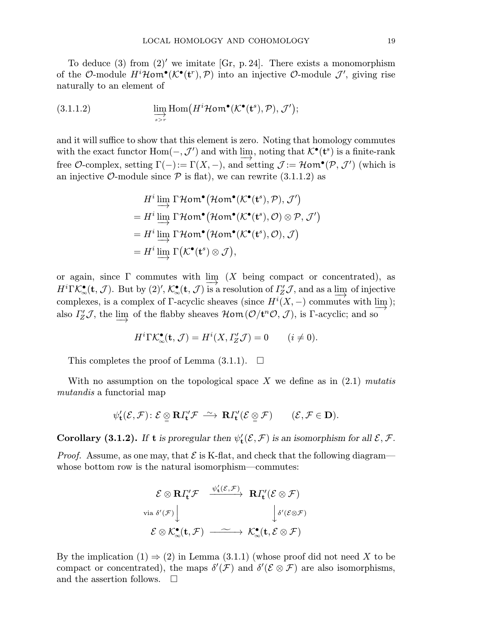To deduce (3) from (2)<sup> $\prime$ </sup> we imitate [Gr, p. 24]. There exists a monomorphism of the O-module  $H^i\mathcal{H}$ om $\bullet(\mathcal{K}^{\bullet}(t^r), \mathcal{P})$  into an injective O-module  $\mathcal{J}'$ , giving rise naturally to an element of

(3.1.1.2) 
$$
\lim_{\substack{\longrightarrow \text{sim}\ \text{Hom}\ (H^i\mathcal{H}\text{om}^{\bullet}(\mathcal{K}^{\bullet}(\mathbf{t}^s), \mathcal{P}), \mathcal{J}^{\prime})}} \lim_{\substack{\longrightarrow \text{sim}\ \text{Hom}\ (H^i\mathcal{H}\text{om}^{\bullet}(\mathcal{K}^{\bullet}(\mathbf{t}^s), \mathcal{P}), \mathcal{J}^{\prime})}} \text{.}
$$

and it will suffice to show that this element is zero. Noting that homology commutes with the exact functor  $Hom(-, \mathcal{J}')$  and with  $\lim_{\longrightarrow}$ , noting that  $\mathcal{K}^{\bullet}(\mathbf{t}^s)$  is a finite-rank free O-complex, setting  $\Gamma(-) := \Gamma(X, -)$ , and setting  $\mathcal{J} := \mathcal{H} \text{om}^{\bullet}(\mathcal{P}, \mathcal{J}')$  (which is an injective  $\mathcal{O}$ -module since  $\mathcal{P}$  is flat), we can rewrite (3.1.1.2) as

$$
Hi \underline{\lim}_{\longrightarrow} \Gamma \mathcal{H}om^{\bullet}(\mathcal{H}om^{\bullet}(\mathcal{K}^{\bullet}(\mathbf{t}^{s}), \mathcal{P}), \mathcal{J}')
$$
  
=  $Hi \underline{\lim}_{\longrightarrow} \Gamma \mathcal{H}om^{\bullet}(\mathcal{H}om^{\bullet}(\mathcal{K}^{\bullet}(\mathbf{t}^{s}), \mathcal{O}) \otimes \mathcal{P}, \mathcal{J}')$   
=  $Hi \underline{\lim}_{\longrightarrow} \Gamma \mathcal{H}om^{\bullet}(\mathcal{H}om^{\bullet}(\mathcal{K}^{\bullet}(\mathbf{t}^{s}), \mathcal{O}), \mathcal{J})$   
=  $Hi \underline{\lim}_{\longrightarrow} \Gamma(\mathcal{K}^{\bullet}(\mathbf{t}^{s}) \otimes \mathcal{J}),$ 

or again, since  $\Gamma$  commutes with lim  $(X$  being compact or concentrated), as  $H^i\Gamma\mathcal{K}_{\infty}^{\bullet}(\mathbf{t},\mathcal{J})$ . But by  $(2)$ ',  $\mathcal{K}_{\infty}^{\bullet}(\mathbf{t},\mathcal{J})$  is a resolution of  $\Gamma_{\mathbf{Z}}^{\prime}\mathcal{J}$ , and as a limp of injective complexes, is a complex of Γ-acyclic sheaves (since  $H^i(X, -)$  commutes with  $\lim_{M \to \infty} f(x)$ ); also  $\Gamma'_{Z}\mathcal{J}$ , the  $\underline{\lim}$  of the flabby sheaves  $\mathcal{H}$ om $(\mathcal{O}/\mathbf{t}^n\mathcal{O}, \mathcal{J})$ , is  $\Gamma$ -acyclic; and so

$$
H^{i}\Gamma\mathcal{K}_{\infty}^{\bullet}(\mathbf{t},\mathcal{J})=H^{i}(X,\varGamma'_{Z}\mathcal{J})=0\qquad(i\neq 0).
$$

This completes the proof of Lemma  $(3.1.1)$ .  $\Box$ 

With no assumption on the topological space  $X$  we define as in  $(2.1)$  mutatis mutandis a functorial map

$$
\psi'_{\mathbf{t}}(\mathcal{E},\mathcal{F})\colon \mathcal{E}\,\underset{\sim}{\otimes}\,\mathbf{R} \varGamma_{\!\mathbf{t}}'\mathcal{F}\,\stackrel{\sim}{\longrightarrow}\,\mathbf{R}\varGamma_{\!\mathbf{t}}'(\mathcal{E}\,\underset{\sim}{\otimes}\,\mathcal{F})\qquad (\mathcal{E},\mathcal{F}\in\mathbf{D}).
$$

**Corollary (3.1.2).** If **t** is proregular then  $\psi'_t(\mathcal{E}, \mathcal{F})$  is an isomorphism for all  $\mathcal{E}, \mathcal{F}$ .

*Proof.* Assume, as one may, that  $\mathcal{E}$  is K-flat, and check that the following diagram whose bottom row is the natural isomorphism—commutes:

$$
\mathcal{E} \otimes \mathbf{R} \Gamma'_{\mathbf{t}} \mathcal{F} \xrightarrow{\psi'_{\mathbf{t}}(\mathcal{E}, \mathcal{F})} \mathbf{R} \Gamma'_{\mathbf{t}}(\mathcal{E} \otimes \mathcal{F})
$$
  
via  $\delta'(\mathcal{F}) \downarrow \qquad \qquad \downarrow \delta'(\mathcal{E} \otimes \mathcal{F})$   
 $\mathcal{E} \otimes \mathcal{K}^{\bullet}_{\infty}(\mathbf{t}, \mathcal{F}) \xrightarrow{\sim} \mathcal{K}^{\bullet}_{\infty}(\mathbf{t}, \mathcal{E} \otimes \mathcal{F})$ 

By the implication  $(1) \Rightarrow (2)$  in Lemma  $(3.1.1)$  (whose proof did not need X to be compact or concentrated), the maps  $\delta'(\mathcal{F})$  and  $\delta'(\mathcal{E}\otimes\mathcal{F})$  are also isomorphisms, and the assertion follows.  $\quad \Box$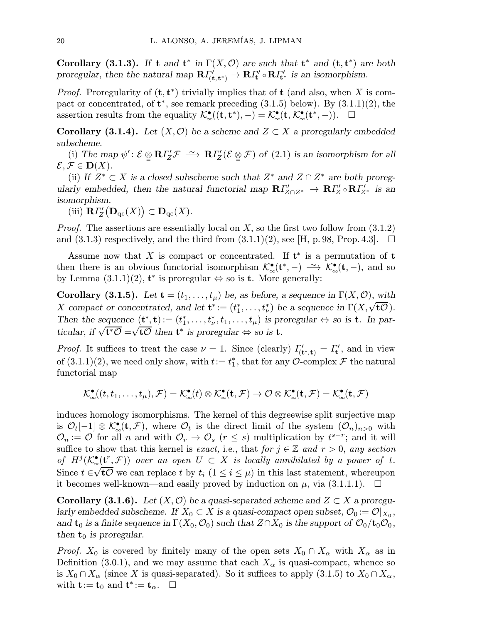Corollary (3.1.3). If t and t<sup>\*</sup> in  $\Gamma(X, \mathcal{O})$  are such that t<sup>\*</sup> and (t, t<sup>\*</sup>) are both proregular, then the natural map  $R\Gamma'_{(t,t^*)} \to R\Gamma'_{t} \circ R\Gamma'_{t^*}$  is an isomorphism.

*Proof.* Proregularity of  $(\mathbf{t}, \mathbf{t}^*)$  trivially implies that of  $\mathbf{t}$  (and also, when X is compact or concentrated, of  $t^*$ , see remark preceding  $(3.1.5)$  below). By  $(3.1.1)(2)$ , the assertion results from the equality  $\mathcal{K}_{\infty}^{\bullet}((t, t^*), -) = \mathcal{K}_{\infty}^{\bullet}(t, \mathcal{K}_{\infty}^{\bullet}(t^*, -)). \quad \Box$ 

Corollary (3.1.4). Let  $(X, \mathcal{O})$  be a scheme and  $Z \subset X$  a proregularly embedded subscheme.

(i) The map  $\psi' : \mathcal{E} \subseteq \mathbb{R}I_Z^{\prime} \mathcal{F} \longrightarrow \mathbb{R}I_Z^{\prime} (\mathcal{E} \subseteq \mathcal{F})$  of (2.1) is an isomorphism for all  $\mathcal{E}, \mathcal{F} \in \mathbf{D}(X).$ 

(ii) If  $Z^* \subset X$  is a closed subscheme such that  $Z^*$  and  $Z \cap Z^*$  are both proregularly embedded, then the natural functorial map  $R\Gamma'_{Z\cap Z^*} \to R\Gamma'_{Z} \circ R\Gamma'_{Z^*}$  is an isomorphism.

(iii)  $\mathbf{R} I_Z'(\mathbf{D}_{\mathrm{qc}}(X)) \subset \mathbf{D}_{\mathrm{qc}}(X)$ .

*Proof.* The assertions are essentially local on  $X$ , so the first two follow from  $(3.1.2)$ and  $(3.1.3)$  respectively, and the third from  $(3.1.1)(2)$ , see [H, p. 98, Prop. 4.3].  $\Box$ 

Assume now that X is compact or concentrated. If  $t^*$  is a permutation of  $t$ then there is an obvious functorial isomorphism  $\mathcal{K}_{\infty}^{\bullet}(\mathbf{t}^*,-) \longrightarrow \mathcal{K}_{\infty}^{\bullet}(\mathbf{t},-)$ , and so by Lemma  $(3.1.1)(2)$ ,  $t^*$  is proregular  $\Leftrightarrow$  so is **t**. More generally:

**Corollary (3.1.5).** Let  $\mathbf{t} = (t_1, \ldots, t_\mu)$  be, as before, a sequence in  $\Gamma(X, \mathcal{O})$ , with Coronary (3.1.3). Let  $\mathbf{t} = (t_1, \ldots, t_{\mu})$  be, as before, a sequence in  $\Gamma(X, \sqrt{t\mathcal{O}})$ .<br>X compact or concentrated, and let  $\mathbf{t}^* := (t_1^*, \ldots, t_{\nu}^*)$  be a sequence in  $\Gamma(X, \sqrt{t\mathcal{O}})$ . Then the sequence  $(\mathbf{t}^*, \mathbf{t}) := (t_1^*, \ldots, t_{\nu}, t_1, \ldots, t_{\mu})$  is proregular  $\Leftrightarrow$  so is  $\mathbf{t}$ . In par-Then the sequence  $(\mathbf{t}, \mathbf{t}) = (t_1, \dots, t_{\nu}, t_1, \dots, t_{\mu})$  is proved then  $\mathbf{t}^*$  is proregular  $\Leftrightarrow$  so is  $\mathbf{t}$ .

*Proof.* It suffices to treat the case  $\nu = 1$ . Since (clearly)  $\Gamma'_{(\mathbf{t}^*, \mathbf{t})} = \Gamma'_{\mathbf{t}}$ , and in view of  $(3.1.1)(2)$ , we need only show, with  $t := t_1^*$ , that for any  $\mathcal{O}$ -complex  $\mathcal{F}$  the natural functorial map

$$
\mathcal{K}^\bullet_\infty((t,t_1,\ldots,t_\mu),\mathcal{F})=\mathcal{K}^\bullet_\infty(t)\otimes\mathcal{K}^\bullet_\infty(\mathbf{t},\mathcal{F})\rightarrow\mathcal{O}\otimes\mathcal{K}^\bullet_\infty(\mathbf{t},\mathcal{F})=\mathcal{K}^\bullet_\infty(\mathbf{t},\mathcal{F})
$$

induces homology isomorphisms. The kernel of this degreewise split surjective map is  $\mathcal{O}_t[-1] \otimes \mathcal{K}^{\bullet}_{\infty}(\mathbf{t}, \mathcal{F})$ , where  $\mathcal{O}_t$  is the direct limit of the system  $(\mathcal{O}_n)_{n>0}$  with  $\mathcal{O}_n := \mathcal{O}$  for all n and with  $\mathcal{O}_r \to \mathcal{O}_s$  ( $r \leq s$ ) multiplication by  $t^{s-r}$ ; and it will suffice to show that this kernel is exact, i.e., that for  $j \in \mathbb{Z}$  and  $r > 0$ , any section of  $H^j(\mathcal{K}^{\bullet}_{\infty}(\mathbf{t}^r,\mathcal{F}))$  over an open  $U\subset X$  is locally annihilated by a power of t. Since  $t \in$ ′∞′  $\mathbf{t} \mathcal{O}$  we can replace t by  $t_i$   $(1 \leq i \leq \mu)$  in this last statement, whereupon it becomes well-known—and easily proved by induction on  $\mu$ , via (3.1.1.1).  $\square$ 

**Corollary (3.1.6).** Let  $(X, \mathcal{O})$  be a quasi-separated scheme and  $Z \subset X$  a proregularly embedded subscheme. If  $X_0 \subset X$  is a quasi-compact open subset,  $\mathcal{O}_0 := \mathcal{O}|_{X_0}$ , and  $t_0$  is a finite sequence in  $\Gamma(X_0, \mathcal{O}_0)$  such that  $Z \cap X_0$  is the support of  $\mathcal{O}_0/t_0\mathcal{O}_0$ , then  $t_0$  is proregular.

*Proof.*  $X_0$  is covered by finitely many of the open sets  $X_0 \cap X_\alpha$  with  $X_\alpha$  as in Definition (3.0.1), and we may assume that each  $X_{\alpha}$  is quasi-compact, whence so is  $X_0 \cap X_\alpha$  (since X is quasi-separated). So it suffices to apply (3.1.5) to  $X_0 \cap X_\alpha$ , with  $\mathbf{t} := \mathbf{t}_0$  and  $\mathbf{t}^* := \mathbf{t}_\alpha$ .  $\Box$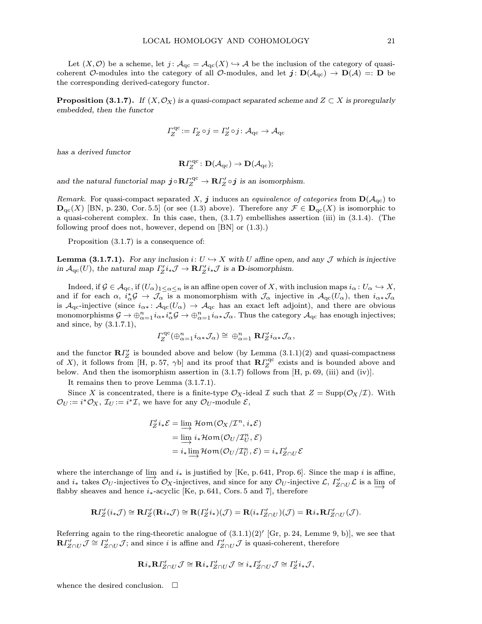Let  $(X, \mathcal{O})$  be a scheme, let  $j : \mathcal{A}_{\mathrm{qc}} = \mathcal{A}_{\mathrm{qc}}(X) \hookrightarrow \mathcal{A}$  be the inclusion of the category of quasicoherent O-modules into the category of all O-modules, and let  $j: D(\mathcal{A}_{qc}) \to D(\mathcal{A}) =: D$  be the corresponding derived-category functor.

**Proposition (3.1.7).** If  $(X, \mathcal{O}_X)$  is a quasi-compact separated scheme and  $Z \subset X$  is proregularly embedded, then the functor

$$
\varGamma_Z^{\mathrm{qc}}\!:=\varGamma_Z\circ j=\varGamma_Z'\circ j\colon \mathcal{A}_{\mathrm{qc}}\to \mathcal{A}_{\mathrm{qc}}
$$

has a derived functor

$$
\mathbf{R} \varGamma^{\mathrm{qc}}_Z \colon \mathbf{D}(\mathcal{A}_{\mathrm{qc}}) \to \mathbf{D}(\mathcal{A}_{\mathrm{qc}});
$$

and the natural functorial map  $\bm{j} \circ \mathbf{R} \Gamma_Z^{\text{qc}} \to \mathbf{R} \Gamma_Z' \circ \bm{j}$  is an isomorphism.

Remark. For quasi-compact separated X, j induces an equivalence of categories from  $\mathbf{D}(\mathcal{A}_{\text{qc}})$  to  $\mathbf{D}_{\mathrm{qc}}(X)$  [BN, p. 230, Cor. 5.5] (or see (1.3) above). Therefore any  $\mathcal{F} \in \mathbf{D}_{\mathrm{qc}}(X)$  is isomorphic to a quasi-coherent complex. In this case, then, (3.1.7) embellishes assertion (iii) in (3.1.4). (The following proof does not, however, depend on [BN] or (1.3).)

Proposition (3.1.7) is a consequence of:

**Lemma (3.1.7.1).** For any inclusion i:  $U \hookrightarrow X$  with U affine open, and any J which is injective in  $\mathcal{A}_{\mathrm{qc}}(U)$ , the natural map  $\Gamma'_Z i_* \mathcal{J} \to \mathbf{R} \Gamma'_Z i_* \mathcal{J}$  is a  $\mathbf{D}$ -isomorphism.

Indeed, if  $\mathcal{G} \in \mathcal{A}_{\mathrm{qc}},$  if  $(U_\alpha)_{1 \leq \alpha \leq n}$  is an affine open cover of X, with inclusion maps  $i_\alpha : U_\alpha \hookrightarrow X$ , and if for each  $\alpha$ ,  $i_{\alpha}^*\mathcal{G} \to \mathcal{J}_{\alpha}$  is a monomorphism with  $\mathcal{J}_{\alpha}$  injective in  $\mathcal{A}_{\text{qc}}(U_{\alpha})$ , then  $i_{\alpha*}\mathcal{J}_{\alpha}$ is  $A_{\text{qc}}$ -injective (since  $i_{\alpha*}: A_{\text{qc}}(U_{\alpha}) \to A_{\text{qc}}$  has an exact left adjoint), and there are obvious monomorphisms  $\mathcal{G} \to \bigoplus_{\alpha=1}^n i_{\alpha *} i_{\alpha}^* \mathcal{G} \to \bigoplus_{\alpha=1}^n i_{\alpha *} \mathcal{J}_{\alpha}$ . Thus the category  $\mathcal{A}_{\mathrm{qc}}$  has enough injectives; and since, by (3.1.7.1),

$$
I_Z^{\text{qc}}(\bigoplus_{\alpha=1}^n i_{\alpha*}\mathcal{J}_\alpha) \cong \bigoplus_{\alpha=1}^n \mathbf{R} I_Z'i_{\alpha*}\mathcal{J}_\alpha,
$$

and the functor  $\mathbb{R}I_Z^{\prime\prime}$  is bounded above and below (by Lemma  $(3.1.1)(2)$  and quasi-compactness of X), it follows from [H, p. 57,  $\gamma$ b] and its proof that  $\mathbb{R} \Gamma^{\text{qc}}_{Z}$  exists and is bounded above and below. And then the isomorphism assertion in  $(3.1.7)$  follows from [H, p. 69, (iii) and (iv)].

It remains then to prove Lemma (3.1.7.1).

Since X is concentrated, there is a finite-type  $\mathcal{O}_X$ -ideal  $\mathcal I$  such that  $Z = \text{Supp}(\mathcal{O}_X/\mathcal{I})$ . With  $\mathcal{O}_U := i^*\mathcal{O}_X$ ,  $\mathcal{I}_U := i^*\mathcal{I}$ , we have for any  $\mathcal{O}_U$ -module  $\mathcal{E}$ ,

$$
I'_Z i_* \mathcal{E} = \lim_{t \to \infty} \mathcal{H}om(\mathcal{O}_X / \mathcal{I}^n, i_* \mathcal{E})
$$
  
= 
$$
\lim_{t \to \infty} i_* \mathcal{H}om(\mathcal{O}_U / \mathcal{I}_U^n, \mathcal{E})
$$
  
= 
$$
i_* \lim_{t \to \infty} \mathcal{H}om(\mathcal{O}_U / \mathcal{I}_U^n, \mathcal{E}) = i_* I'_{Z \cap U} \mathcal{E}
$$

where the interchange of  $\lim_{k \to \infty}$  and  $i_*$  is justified by [Ke, p. 641, Prop. 6]. Since the map i is affine, and  $i_*$  takes  $\mathcal{O}_U$ -injectives to  $\mathcal{O}_X$ -injectives, and since for any  $\mathcal{O}_U$ -injective  $\mathcal{L}, \Gamma'_{Z \cap U} \mathcal{L}$  is a lim of flabby sheaves and hence  $i_{*}$ -acyclic [Ke, p. 641, Cors. 5 and 7], therefore

$$
\mathbf{R} \Gamma'_{Z}(i_*\mathcal{J}) \cong \mathbf{R} \Gamma'_{Z}(\mathbf{R} i_*\mathcal{J}) \cong \mathbf{R} (\Gamma'_{Z} i_*)(\mathcal{J}) = \mathbf{R} (i_* \Gamma'_{Z \cap U})(\mathcal{J}) = \mathbf{R} i_* \mathbf{R} \Gamma'_{Z \cap U}(\mathcal{J}).
$$

Referring again to the ring-theoretic analogue of  $(3.1.1)(2)'$  [Gr, p. 24, Lemme 9, b)], we see that  $\mathbf{R} \Gamma'_{Z\cap U} \mathcal{J} \cong \Gamma'_{Z\cap U} \mathcal{J}$ ; and since *i* is affine and  $\Gamma'_{Z\cap U} \mathcal{J}$  is quasi-coherent, therefore

$$
\mathbf{R}i_{*}\mathbf{R}\Gamma'_{Z\cap U}\mathcal{J}\cong \mathbf{R}i_{*}\Gamma'_{Z\cap U}\mathcal{J}\cong i_{*}\Gamma'_{Z\cap U}\mathcal{J}\cong \Gamma'_{Z}i_{*}\mathcal{J},
$$

whence the desired conclusion.  $\Box$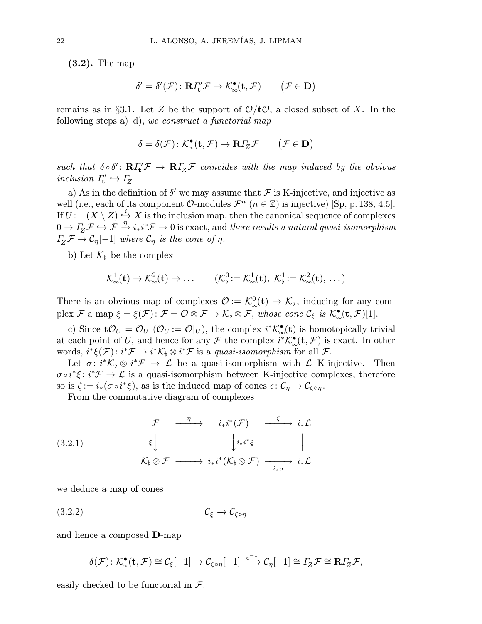(3.2). The map

$$
\delta' = \delta'(\mathcal{F}) \colon \mathbf{R} \Gamma'_{\mathbf{t}} \mathcal{F} \to \mathcal{K}^{\bullet}_{\infty}(\mathbf{t}, \mathcal{F}) \qquad \big( \mathcal{F} \in \mathbf{D} \big)
$$

remains as in §3.1. Let Z be the support of  $\mathcal{O}/t\mathcal{O}$ , a closed subset of X. In the following steps  $a$ )–d), we construct a functorial map

$$
\delta=\delta(\mathcal{F})\colon \mathcal{K}_\infty^\bullet(\mathbf{t},\mathcal{F})\to\mathbf{R}\varGamma_Z\mathcal{F}\qquad \big(\mathcal{F}\in\mathbf{D}\big)
$$

such that  $\delta \circ \delta' \colon \mathbf{R} \Gamma'_{\mathbf{t}} \mathcal{F} \to \mathbf{R} \Gamma_{\mathbf{Z}} \mathcal{F}$  coincides with the map induced by the obvious inclusion  $\Gamma'_{t} \hookrightarrow \Gamma_{Z}$ .

a) As in the definition of  $\delta'$  we may assume that  $\mathcal F$  is K-injective, and injective as well (i.e., each of its component  $\mathcal{O}\text{-modules }\mathcal{F}^n$  ( $n \in \mathbb{Z}$ ) is injective) [Sp, p. 138, 4.5]. If  $U = (X \setminus Z) \stackrel{i}{\hookrightarrow} X$  is the inclusion map, then the canonical sequence of complexes  $0\to\varGamma_{\cal Z}\mathcal F\stackrel{\gamma}{\hookrightarrow}\mathcal F\stackrel{\eta}{\to}i_*i^*\mathcal F\to 0\text{ is exact, and there results a natural quasi-isomorphism}$  $\Gamma_Z \mathcal{F} \to \mathcal{C}_\eta[-1]$  where  $\mathcal{C}_\eta$  is the cone of  $\eta$ .

b) Let  $\mathcal{K}_{\flat}$  be the complex

$$
\mathcal{K}^1_\infty(\mathbf{t}) \to \mathcal{K}^2_\infty(\mathbf{t}) \to \dots \qquad (\mathcal{K}^0_\flat := \mathcal{K}^1_\infty(\mathbf{t}), \ \mathcal{K}^1_\flat := \mathcal{K}^2_\infty(\mathbf{t}), \ \dots)
$$

There is an obvious map of complexes  $\mathcal{O} := \mathcal{K}^0_{\infty}(\mathbf{t}) \to \mathcal{K}_{\flat}$ , inducing for any com- $\text{plex } \mathcal{F} \text{ a map } \xi = \xi(\mathcal{F}) \colon \mathcal{F} = \mathcal{O} \otimes \mathcal{F} \to \mathcal{K}_{\flat} \otimes \mathcal{F}, \text{ whose cone } \mathcal{C}_{\xi} \text{ is } \mathcal{K}_{\infty}^{\bullet}(\mathbf{t}, \mathcal{F})[1].$ 

c) Since  $\mathbf{t}\mathcal{O}_U = \mathcal{O}_U (\mathcal{O}_U := \mathcal{O}|_U)$ , the complex  $i^*\mathcal{K}^{\bullet}_{\infty}(\mathbf{t})$  is homotopically trivial at each point of U, and hence for any  $\mathcal F$  the complex  $i^*\mathcal K^{\bullet}_{\infty}(\mathbf t,\mathcal F)$  is exact. In other words,  $i^*\xi(\mathcal{F})$ :  $i^*\mathcal{F} \to i^*\mathcal{K}_b \otimes i^*\mathcal{F}$  is a *quasi-isomorphism* for all  $\mathcal{F}$ .

Let  $\sigma: i^*\mathcal{K}_b \otimes i^*\mathcal{F} \to \mathcal{L}$  be a quasi-isomorphism with  $\mathcal{L}$  K-injective. Then  $\sigma \circ i^* \xi : i^* \mathcal{F} \to \mathcal{L}$  is a quasi-isomorphism between K-injective complexes, therefore so is  $\zeta := i_*(\sigma \circ i^*\xi)$ , as is the induced map of cones  $\epsilon \colon \mathcal{C}_\eta \to \mathcal{C}_{\zeta \circ \eta}$ .

From the commutative diagram of complexes

(3.2.1) 
$$
\begin{array}{ccc}\n\mathcal{F} & \xrightarrow{\eta} & i_{*}i^{*}(\mathcal{F}) & \xrightarrow{\zeta} & i_{*}\mathcal{L} \\
& \xi & \downarrow^{i_{*}i^{*}\xi} & \|\n\mathcal{K}_{\flat}\otimes\mathcal{F} & \xrightarrow{\longrightarrow} & i_{*}i^{*}(\mathcal{K}_{\flat}\otimes\mathcal{F}) & \xrightarrow{i_{*}\sigma} & i_{*}\mathcal{L}\n\end{array}
$$

we deduce a map of cones

$$
(3.2.2) \t\t\t\t\t\mathcal{C}_{\xi} \to \mathcal{C}_{\zeta \circ \eta}
$$

and hence a composed D-map

$$
\delta(\mathcal{F})\colon \mathcal{K}_{\infty}^{\bullet}(\mathbf{t},\mathcal{F})\cong \mathcal{C}_{\xi}[-1]\to \mathcal{C}_{\zeta\circ\eta}[-1]\xrightarrow{\epsilon^{-1}} \mathcal{C}_{\eta}[-1]\cong \varGamma_{Z}\mathcal{F}\cong \mathbf{R}\varGamma_{Z}\mathcal{F},
$$

easily checked to be functorial in  $\mathcal{F}.$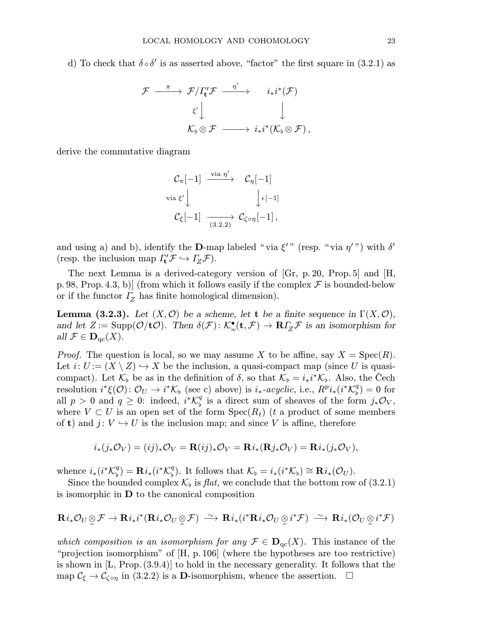d) To check that  $\delta \circ \delta'$  is as asserted above, "factor" the first square in (3.2.1) as

$$
\begin{array}{ccc} \mathcal{F} & \xrightarrow{\pi} & \mathcal{F}/\varGamma_{\!\! \iota}^{\prime} \mathcal{F} & \xrightarrow{\eta^{\prime}} & i_{*}i^{*}(\mathcal{F}) \\ & & \xi^{\prime} \Big\downarrow & & \Big\downarrow \\ & & \mathcal{K}_{\flat} \otimes \mathcal{F} & \xrightarrow{\hspace*{1.5cm}} i_{*}i^{*}(\mathcal{K}_{\flat} \otimes \mathcal{F})\,, \end{array}
$$

derive the commutative diagram

$$
\begin{array}{ccc}\n\mathcal{C}_{\pi}[-1] & \xrightarrow{\text{via }\eta'} & \mathcal{C}_{\eta}[-1] \\
\downarrow{\text{via }\xi'} & & \downarrow{\epsilon[-1]} \\
\mathcal{C}_{\xi}[-1] & \xrightarrow{(3.2.2)} & \mathcal{C}_{\zeta \circ \eta}[-1],\n\end{array}
$$

and using a) and b), identify the **D**-map labeled "via  $\xi''$ " (resp. "via  $\eta''$ ") with  $\delta'$ (resp. the inclusion map  $\Gamma'_t \mathcal{F} \hookrightarrow \Gamma_Z \mathcal{F}$ ).

The next Lemma is a derived-category version of [Gr, p. 20, Prop.5] and [H, p. 98, Prop. 4.3, b) (from which it follows easily if the complex  $\mathcal F$  is bounded-below or if the functor  $\Gamma$ <sub>Z</sub> has finite homological dimension).

**Lemma (3.2.3).** Let  $(X, \mathcal{O})$  be a scheme, let t be a finite sequence in  $\Gamma(X, \mathcal{O})$ , and let  $Z := \text{Supp}(\mathcal{O}/t\mathcal{O})$ . Then  $\delta(\mathcal{F}) : \mathcal{K}^{\bullet}_{\infty}(\mathbf{t}, \mathcal{F}) \to \mathbf{R} I_Z^{\mathcal{F}} \mathcal{F}$  is an isomorphism for all  $\mathcal{F} \in \mathbf{D}_{\mathrm{qc}}(X)$ .

*Proof.* The question is local, so we may assume X to be affine, say  $X = \text{Spec}(R)$ . Let  $i: U := (X \setminus Z) \hookrightarrow X$  be the inclusion, a quasi-compact map (since U is quasicompact). Let  $\mathcal{K}_{\flat}$  be as in the definition of  $\delta$ , so that  $\mathcal{K}_{\flat} = i_*i^*\mathcal{K}_{\flat}$ . Also, the Cech resolution  $i^*\xi(\mathcal{O})\colon \mathcal{O}_U\to i^*\mathcal{K}_{\flat}$  (see c) above) is  $i_*\text{-}acyclic$ , i.e.,  $R^pi_*(i^*\mathcal{K}_{\flat}^q)=0$  for all  $p > 0$  and  $q \ge 0$ : indeed,  $i^* \mathcal{K}_{\flat}^q$  is a direct sum of sheaves of the form  $j_* \mathcal{O}_V$ , where  $V \subset U$  is an open set of the form  $Spec(R_t)$  (t a product of some members of **t**) and  $j: V \hookrightarrow U$  is the inclusion map; and since V is affine, therefore

$$
i_*(j_*\mathcal{O}_V) = (ij)_*\mathcal{O}_V = \mathbf{R}(ij)_*\mathcal{O}_V = \mathbf{R}i_* (\mathbf{R}j_*\mathcal{O}_V) = \mathbf{R}i_*(j_*\mathcal{O}_V),
$$

whence  $i_*(i^*\mathcal{K}_{\flat}^q) = \mathbf{R}i_*(i^*\mathcal{K}_{\flat}^q)$ . It follows that  $\mathcal{K}_{\flat} = i_*(i^*\mathcal{K}_{\flat}) \cong \mathbf{R}i_*(\mathcal{O}_U)$ .

Since the bounded complex  $\mathcal{K}_{\flat}$  is flat, we conclude that the bottom row of (3.2.1) is isomorphic in D to the canonical composition

$$
\mathbf{R}i_*\mathcal{O}_U\underset{\cong}{\otimes}\mathcal{F}\rightarrow\mathbf{R}i_*i^*(\mathbf{R}i_*\mathcal{O}_U\underset{\cong}{\otimes}\mathcal{F})\ \stackrel{\sim}{\longrightarrow}\ \mathbf{R}i_*(i^*\mathbf{R}i_*\mathcal{O}_U\underset{\cong}{\otimes}i^*\mathcal{F})\ \stackrel{\sim}{\longrightarrow}\ \mathbf{R}i_*(\mathcal{O}_U\underset{\cong}{\otimes}i^*\mathcal{F})
$$

which composition is an isomorphism for any  $\mathcal{F} \in \mathbf{D}_{\mathrm{qc}}(X)$ . This instance of the "projection isomorphism" of [H, p.106] (where the hypotheses are too restrictive) is shown in  $[L, Prop. (3.9.4)]$  to hold in the necessary generality. It follows that the map  $\mathcal{C}_{\xi} \to \mathcal{C}_{\zeta \circ \eta}$  in (3.2.2) is a **D**-isomorphism, whence the assertion.  $\Box$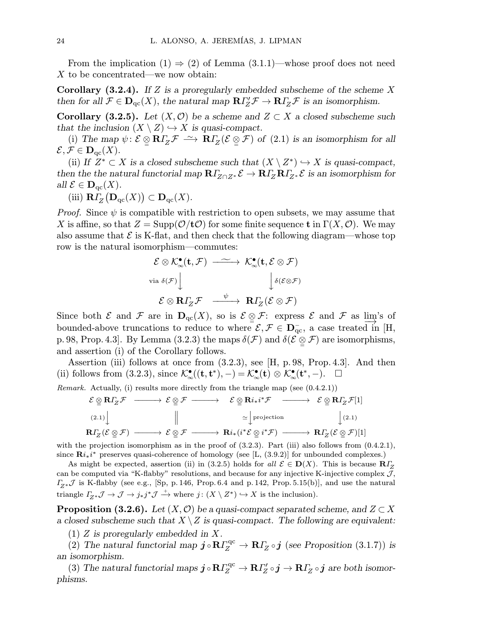From the implication  $(1) \Rightarrow (2)$  of Lemma  $(3.1.1)$ —whose proof does not need X to be concentrated—we now obtain:

**Corollary (3.2.4).** If Z is a proregularly embedded subscheme of the scheme X then for all  $\mathcal{F} \in \mathbf{D}_{\mathrm{qc}}(X)$ , the natural map  $\mathbf{R} \Gamma'_{Z} \mathcal{F} \to \mathbf{R} \Gamma'_{Z} \mathcal{F}$  is an isomorphism.

**Corollary (3.2.5).** Let  $(X, \mathcal{O})$  be a scheme and  $Z \subset X$  a closed subscheme such that the inclusion  $(X \setminus Z) \hookrightarrow X$  is quasi-compact.

(i) The map  $\psi: \mathcal{E} \otimes \mathbf{R} \Gamma_z \mathcal{F} \longrightarrow \mathbf{R} \Gamma_z (\mathcal{E} \otimes \mathcal{F})$  of  $(2.1)$  is an isomorphism for all  $\mathcal{E}, \mathcal{F} \in \mathbf{D}_{\mathrm{qc}}(X).$ 

(ii) If  $Z^* \subset X$  is a closed subscheme such that  $(X \setminus Z^*) \hookrightarrow X$  is quasi-compact, then the the natural functorial map  $R\Gamma_{Z\cap Z^*}\mathcal{E} \to R\Gamma_Z R\Gamma_{Z^*}\mathcal{E}$  is an isomorphism for all  $\mathcal{E} \in \mathbf{D}_{\mathrm{qc}}(X)$ .

(iii)  $R\Gamma_Z(D_{\mathrm{qc}}(X)) \subset D_{\mathrm{qc}}(X)$ .

*Proof.* Since  $\psi$  is compatible with restriction to open subsets, we may assume that X is affine, so that  $Z = \text{Supp}(\mathcal{O}/t\mathcal{O})$  for some finite sequence t in  $\Gamma(X, \mathcal{O})$ . We may also assume that  $\mathcal E$  is K-flat, and then check that the following diagram—whose top row is the natural isomorphism—commutes:

$$
\mathcal{E} \otimes \mathcal{K}^{\bullet}_{\infty}(\mathbf{t}, \mathcal{F}) \longrightarrow \mathcal{K}^{\bullet}_{\infty}(\mathbf{t}, \mathcal{E} \otimes \mathcal{F})
$$
  
\nvia  $\delta(\mathcal{F}) \downarrow \qquad \qquad \downarrow \delta(\mathcal{E} \otimes \mathcal{F})$   
\n
$$
\mathcal{E} \otimes \mathbf{R} \Gamma_{Z} \mathcal{F} \longrightarrow \mathbf{R} \Gamma_{Z}(\mathcal{E} \otimes \mathcal{F})
$$

Since both  $\mathcal E$  and  $\mathcal F$  are in  $\mathbf{D}_{\mathrm{qc}}(X)$ , so is  $\mathcal E \otimes \mathcal F:$  express  $\mathcal E$  and  $\mathcal F$  as  $\varinjlim_{\lambda} S$  of bounded-above truncations to reduce to where  $\mathcal{E}, \mathcal{F} \in \mathbf{D}_{\text{qc}}^-$ , a case treated in [H, p. 98, Prop. 4.3]. By Lemma (3.2.3) the maps  $\delta(\mathcal{F})$  and  $\delta(\mathcal{E} \otimes \mathcal{F})$  are isomorphisms, and assertion (i) of the Corollary follows.

Assertion (iii) follows at once from (3.2.3), see [H, p.98, Prop.4.3]. And then (ii) follows from (3.2.3), since  $\mathcal{K}_{\infty}^{\bullet}(\mathbf{t}, \mathbf{t}^*), -) = \mathcal{K}_{\infty}^{\bullet}(\mathbf{t}) \otimes \mathcal{K}_{\infty}^{\bullet}(\mathbf{t}^*, -). \quad \Box$ 

*Remark.* Actually, (i) results more directly from the triangle map (see  $(0.4.2.1)$ )

$$
\mathcal{E} \underset{\mathfrak{Q}}{\otimes} \mathbf{R} \Gamma_Z \mathcal{F} \longrightarrow \mathcal{E} \underset{\mathfrak{Q}}{\otimes} \mathcal{F} \longrightarrow \mathcal{E} \underset{\mathfrak{Q}}{\otimes} \mathbf{R} i_* i^* \mathcal{F} \longrightarrow \mathcal{E} \underset{\mathfrak{Q}}{\otimes} \mathbf{R} \Gamma_Z \mathcal{F}[1]
$$
\n
$$
\downarrow (2.1)
$$
\n
$$
\mathbf{R} \Gamma_Z (\mathcal{E} \underset{\mathfrak{Q}}{\otimes} \mathcal{F}) \longrightarrow \mathcal{E} \underset{\mathfrak{Q}}{\otimes} \mathcal{F} \longrightarrow \mathbf{R} i_* (i^* \mathcal{E} \underset{\mathfrak{Q}}{\otimes} i^* \mathcal{F}) \longrightarrow \mathbf{R} \Gamma_Z (\mathcal{E} \underset{\mathfrak{Q}}{\otimes} \mathcal{F})[1]
$$

with the projection isomorphism as in the proof of  $(3.2.3)$ . Part (iii) also follows from  $(0.4.2.1)$ , since  $\mathbf{R}i_*i^*$  preserves quasi-coherence of homology (see [L, (3.9.2)] for unbounded complexes.)

As might be expected, assertion (ii) in (3.2.5) holds for all  $\mathcal{E} \in \mathbf{D}(X)$ . This is because  $\mathbf{R}\Gamma_{Z}$ can be computed via "K-flabby" resolutions, and because for any injective K-injective complex  $\mathcal{J}$ ,  $\Gamma_{Z^*}\mathcal{J}$  is K-flabby (see e.g., [Sp, p. 146, Prop. 6.4 and p. 142, Prop. 5.15(b)], and use the natural triangle  $\varGamma_{Z^*}\mathcal{J} \to \mathcal{J} \to j_*j^*\mathcal{J} \xrightarrow{+}$  where  $j: (X \setminus Z^*) \hookrightarrow X$  is the inclusion).

**Proposition (3.2.6).** Let  $(X, \mathcal{O})$  be a quasi-compact separated scheme, and  $Z \subset X$ a closed subscheme such that  $X \setminus Z$  is quasi-compact. The following are equivalent:

(1) Z is proregularly embedded in X.

(2) The natural functorial map  $\mathbf{j} \circ \mathbf{R} \Gamma_Z^{\text{qc}} \to \mathbf{R} \Gamma_Z \circ \mathbf{j}$  (see Proposition (3.1.7)) is an isomorphism.

(3) The natural functorial maps  $\bm j\circ{\bf R}\varGamma_{\!Z}^{\rm qc}\to{\bf R}\varGamma_{\!Z}'\circ\bm j\to{\bf R}\varGamma_{\!Z}\circ\bm j$  are both isomorphisms.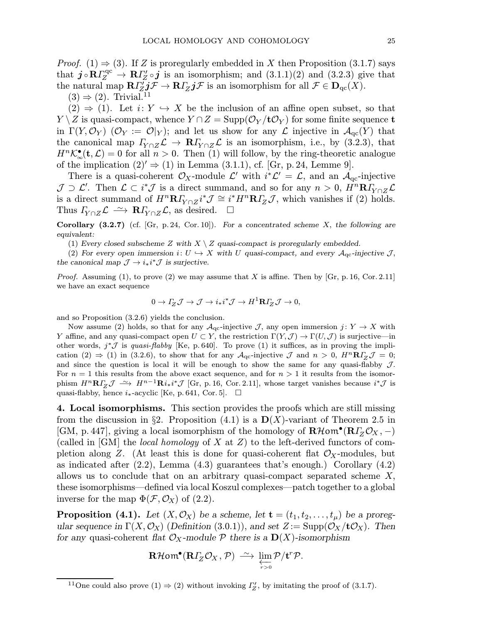*Proof.* (1)  $\Rightarrow$  (3). If Z is proregularly embedded in X then Proposition (3.1.7) says that  $j \circ R \Gamma_Z^{\text{qc}} \to R \Gamma_Z' \circ j$  is an isomorphism; and  $(3.1.1)(2)$  and  $(3.2.3)$  give that the natural map  $\mathbf{R} \Gamma'_{Z} j \mathcal{F} \to \mathbf{R} \Gamma_{Z} j \mathcal{F}$  is an isomorphism for all  $\mathcal{F} \in \mathbf{D}_{\mathrm{qc}}(X)$ .

 $(3) \Rightarrow (2)$ . Trivial.<sup>11</sup>

 $(2) \Rightarrow (1)$ . Let  $i: Y \hookrightarrow X$  be the inclusion of an affine open subset, so that  $Y\setminus Z$  is quasi-compact, whence  $Y\cap Z = \text{Supp}(\mathcal{O}_Y/t\mathcal{O}_Y)$  for some finite sequence to in  $\Gamma(Y, \mathcal{O}_Y)$  ( $\mathcal{O}_Y := \mathcal{O}|_Y$ ); and let us show for any  $\mathcal{L}$  injective in  $\mathcal{A}_{\text{qc}}(Y)$  that the canonical map  $\Gamma_{Y\cap Z}\mathcal{L} \to \mathbf{R}\Gamma_{Y\cap Z}\mathcal{L}$  is an isomorphism, i.e., by (3.2.3), that  $H^{n} \mathcal{K}_{\infty}^{\bullet}(\mathbf{t}, \mathcal{L}) = 0$  for all  $n > 0$ . Then (1) will follow, by the ring-theoretic analogue of the implication  $(2) \rightarrow (1)$  in Lemma  $(3.1.1)$ , cf. [Gr, p. 24, Lemme 9].

There is a quasi-coherent  $\mathcal{O}_X$ -module  $\mathcal{L}'$  with  $i^*\mathcal{L}' = \mathcal{L}$ , and an  $\mathcal{A}_{qc}$ -injective  $\mathcal{J} \supset \mathcal{L}'$ . Then  $\mathcal{L} \subset i^*\mathcal{J}$  is a direct summand, and so for any  $n > 0$ ,  $H^n \mathbf{R} I_{Y \cap Z} \mathcal{L}$ is a direct summand of  $H^n \mathbf{R} I_{Y \cap Z} i^* \mathcal{J} \cong i^* H^n \mathbf{R} I_Z \mathcal{J}$ , which vanishes if (2) holds. Thus  $\Gamma_{Y\cap Z}\mathcal{L} \stackrel{\sim}{\longrightarrow} \mathbf{R}\Gamma_{Y\cap Z}\mathcal{L}$ , as desired.  $\square$ 

Corollary  $(3.2.7)$  (cf. [Gr, p. 24, Cor. 10]). For a concentrated scheme X, the following are equivalent:

(1) Every closed subscheme Z with  $X \setminus Z$  quasi-compact is proregularly embedded.

(2) For every open immersion  $i: U \hookrightarrow X$  with U quasi-compact, and every  $\mathcal{A}_{qc}$ -injective J, the canonical map  $\mathcal{J} \to i_*i^*\mathcal{J}$  is surjective.

*Proof.* Assuming (1), to prove (2) we may assume that X is affine. Then by [Gr, p. 16, Cor. 2.11] we have an exact sequence

$$
0 \to \varGamma_Z \mathcal{J} \to \mathcal{J} \to i_*i^*\mathcal{J} \to H^1{\mathbf{R}}\varGamma_Z \mathcal{J} \to 0,
$$

and so Proposition (3.2.6) yields the conclusion.

Now assume (2) holds, so that for any  $\mathcal{A}_{qc}$ -injective J, any open immersion  $j: Y \to X$  with Y affine, and any quasi-compact open  $U \subset Y$ , the restriction  $\Gamma(Y, \mathcal{J}) \to \Gamma(U, \mathcal{J})$  is surjective—in other words,  $j^*\mathcal{J}$  is quasi-flabby [Ke, p. 640]. To prove (1) it suffices, as in proving the implication (2)  $\Rightarrow$  (1) in (3.2.6), to show that for any  $A_{\text{qc}}$ -injective J and  $n > 0$ ,  $H^{n} \mathbb{R} \Gamma_{Z} \mathcal{J} = 0$ ; and since the question is local it will be enough to show the same for any quasi-flabby  $J$ . For  $n = 1$  this results from the above exact sequence, and for  $n > 1$  it results from the isomorphism  $H^{n}R\Gamma_{Z}\mathcal{J} \longrightarrow H^{n-1}Ri_{*}i^{*}\mathcal{J}$  [Gr, p. 16, Cor. 2.11], whose target vanishes because  $i^{*}\mathcal{J}$  is quasi-flabby, hence  $i_*$ -acyclic [Ke, p. 641, Cor. 5].  $\Box$ 

4. Local isomorphisms. This section provides the proofs which are still missing from the discussion in §2. Proposition (4.1) is a  $\mathbf{D}(X)$ -variant of Theorem 2.5 in [GM, p. 447], giving a local isomorphism of the homology of  $\mathbf{R}\mathcal{H}$ om<sup>•</sup>( $\mathbf{R}\mathbf{I}_Z^T\mathcal{O}_X$ , -) (called in  $[GM]$  the *local homology* of X at Z) to the left-derived functors of completion along Z. (At least this is done for quasi-coherent flat  $\mathcal{O}_X$ -modules, but as indicated after  $(2.2)$ , Lemma  $(4.3)$  guarantees that's enough.) Corollary  $(4.2)$ allows us to conclude that on an arbitrary quasi-compact separated scheme X, these isomorphisms—defined via local Koszul complexes—patch together to a global inverse for the map  $\Phi(\mathcal{F}, \mathcal{O}_X)$  of (2.2).

**Proposition (4.1).** Let  $(X, \mathcal{O}_X)$  be a scheme, let  $\mathbf{t} = (t_1, t_2, \ldots, t_{\mu})$  be a proregular sequence in  $\Gamma(X, \mathcal{O}_X)$  (Definition (3.0.1)), and set  $Z := \text{Supp}(\mathcal{O}_X/t\mathcal{O}_X)$ . Then for any quasi-coherent flat  $\mathcal{O}_X$ -module  $\mathcal P$  there is a  $\mathbf{D}(X)$ -isomorphism

$$
\mathbf{R}\mathcal{H}\mathsf{om}^{\bullet}(\mathbf{R}\varGamma_{Z}\mathcal{O}_{X},\mathcal{P})\stackrel{\sim}{\longrightarrow}\varprojlim_{r>0}\mathcal{P}/\mathbf{t}^{r}\mathcal{P}.
$$

<sup>&</sup>lt;sup>11</sup>One could also prove (1)  $\Rightarrow$  (2) without invoking  $\Gamma'_{Z}$ , by imitating the proof of (3.1.7).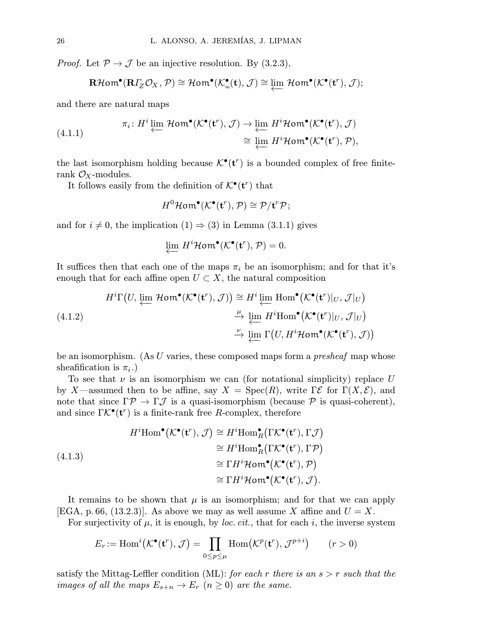*Proof.* Let  $\mathcal{P} \to \mathcal{J}$  be an injective resolution. By (3.2.3),

$$
\mathbf{R}\mathcal{H}\mathsf{om}^{\bullet}(\mathbf{R}\varGamma_{Z}\mathcal{O}_{X}, \mathcal{P})\cong \mathcal{H}\mathsf{om}^{\bullet}(\mathcal{K}^{\bullet}_{\infty}(\mathbf{t}),\mathcal{J})\cong \varprojlim \,\mathcal{H}\mathsf{om}^{\bullet}(\mathcal{K}^{\bullet}(\mathbf{t}^{r}),\mathcal{J});
$$

and there are natural maps

(4.1.1) 
$$
\pi_i: H^i \varprojlim \mathcal{H}om^{\bullet}(\mathcal{K}^{\bullet}(\mathbf{t}^r), \mathcal{J}) \to \varprojlim H^i \mathcal{H}om^{\bullet}(\mathcal{K}^{\bullet}(\mathbf{t}^r), \mathcal{J}) \cong \varprojlim H^i \mathcal{H}om^{\bullet}(\mathcal{K}^{\bullet}(\mathbf{t}^r), \mathcal{P}),
$$

the last isomorphism holding because  $\mathcal{K}^{\bullet}(\mathbf{t}^r)$  is a bounded complex of free finiterank  $\mathcal{O}_X$ -modules.

It follows easily from the definition of  $\mathcal{K}^{\bullet}(\mathbf{t}^r)$  that

$$
H^0\mathcal{H}\mathbf{om}^\bullet(\mathcal{K}^\bullet(\mathbf{t}^r),\mathcal{P})\cong\mathcal{P}/\mathbf{t}^r\mathcal{P};
$$

and for  $i \neq 0$ , the implication  $(1) \Rightarrow (3)$  in Lemma  $(3.1.1)$  gives

$$
\varprojlim H^i\mathcal{H}\mathsf{om}^\bullet(\mathcal{K}^\bullet(\mathbf{t}^r),\mathcal{P})=0.
$$

It suffices then that each one of the maps  $\pi_i$  be an isomorphism; and for that it's enough that for each affine open  $U \subset X$ , the natural composition

(4.1.2)  
\n
$$
H^{i}\Gamma(U, \varprojlim_{\longleftarrow} \mathcal{H}om^{\bullet}(\mathcal{K}^{\bullet}(\mathbf{t}^{r}), \mathcal{J})) \cong H^{i} \varprojlim_{\longleftarrow} \text{Hom}^{\bullet}(\mathcal{K}^{\bullet}(\mathbf{t}^{r})|_{U}, \mathcal{J}|_{U})
$$
\n
$$
\xrightarrow{\mu} \varprojlim_{\longleftarrow} H^{i}\text{Hom}^{\bullet}(\mathcal{K}^{\bullet}(\mathbf{t}^{r})|_{U}, \mathcal{J}|_{U})
$$
\n
$$
\xrightarrow{\nu} \varprojlim_{\longleftarrow} \Gamma(U, H^{i}\mathcal{H}om^{\bullet}(\mathcal{K}^{\bullet}(\mathbf{t}^{r}), \mathcal{J}))
$$

be an isomorphism. (As  $U$  varies, these composed maps form a *presheaf* map whose sheafification is  $\pi_i$ .)

To see that  $\nu$  is an isomorphism we can (for notational simplicity) replace U by X—assumed then to be affine, say  $X = \text{Spec}(R)$ , write  $\Gamma \mathcal{E}$  for  $\Gamma(X, \mathcal{E})$ , and note that since  $\Gamma \mathcal{P} \to \Gamma \mathcal{J}$  is a quasi-isomorphism (because  $\mathcal{P}$  is quasi-coherent), and since  $\Gamma \mathcal{K}^{\bullet}(\mathbf{t}^r)$  is a finite-rank free R-complex, therefore

(4.1.3)  
\n
$$
H^{i}Hom^{\bullet}(\mathcal{K}^{\bullet}(\mathbf{t}^{r}), \mathcal{J}) \cong H^{i}Hom^{\bullet}_{R}(\Gamma \mathcal{K}^{\bullet}(\mathbf{t}^{r}), \Gamma \mathcal{J})
$$
\n
$$
\cong H^{i}Hom^{\bullet}_{R}(\Gamma \mathcal{K}^{\bullet}(\mathbf{t}^{r}), \Gamma \mathcal{P})
$$
\n
$$
\cong \Gamma H^{i}Hom^{\bullet}(\mathcal{K}^{\bullet}(\mathbf{t}^{r}), \mathcal{P})
$$
\n
$$
\cong \Gamma H^{i}Hom^{\bullet}(\mathcal{K}^{\bullet}(\mathbf{t}^{r}), \mathcal{J}).
$$

It remains to be shown that  $\mu$  is an isomorphism; and for that we can apply [EGA, p. 66, (13.2.3)]. As above we may as well assume X affine and  $U = X$ .

For surjectivity of  $\mu$ , it is enough, by *loc. cit.*, that for each i, the inverse system

$$
E_r := \text{Hom}^i(\mathcal{K}^\bullet(\mathbf{t}^r), \mathcal{J}) = \prod_{0 \le p \le \mu} \text{Hom}(\mathcal{K}^p(\mathbf{t}^r), \mathcal{J}^{p+i}) \qquad (r > 0)
$$

satisfy the Mittag-Leffler condition (ML): for each r there is an  $s > r$  such that the images of all the maps  $E_{s+n} \to E_r$   $(n \ge 0)$  are the same.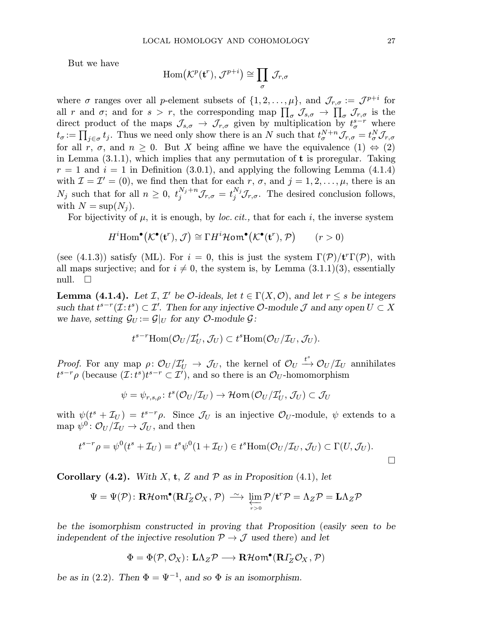But we have

$$
\operatorname{Hom}\bigl(\mathcal{K}^p(\mathbf{t}^r),\,\mathcal{J}^{p+i}\bigr)\cong\prod_{\sigma}\,\mathcal{J}_{r,\sigma}
$$

where  $\sigma$  ranges over all p-element subsets of  $\{1, 2, \ldots, \mu\}$ , and  $\mathcal{J}_{r,\sigma} := \mathcal{J}^{p+i}$  for all r and  $\sigma$ ; and for  $s > r$ , the corresponding map  $\prod_{\sigma} \mathcal{J}_{s,\sigma} \to \prod_{\sigma} \mathcal{J}_{r,\sigma}$  is the direct product of the maps  $\mathcal{J}_{s,\sigma} \to \mathcal{J}_{r,\sigma}$  given by multiplication by  $t_{\sigma}^{s-r}$  where  $t_{\sigma} := \prod_{j \in \sigma} t_j$ . Thus we need only show there is an N such that  $t_{\sigma}^{N+n} \mathcal{J}_{r,\sigma} = t_{\sigma}^N \mathcal{J}_{r,\sigma}$ for all r,  $\sigma$ , and  $n \geq 0$ . But X being affine we have the equivalence  $(1) \Leftrightarrow (2)$ in Lemma  $(3.1.1)$ , which implies that any permutation of **t** is proregular. Taking  $r = 1$  and  $i = 1$  in Definition (3.0.1), and applying the following Lemma (4.1.4) with  $\mathcal{I} = \mathcal{I}' = (0)$ , we find then that for each r,  $\sigma$ , and  $j = 1, 2, \ldots, \mu$ , there is an  $N_j$  such that for all  $n \geq 0$ ,  $t_j^{N_j+n} \mathcal{J}_{r,\sigma} = t_j^{N_j} \mathcal{J}_{r,\sigma}$ . The desired conclusion follows, with  $N = \sup(N_i)$ .

For bijectivity of  $\mu$ , it is enough, by *loc. cit.*, that for each i, the inverse system

$$
H^{i}\text{Hom}^{\bullet}(\mathcal{K}^{\bullet}(\mathbf{t}^r), \mathcal{J}) \cong \Gamma H^{i}\text{Hom}^{\bullet}(\mathcal{K}^{\bullet}(\mathbf{t}^r), \mathcal{P}) \qquad (r > 0)
$$

(see (4.1.3)) satisfy (ML). For  $i = 0$ , this is just the system  $\Gamma(\mathcal{P})/t^r\Gamma(\mathcal{P})$ , with all maps surjective; and for  $i \neq 0$ , the system is, by Lemma (3.1.1)(3), essentially null.  $\square$ 

**Lemma (4.1.4).** Let *I*, *I'* be *O*-ideals, let  $t \in \Gamma(X, \mathcal{O})$ , and let  $r \leq s$  be integers such that  $t^{s-r}(\mathcal{I}: t^s) \subset \mathcal{I}'$ . Then for any injective  $\mathcal{O}\text{-module } \mathcal{J}$  and any open  $U \subset X$ we have, setting  $\mathcal{G}_U := \mathcal{G}|_U$  for any  $\mathcal{O}\text{-module } \mathcal{G}$ :

$$
t^{s-r} \text{Hom}(\mathcal{O}_U/\mathcal{I}'_U, \mathcal{J}_U) \subset t^s \text{Hom}(\mathcal{O}_U/\mathcal{I}_U, \mathcal{J}_U).
$$

Proof. For any map  $\rho: \mathcal{O}_U/\mathcal{I}'_U \to \mathcal{J}_U$ , the kernel of  $\mathcal{O}_U \stackrel{t^s}{\to} \mathcal{O}_U/\mathcal{I}_U$  annihilates  $t^{s-r}\rho$  (because  $(\mathcal{I}:t^s)t^{s-r} \subset \mathcal{I}'$ ), and so there is an  $\mathcal{O}_U$ -homomorphism

$$
\psi = \psi_{r,s,\rho} \colon t^s(\mathcal{O}_U/\mathcal{I}_U) \to \mathcal{H}{om}(\mathcal{O}_U/\mathcal{I}'_U,\mathcal{J}_U) \subset \mathcal{J}_U
$$

with  $\psi(t^s + \mathcal{I}_U) = t^{s-r} \rho$ . Since  $\mathcal{J}_U$  is an injective  $\mathcal{O}_U$ -module,  $\psi$  extends to a map  $\psi^0: \mathcal{O}_U/\mathcal{I}_U \to \mathcal{J}_U$ , and then

$$
t^{s-r}\rho = \psi^0(t^s + \mathcal{I}_U) = t^s\psi^0(1 + \mathcal{I}_U) \in t^s \text{Hom}(\mathcal{O}_U/\mathcal{I}_U, \mathcal{J}_U) \subset \Gamma(U, \mathcal{J}_U).
$$

**Corollary (4.2).** With X, **t**, Z and P as in Proposition (4.1), let

$$
\Psi = \Psi(\mathcal{P}) \colon \mathbf{R}\mathcal{H} \text{om}^{\bullet}(\mathbf{R}\Gamma_{Z}\mathcal{O}_{X}, \mathcal{P}) \stackrel{\sim}{\longrightarrow} \varprojlim_{r>0} \mathcal{P}/\mathbf{t}^{r}\mathcal{P} = \Lambda_{Z}\mathcal{P} = \mathbf{L}\Lambda_{Z}\mathcal{P}
$$

be the isomorphism constructed in proving that Proposition (easily seen to be independent of the injective resolution  $\mathcal{P} \to \mathcal{J}$  used there) and let

$$
\Phi = \Phi(\mathcal{P}, \mathcal{O}_X) \colon \mathbf{L}\Lambda_Z \mathcal{P} \mathchoice{\longrightarrow}{\rightarrow}{\rightarrow}{\rightarrow} \mathbf{R}\mathcal{H} \text{om}^\bullet(\mathbf{R}\Gamma_Z \mathcal{O}_X, \mathcal{P})
$$

be as in (2.2). Then  $\Phi = \Psi^{-1}$ , and so  $\Phi$  is an isomorphism.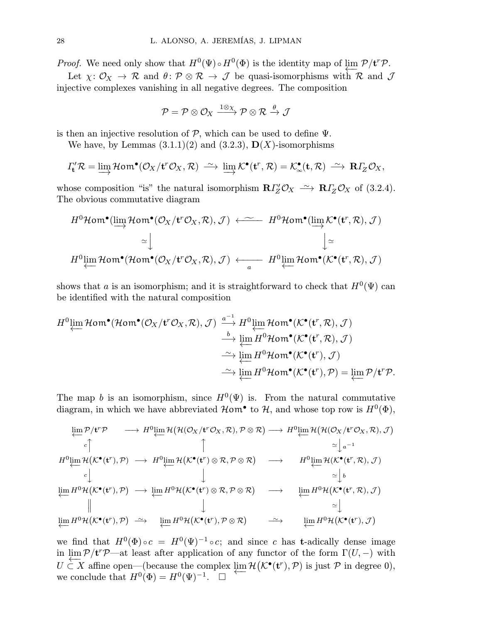*Proof.* We need only show that  $H^0(\Psi) \circ H^0(\Phi)$  is the identity map of lim  $\mathcal{P}/\mathbf{t}^r\mathcal{P}$ .

Let  $\chi: \mathcal{O}_X \to \mathcal{R}$  and  $\theta: \mathcal{P} \otimes \mathcal{R} \to \mathcal{J}$  be quasi-isomorphisms with  $\mathcal{R}$  and  $\mathcal{J}$ injective complexes vanishing in all negative degrees. The composition

$$
\mathcal{P} = \mathcal{P} \otimes \mathcal{O}_X \xrightarrow{1 \otimes \chi} \mathcal{P} \otimes \mathcal{R} \xrightarrow{\theta} \mathcal{J}
$$

is then an injective resolution of  $P$ , which can be used to define  $\Psi$ .

We have, by Lemmas  $(3.1.1)(2)$  and  $(3.2.3)$ ,  $\mathbf{D}(X)$ -isomorphisms

$$
\Gamma'_{\mathbf{t}} \mathcal{R} = \varinjlim \mathcal{H}om^{\bullet}(\mathcal{O}_X / \mathbf{t}^r \mathcal{O}_X, \mathcal{R}) \stackrel{\sim}{\longrightarrow} \varinjlim \mathcal{K}^{\bullet}(\mathbf{t}^r, \mathcal{R}) = \mathcal{K}^{\bullet}_{\infty}(\mathbf{t}, \mathcal{R}) \stackrel{\sim}{\longrightarrow} \mathbf{R} \Gamma_Z \mathcal{O}_X,
$$

whose composition "is" the natural isomorphism  $R\Gamma'_{Z}\mathcal{O}_{X} \longrightarrow R\Gamma'_{Z}\mathcal{O}_{X}$  of (3.2.4). The obvious commutative diagram

$$
H^{0}\mathcal{H}\text{om}^{\bullet}(\underrightarrow{\lim}_{\longrightarrow}\mathcal{H}\text{om}^{\bullet}(\mathcal{O}_{X}/\mathbf{t}^{r}\mathcal{O}_{X},\mathcal{R}),\mathcal{J}) \longleftarrow H^{0}\mathcal{H}\text{om}^{\bullet}(\underrightarrow{\lim}_{\longrightarrow}\mathcal{K}^{\bullet}(\mathbf{t}^{r},\mathcal{R}),\mathcal{J})
$$

$$
\simeq \downarrow \qquad \qquad \downarrow \simeq
$$

$$
H^{0}\underrightarrow{\lim}_{\longrightarrow}\mathcal{H}\text{om}^{\bullet}(\mathcal{H}\text{om}^{\bullet}(\mathcal{O}_{X}/\mathbf{t}^{r}\mathcal{O}_{X},\mathcal{R}),\mathcal{J}) \longleftarrow \qquad H^{0}\underrightarrow{\lim}_{a}\mathcal{H}\text{om}^{\bullet}(\mathcal{K}^{\bullet}(\mathbf{t}^{r},\mathcal{R}),\mathcal{J})
$$

shows that a is an isomorphism; and it is straightforward to check that  $H^0(\Psi)$  can be identified with the natural composition

$$
H^{0} \underset{\longleftarrow}{\text{lim}} \mathcal{H} \text{om}^{\bullet}(\mathcal{H} \text{om}^{\bullet}(\mathcal{O}_{X}/\mathbf{t}^{r} \mathcal{O}_{X}, \mathcal{R}), \mathcal{J}) \xrightarrow{\begin{subarray}{l} a^{-1} \\ \longrightarrow \end{subarray}} H^{0} \underset{\longleftarrow}{\text{lim}} \mathcal{H} \text{om}^{\bullet}(\mathcal{K}^{\bullet}(\mathbf{t}^{r}, \mathcal{R}), \mathcal{J})
$$

$$
\xrightarrow{\begin{subarray}{l} b \\ \longleftarrow \end{subarray}} \underset{\longleftarrow}{\text{lim}} H^{0} \mathcal{H} \text{om}^{\bullet}(\mathcal{K}^{\bullet}(\mathbf{t}^{r}, \mathcal{R}), \mathcal{J})
$$

$$
\xrightarrow{\begin{subarray}{l} \longrightarrow \end{subarray}} H^{0} \mathcal{H} \text{om}^{\bullet}(\mathcal{K}^{\bullet}(\mathbf{t}^{r}), \mathcal{J})
$$

$$
\xrightarrow{\begin{subarray}{l} \longrightarrow \end{subarray}} H^{0} \mathcal{H} \text{om}^{\bullet}(\mathcal{K}^{\bullet}(\mathbf{t}^{r}), \mathcal{J})
$$

$$
\xrightarrow{\begin{subarray}{l} \longrightarrow \end{subarray}} H^{0} \mathcal{H} \text{om}^{\bullet}(\mathcal{K}^{\bullet}(\mathbf{t}^{r}), \mathcal{J}) = \underset{\longleftarrow}{\text{lim}} \mathcal{P}/\mathbf{t}^{r} \mathcal{P}.
$$

The map b is an isomorphism, since  $H^0(\Psi)$  is. From the natural commutative diagram, in which we have abbreviated  $\mathcal{H}$  om<sup>•</sup> to  $\mathcal{H}$ , and whose top row is  $H^0(\Phi)$ ,

$$
\begin{array}{cccc}\n\lim_{c} \mathcal{P}/\mathbf{t}^{r}\mathcal{P} & \longrightarrow H^{0}\n\lim_{c} \mathcal{H}(\mathcal{H}(\mathcal{O}_{X}/\mathbf{t}^{r}\mathcal{O}_{X},\mathcal{R}),\mathcal{P}\otimes\mathcal{R}) & \longrightarrow H^{0}\n\lim_{c} \mathcal{H}(\mathcal{H}(\mathcal{O}_{X}/\mathbf{t}^{r}\mathcal{O}_{X},\mathcal{R}),\mathcal{J}) \\
\downarrow c & \uparrow & \downarrow \\
H^{0}\n\lim_{c} \mathcal{H}(\mathcal{K}^{\bullet}(\mathbf{t}^{r}),\mathcal{P}) & \longrightarrow H^{0}\n\lim_{c} \mathcal{H}(\mathcal{K}^{\bullet}(\mathbf{t}^{r})\otimes\mathcal{R},\mathcal{P}\otimes\mathcal{R}) & \longrightarrow H^{0}\n\lim_{c} \mathcal{H}(\mathcal{K}^{\bullet}(\mathbf{t}^{r},\mathcal{R}),\mathcal{J}) \\
\downarrow c & \downarrow & \downarrow \\
\lim_{c} H^{0}\mathcal{H}(\mathcal{K}^{\bullet}(\mathbf{t}^{r}),\mathcal{P}) & \longrightarrow \lim_{c} H^{0}\mathcal{H}(\mathcal{K}^{\bullet}(\mathbf{t}^{r})\otimes\mathcal{R},\mathcal{P}\otimes\mathcal{R}) & \longrightarrow & \lim_{c} H^{0}\mathcal{H}(\mathcal{K}^{\bullet}(\mathbf{t}^{r},\mathcal{R}),\mathcal{J}) \\
\downarrow d & \downarrow & \downarrow \\
\lim_{c} H^{0}\mathcal{H}(\mathcal{K}^{\bullet}(\mathbf{t}^{r}),\mathcal{P}) & \longrightarrow & \lim_{c} H^{0}\mathcal{H}(\mathcal{K}^{\bullet}(\mathbf{t}^{r}),\mathcal{P}\otimes\mathcal{R}) & \longrightarrow & \lim_{c} H^{0}\mathcal{H}(\mathcal{K}^{\bullet}(\mathbf{t}^{r}),\mathcal{J}) \\
\downarrow d & \downarrow & \downarrow \\
\downarrow d & \downarrow & \downarrow & \downarrow \\
\downarrow d & \downarrow & \downarrow & \downarrow \\
\downarrow d & \downarrow & \downarrow & \downarrow & \downarrow \\
\downarrow d & \downarrow & \downarrow & \downarrow & \downarrow & \downarrow \\
\downarrow d & \downarrow & \downarrow & \downarrow & \downarrow & \downarrow \\
\downarrow d
$$

we find that  $H^0(\Phi) \circ c = H^0(\Psi)^{-1} \circ c$ ; and since c has t-adically dense image in  $\lim_{t \to \infty} \mathcal{P}/t^r \mathcal{P}$ —at least after application of any functor of the form  $\Gamma(U, -)$  with  $U \subset X$  affine open—(because the complex  $\lim_{\epsilon \to 0} \mathcal{H}(\mathcal{K}^{\bullet}(\mathbf{t}^r), \mathcal{P})$  is just  $\mathcal{P}$  in degree 0), we conclude that  $H^0(\Phi) = H^0(\Psi)^{-1}$ .  $\Box$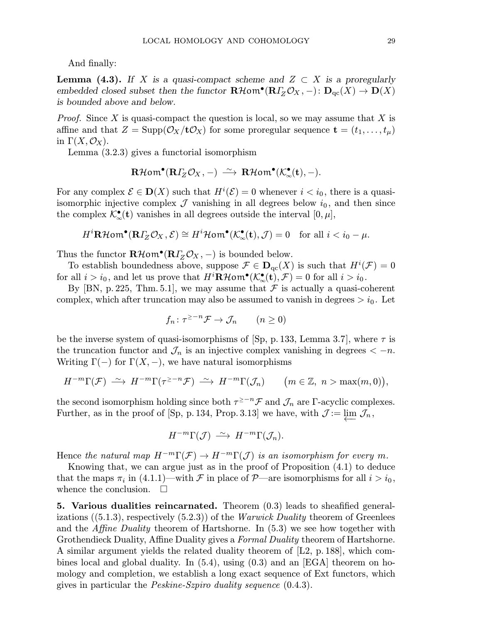And finally:

**Lemma (4.3).** If X is a quasi-compact scheme and  $Z \subset X$  is a proregularly embedded closed subset then the functor  $\mathbf{R}\mathcal{H}$ om<sup>•</sup>( $\mathbf{R}T_Z\mathcal{O}_X$ , -):  $\mathbf{D}_{qc}(X) \to \mathbf{D}(X)$ is bounded above and below.

*Proof.* Since X is quasi-compact the question is local, so we may assume that X is affine and that  $Z = \text{Supp}(\mathcal{O}_X/t\mathcal{O}_X)$  for some proregular sequence  $\mathbf{t} = (t_1,\ldots,t_\mu)$ in  $\Gamma(X, \mathcal{O}_X)$ .

Lemma (3.2.3) gives a functorial isomorphism

$$
\mathbf{R}\mathcal{H}\mathsf{om}^{\bullet}(\mathbf{R}\varGamma_{Z}\mathcal{O}_{X},-)\;\stackrel{\sim}{\longrightarrow}\; \mathbf{R}\mathcal{H}\mathsf{om}^{\bullet}(\mathcal{K}_{\infty}^{\bullet}(\mathbf{t}),-).
$$

For any complex  $\mathcal{E} \in \mathbf{D}(X)$  such that  $H^{i}(\mathcal{E}) = 0$  whenever  $i < i_0$ , there is a quasiisomorphic injective complex  $\mathcal J$  vanishing in all degrees below  $i_0$ , and then since the complex  $\mathcal{K}_{\infty}^{\bullet}(\mathbf{t})$  vanishes in all degrees outside the interval  $[0, \mu]$ ,

$$
H^i \mathbf{R} \mathcal{H} \text{om}^{\bullet}(\mathbf{R} \Gamma_Z \mathcal{O}_X, \mathcal{E}) \cong H^i \mathcal{H} \text{om}^{\bullet}(\mathcal{K}^{\bullet}_{\infty}(\mathbf{t}), \mathcal{J}) = 0 \quad \text{for all } i < i_0 - \mu.
$$

Thus the functor  $\mathbf{R}\mathcal{H}\mathbf{om}^{\bullet}(\mathbf{R}\mathit{I}_{Z}\mathcal{O}_{X},-)$  is bounded below.

To establish boundedness above, suppose  $\mathcal{F} \in \mathbf{D}_{\mathrm{qc}}(X)$  is such that  $H^i(\mathcal{F})=0$ for all  $i>i_0$ , and let us prove that  $H^i\mathbf{R}\mathcal{H}\text{om}^{\bullet}(\mathcal{K}_{\infty}^{\bullet}(\mathbf{t}),\mathcal{F})=0$  for all  $i>i_0$ .

By [BN, p. 225, Thm. 5.1], we may assume that  $\mathcal F$  is actually a quasi-coherent complex, which after truncation may also be assumed to vanish in degrees  $> i_0$ . Let

$$
f_n \colon \tau^{\geq -n} \mathcal{F} \to \mathcal{J}_n \qquad (n \geq 0)
$$

be the inverse system of quasi-isomorphisms of [Sp, p. 133, Lemma 3.7], where  $\tau$  is the truncation functor and  $\mathcal{J}_n$  is an injective complex vanishing in degrees  $\langle -n$ . Writing  $\Gamma(-)$  for  $\Gamma(X, -)$ , we have natural isomorphisms

$$
H^{-m}\Gamma(\mathcal{F}) \stackrel{\sim}{\longrightarrow} H^{-m}\Gamma(\tau^{\geq -n}\mathcal{F}) \stackrel{\sim}{\longrightarrow} H^{-m}\Gamma(\mathcal{J}_n) \qquad \big(m \in \mathbb{Z}, n > \max(m, 0)\big),
$$

the second isomorphism holding since both  $\tau^{\geq -n}$  and  $\mathcal{J}_n$  are Γ-acyclic complexes. Further, as in the proof of [Sp, p. 134, Prop. 3.13] we have, with  $\mathcal{J} := \varprojlim \mathcal{J}_n$ ,

$$
H^{-m}\Gamma(\mathcal{J}) \stackrel{\sim}{\longrightarrow} H^{-m}\Gamma(\mathcal{J}_n).
$$

Hence the natural map  $H^{-m}\Gamma(\mathcal{F}) \to H^{-m}\Gamma(\mathcal{J})$  is an isomorphism for every m.

Knowing that, we can argue just as in the proof of Proposition (4.1) to deduce that the maps  $\pi_i$  in (4.1.1)—with  $\mathcal F$  in place of  $\mathcal P$ —are isomorphisms for all  $i>i_0$ , whence the conclusion.  $\square$ 

5. Various dualities reincarnated. Theorem (0.3) leads to sheafified generalizations  $((5.1.3),$  respectively  $(5.2.3)$  of the *Warwick Duality* theorem of Greenlees and the Affine Duality theorem of Hartshorne. In (5.3) we see how together with Grothendieck Duality, Affine Duality gives a *Formal Duality* theorem of Hartshorne. A similar argument yields the related duality theorem of [L2, p. 188], which combines local and global duality. In (5.4), using (0.3) and an [EGA] theorem on homology and completion, we establish a long exact sequence of Ext functors, which gives in particular the Peskine-Szpiro duality sequence (0.4.3).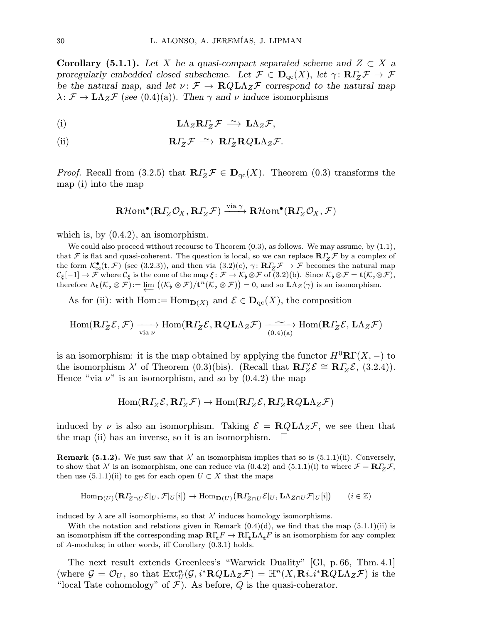**Corollary (5.1.1).** Let X be a quasi-compact separated scheme and  $Z \subset X$  a proregularly embedded closed subscheme. Let  $\mathcal{F} \in \mathbf{D}_{qc}(X)$ , let  $\gamma: \mathbf{R}\Gamma_Z\mathcal{F} \to \mathcal{F}$ be the natural map, and let  $\nu: \mathcal{F} \to \mathbf{R} Q \mathbf{L} \Lambda_Z \mathcal{F}$  correspond to the natural map  $\lambda: \mathcal{F} \to \mathbf{L}\Lambda_Z \mathcal{F}$  (see (0.4)(a)). Then  $\gamma$  and  $\nu$  induce isomorphisms

(i) 
$$
\mathbf{L}\Lambda_Z \mathbf{R} \Gamma_Z \mathcal{F} \xrightarrow{\sim} \mathbf{L}\Lambda_Z \mathcal{F},
$$

(ii) 
$$
\mathbf{R} \Gamma_Z \mathcal{F} \stackrel{\sim}{\longrightarrow} \mathbf{R} \Gamma_Z \mathbf{R} Q \mathbf{L} \Lambda_Z \mathcal{F}.
$$

*Proof.* Recall from (3.2.5) that  $R\Gamma_Z \mathcal{F} \in D_{qc}(X)$ . Theorem (0.3) transforms the map (i) into the map

$$
\mathbf{R}\mathcal{H}\mathsf{om}^{\bullet}(\mathbf{R}\varGamma_{Z}\mathcal{O}_{X}, \mathbf{R}\varGamma_{Z}\mathcal{F}) \xrightarrow{\mathrm{via}\,\gamma} \mathbf{R}\mathcal{H}\mathsf{om}^{\bullet}(\mathbf{R}\varGamma_{Z}\mathcal{O}_{X}, \mathcal{F})
$$

which is, by  $(0.4.2)$ , an isomorphism.

We could also proceed without recourse to Theorem  $(0.3)$ , as follows. We may assume, by  $(1.1)$ , that F is flat and quasi-coherent. The question is local, so we can replace  $R\Gamma_z\mathcal{F}$  by a complex of the form  $\mathcal{K}_{\infty}^{\bullet}(\mathbf{t}, \mathcal{F})$  (see (3.2.3)), and then via (3.2)(c),  $\gamma \colon \mathbf{R} \Gamma_Z \mathcal{F} \to \mathcal{F}$  becomes the natural map  $\mathcal{C}_{\xi}[-1] \to \mathcal{F}$  where  $\mathcal{C}_{\xi}$  is the cone of the map  $\xi \colon \mathcal{F} \to \mathcal{K}_{\flat} \otimes \mathcal{F}$  of  $(3.2)(b)$ . Since  $\mathcal{K}_{\flat} \otimes \mathcal{F} = \mathbf{t}(\mathcal{K}_{\flat} \otimes \mathcal{F})$ , therefore  $\Lambda_{\mathbf{t}}(\mathcal{K}_\flat \otimes \mathcal{F}) := \varprojlim \left( (\mathcal{K}_\flat \otimes \mathcal{F}) / \mathbf{t}^n (\mathcal{K}_\flat \otimes \mathcal{F}) \right) = 0$ , and so  $\mathbf{L} \Lambda_Z(\gamma)$  is an isomorphism.

As for (ii): with Hom:=  $\text{Hom}_{D(X)}$  and  $\mathcal{E} \in D_{\text{qc}}(X)$ , the composition

$$
\operatorname{Hom}(\mathbf{R} \Gamma_Z \mathcal{E}, \mathcal{F}) \xrightarrow[\operatorname{via} \nu]{\longrightarrow} \operatorname{Hom}(\mathbf{R} \Gamma_Z \mathcal{E}, \mathbf{R} Q \mathbf{L} \Lambda_Z \mathcal{F}) \xrightarrow[\operatorname{(0.4)}(\operatorname{a.})]{\sim} \operatorname{Hom}(\mathbf{R} \Gamma_Z \mathcal{E}, \mathbf{L} \Lambda_Z \mathcal{F})
$$

is an isomorphism: it is the map obtained by applying the functor  $H^0\mathbf{R}\Gamma(X, -)$  to the isomorphism  $\lambda'$  of Theorem (0.3)(bis). (Recall that  $\mathbb{R}\Gamma Z' \mathcal{E} \cong \mathbb{R}\Gamma Z \mathcal{E}$ , (3.2.4)). Hence "via  $\nu$ " is an isomorphism, and so by  $(0.4.2)$  the map

$$
\operatorname{Hom}(\mathbf{R}\varGamma_{Z}\mathcal{E},\mathbf{R}\varGamma_{Z}\mathcal{F})\to\operatorname{Hom}(\mathbf{R}\varGamma_{Z}\mathcal{E},\mathbf{R}\varGamma_{Z}\mathbf{R}Q\mathbf{L}\Lambda_{Z}\mathcal{F})
$$

induced by  $\nu$  is also an isomorphism. Taking  $\mathcal{E} = \mathbf{R} Q \mathbf{L} \Lambda_Z \mathcal{F}$ , we see then that the map (ii) has an inverse, so it is an isomorphism.  $\Box$ 

**Remark (5.1.2).** We just saw that  $\lambda'$  an isomorphism implies that so is (5.1.1)(ii). Conversely, to show that  $\lambda'$  is an isomorphism, one can reduce via (0.4.2) and (5.1.1)(i) to where  $\mathcal{F} = \mathbf{R}\Gamma_{Z}\mathcal{F}$ , then use  $(5.1.1)(ii)$  to get for each open  $U \subset X$  that the maps

$$
\mathrm{Hom}_{\mathbf{D}(U)}\big(\mathbf{R}I_{Z\cap U}\mathcal{E}|_U,\mathcal{F}|_U[i]\big)\rightarrow \mathrm{Hom}_{\mathbf{D}(U)}\big(\mathbf{R}I_{Z\cap U}\mathcal{E}|_U,\mathbf{L}\Lambda_{Z\cap U}\mathcal{F}|_U[i]\big)\qquad (i\in\mathbb{Z})
$$

induced by  $\lambda$  are all isomorphisms, so that  $\lambda'$  induces homology isomorphisms.

With the notation and relations given in Remark  $(0.4)(d)$ , we find that the map  $(5.1.1)(ii)$  is an isomorphism iff the corresponding map  $R\Gamma_t F \to R\Gamma_t L\Lambda_t F$  is an isomorphism for any complex of A-modules; in other words, iff Corollary (0.3.1) holds.

The next result extends Greenlees's "Warwick Duality" [Gl, p. 66, Thm. 4.1] (where  $\mathcal{G} = \mathcal{O}_U$ , so that  $\text{Ext}^n_U(\mathcal{G}, i^*\mathbf{R} Q\mathbf{L} \Lambda_Z \mathcal{F}) = \mathbb{H}^n(X, \mathbf{R} i_* i^*\mathbf{R} Q\mathbf{L} \Lambda_Z \mathcal{F})$  is the "local Tate cohomology" of  $\mathcal F$ ). As before, Q is the quasi-coherator.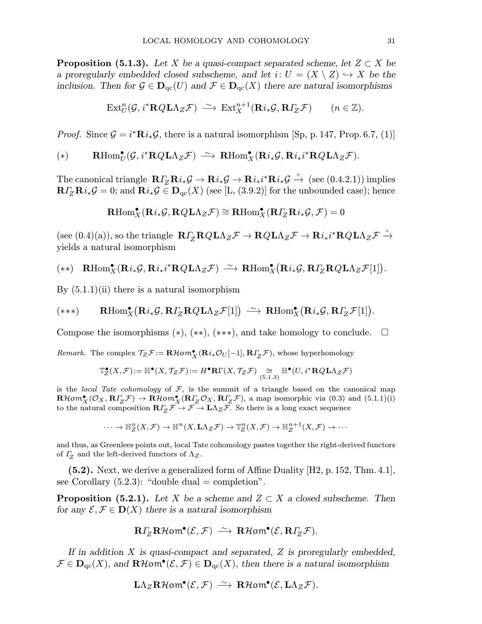**Proposition (5.1.3).** Let X be a quasi-compact separated scheme, let  $Z \subset X$  be a proregularly embedded closed subscheme, and let  $i: U = (X \setminus Z) \hookrightarrow X$  be the inclusion. Then for  $\mathcal{G} \in \mathbf{D}_{\mathrm{qc}}(U)$  and  $\mathcal{F} \in \mathbf{D}_{\mathrm{qc}}(X)$  there are natural isomorphisms

$$
\mathrm{Ext}^n_U(\mathcal{G}, i^*\mathbf{R} Q \mathbf{L} \Lambda_Z \mathcal{F}) \xrightarrow{\sim} \mathrm{Ext}^{n+1}_X(\mathbf{R} i_*\mathcal{G}, \mathbf{R} \Gamma_Z \mathcal{F}) \qquad (n \in \mathbb{Z}).
$$

*Proof.* Since  $\mathcal{G} = i^* \mathbf{R} i_* \mathcal{G}$ , there is a natural isomorphism [Sp, p. 147, Prop. 6.7, (1)]

$$
(*) \qquad \mathbf{R}\mathrm{Hom}^{\bullet}_{U}(\mathcal{G},i^{*}\mathbf{R}Q\mathbf{L}\Lambda_{Z}\mathcal{F}) \ \stackrel{\sim}{\longrightarrow} \ \mathbf{R}\mathrm{Hom}^{\bullet}_{X}(\mathbf{R}i_{*}\mathcal{G},\mathbf{R}i_{*}i^{*}\mathbf{R}Q\mathbf{L}\Lambda_{Z}\mathcal{F}).
$$

 $\text{The canonical triangle } \; \mathbf{R} I_Z^{\bullet} \mathbf{R} i_* \mathcal{G} \rightarrow \mathbf{R} i_* \mathcal{G} \rightarrow \mathbf{R} i_* i^* \mathbf{R} i_* \mathcal{G} \stackrel{+}{\rightarrow} \; \text{(see (0.4.2.1)) implies}$  $\mathbf{R} \Gamma_Z \mathbf{R} i_* \mathcal{G} = 0$ ; and  $\mathbf{R} i_* \mathcal{G} \in \mathbf{D}_{\mathrm{qc}}(X)$  (see [L, (3.9.2)] for the unbounded case); hence

$$
\operatorname{\mathbf{R}Hom}^\bullet_X(\operatorname{\mathbf{R}} i_*\mathcal G,\operatorname{\mathbf{R}Q}\operatorname{\mathbf{L}\Lambda}_Z\mathcal F)\cong\operatorname{\mathbf{R}Hom}^\bullet_X(\operatorname{\mathbf{R}}\varGamma_Z\operatorname{\mathbf{R}} i_*\mathcal G,\mathcal F)=0
$$

 $(\mathrm{see}~(0.4)(a)),$  so the triangle  $\mathbf{R} \varGamma_Z \mathbf{R} Q \mathbf{L} \Lambda_Z \mathcal{F} \to \mathbf{R} Q \mathbf{L} \Lambda_Z \mathcal{F} \to \mathbf{R} i_* i^* \mathbf{R} Q \mathbf{L} \Lambda_Z \mathcal{F} \stackrel{+}{\to}$ yields a natural isomorphism

$$
(**)\quad\mathbf{R}\mathrm{Hom}^\bullet_X(\mathbf{R}i_*\mathcal{G},\mathbf{R}i_*i^*\mathbf{R}Q\mathbf{L}\Lambda_Z\mathcal{F})\,\stackrel{\sim}{\longrightarrow}\,\mathbf{R}\mathrm{Hom}^\bullet_X\big(\mathbf{R}i_*\mathcal{G},\mathbf{R}\varGamma_Z\mathbf{R}Q\mathbf{L}\Lambda_Z\mathcal{F}[1]\big).
$$

By  $(5.1.1)(ii)$  there is a natural isomorphism

$$
(***) \qquad \mathbf{R}\mathrm{Hom}^\bullet_X\big(\mathbf{R}i_*\mathcal{G},\mathbf{R}\varGamma_Z\mathbf{R}Q\mathbf{L}\Lambda_Z\mathcal{F}[1]\big) \xrightarrow{\sim} \mathbf{R}\mathrm{Hom}^\bullet_X\big(\mathbf{R}i_*\mathcal{G},\mathbf{R}\varGamma_Z\mathcal{F}[1]\big).
$$

Compose the isomorphisms  $(*), (**,(**,),$  and take homology to conclude.  $\square$ 

*Remark*. The complex  $\mathcal{T}_Z \mathcal{F} := \mathbf{R} \mathcal{H} \circ m_X^{\bullet}(\mathbf{R}i_* \mathcal{O}_U[-1], \mathbf{R} \mathcal{I}_Z \mathcal{F})$ , whose hyperhomology

$$
\mathbb{T}^\bullet_Z(X,\mathcal{F}) := \mathbb{H}^\bullet(X,\mathcal{T}_Z\mathcal{F}) := H^\bullet\mathbf{R}\Gamma(X,\mathcal{T}_Z\mathcal{F}) \underset{(5.1.3)}{\cong} \mathbb{H}^\bullet(U,i^*\mathbf{R}Q\mathbf{L}\Lambda_Z\mathcal{F})
$$

is the local Tate cohomology of  $F$ , is the summit of a triangle based on the canonical map  $\mathbf{R}\mathcal{H}\mathbf{om}^\bullet_X(\mathcal{O}_X, \mathbf{R}\Gamma_Z\mathcal{F}) \to \mathbf{R}\mathcal{H}\mathbf{om}^\bullet_X(\mathbf{R}\Gamma_Z\mathcal{O}_X, \mathbf{R}\Gamma_Z\mathcal{F}),$  a map isomorphic via (0.3) and (5.1.1)(i) to the natural composition  $\mathbf{R}\Gamma_Z\mathcal{F}\to\mathcal{F}\to L\Lambda_Z\mathcal{F}$ . So there is a long exact sequence

$$
\cdots \to \mathbb{H}^n_Z(X, \mathcal{F}) \to \mathbb{H}^n(X, \mathbf{L}\Lambda_Z \mathcal{F}) \to \mathbb{T}^n_Z(X, \mathcal{F}) \to \mathbb{H}^{n+1}_Z(X, \mathcal{F}) \to \cdots
$$

and thus, as Greenlees points out, local Tate cohomology pastes together the right-derived functors of  $\Gamma$ <sub>Z</sub> and the left-derived functors of  $\Lambda$ <sub>Z</sub>.

(5.2). Next, we derive a generalized form of Affine Duality [H2, p.152, Thm. 4.1], see Corollary  $(5.2.3)$ : "double dual = completion".

**Proposition (5.2.1).** Let X be a scheme and  $Z \subset X$  a closed subscheme. Then for any  $\mathcal{E}, \mathcal{F} \in \mathbf{D}(X)$  there is a natural isomorphism

$$
\mathbf{R} \Gamma_Z \mathbf{R} \mathcal{H} \text{om}^{\bullet}(\mathcal{E}, \mathcal{F}) \stackrel{\sim}{\longrightarrow} \mathbf{R} \mathcal{H} \text{om}^{\bullet}(\mathcal{E}, \mathbf{R} \Gamma_Z \mathcal{F}).
$$

If in addition  $X$  is quasi-compact and separated,  $Z$  is proregularly embedded,  $\mathcal{F} \in \mathbf{D}_{\mathrm{qc}}(X)$ , and  $\mathbf{R}\mathcal{H}$ om $\mathbf{C}(\mathcal{E},\mathcal{F}) \in \mathbf{D}_{\mathrm{qc}}(X)$ , then there is a natural isomorphism

$$
\mathrm{L}\Lambda_Z\mathbf{R}\mathcal{H}\mathrm{om}^\bullet(\mathcal{E},\mathcal{F})\ \stackrel{\sim}{\longrightarrow}\ \mathbf{R}\mathcal{H}\mathrm{om}^\bullet(\mathcal{E},\mathrm{L}\Lambda_Z\mathcal{F}).
$$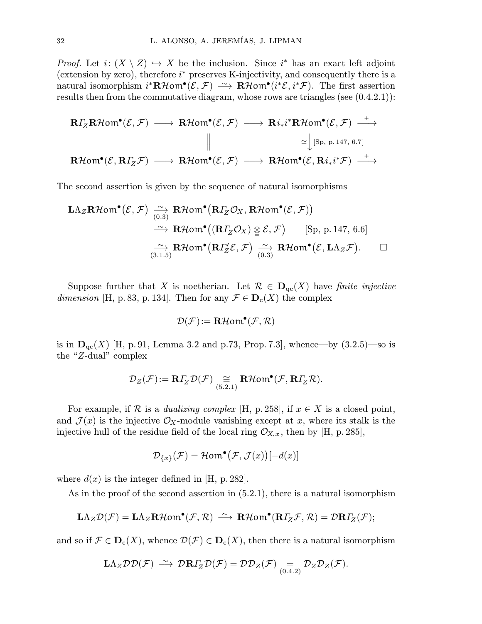*Proof.* Let  $i: (X \setminus Z) \hookrightarrow X$  be the inclusion. Since  $i^*$  has an exact left adjoint (extension by zero), therefore  $i^*$  preserves K-injectivity, and consequently there is a natural isomorphism  $i^*{\bf R}\mathcal{H}$ om $^{\bullet}(\mathcal{E},\mathcal{F}) \longrightarrow {\bf R}\mathcal{H}$ om $^{\bullet}(i^*\mathcal{E},i^*\mathcal{F})$ . The first assertion results then from the commutative diagram, whose rows are triangles (see  $(0.4.2.1)$ ):

$$
\begin{array}{ccc}\n\mathbf{R}\Gamma_Z\mathbf{R}\mathcal{H}\mathsf{om}^{\bullet}(\mathcal{E},\mathcal{F}) & \longrightarrow & \mathbf{R}\mathcal{H}\mathsf{om}^{\bullet}(\mathcal{E},\mathcal{F}) & \longrightarrow & \mathbf{R}i_*i^*\mathbf{R}\mathcal{H}\mathsf{om}^{\bullet}(\mathcal{E},\mathcal{F}) & \longrightarrow \\
& & & \downarrow & & \searrow & \\
\mathbf{R}\mathcal{H}\mathsf{om}^{\bullet}(\mathcal{E},\mathbf{R}\Gamma_Z\mathcal{F}) & \longrightarrow & \mathbf{R}\mathcal{H}\mathsf{om}^{\bullet}(\mathcal{E},\mathcal{F}) & \longrightarrow & \mathbf{R}\mathcal{H}\mathsf{om}^{\bullet}(\mathcal{E},\mathbf{R}i_*i^*\mathcal{F}) & \longrightarrow \\
& & & & \downarrow & \\
& & & & \searrow & \\
& & & & \downarrow & \\
& & & & \downarrow & \\
& & & & \downarrow & \\
& & & & \downarrow & \\
& & & & \downarrow & \\
& & & & \downarrow & \\
& & & & \downarrow & \\
& & & & \downarrow & \\
& & & & \downarrow & \\
& & & & \downarrow & \\
& & & & \downarrow & \\
& & & & \downarrow & \\
& & & & \downarrow & \\
& & & & \downarrow & \\
& & & & \downarrow & \\
& & & & \downarrow & \\
& & & & \downarrow & \\
& & & & \downarrow & \\
& & & & \downarrow & \\
& & & & \downarrow & \\
& & & & \downarrow & \\
& & & & \downarrow & \\
& & & & \downarrow & \\
& & & & \downarrow & \\
& & & & \downarrow & \\
& & & & \downarrow & \\
& & & & \downarrow & \\
& & & & \downarrow & \\
& & & & \downarrow & \\
& & & & \downarrow & \\
& & & & \downarrow & \\
& & & & \downarrow & \\
& & & & \downarrow & \\
& & & & \downarrow & \\
& & & & \downarrow & \\
& & & & \downarrow & \\
& & & & \downarrow & \\
& & & & \downarrow & \\
& & & & \downarrow & \\
& & & & \downarrow & \\
& & & & \downarrow & \\
& & & & \downarrow & \\
& & & & \downarrow & \\
& & & & \downarrow & \\
& & & & \downarrow & \\
& & & & \downarrow & \\
& & & & \downarrow & \\
& & & & \downarrow & \\
& & & & \downarrow & \\
& & & & \downarrow & \\
& & & & \downarrow & \\
& & & & \downarrow & \\
&
$$

The second assertion is given by the sequence of natural isomorphisms

$$
\begin{array}{rcl}\n\mathbf{L}\Lambda_Z\mathbf{R}\mathcal{H}\mathsf{om}^{\bullet}(\mathcal{E},\mathcal{F}) & \xrightarrow[\quad(0.3)]{} & \mathbf{R}\mathcal{H}\mathsf{om}^{\bullet}(\mathbf{R}\Gamma_Z\mathcal{O}_X,\mathbf{R}\mathcal{H}\mathsf{om}^{\bullet}(\mathcal{E},\mathcal{F}))\\
&\xrightarrow[\quad(0.3)]{} & \xrightarrow[\quad(0.3)]{} & \mathbf{R}\mathcal{H}\mathsf{om}^{\bullet}((\mathbf{R}\Gamma_Z\mathcal{O}_X)\underset{(0.3)}{\otimes}\mathcal{E},\mathcal{F}) \quad [\text{Sp, p. 147, 6.6}]\\
&\xrightarrow[\quad(3.1.5)]{} & \mathbf{R}\mathcal{H}\mathsf{om}^{\bullet}(\mathbf{R}\Gamma'_Z\mathcal{E},\mathcal{F}) \xrightarrow[\quad(0.3)]{} & \mathbf{R}\mathcal{H}\mathsf{om}^{\bullet}(\mathcal{E},\mathbf{L}\Lambda_Z\mathcal{F}).\n\end{array}
$$

Suppose further that X is noetherian. Let  $\mathcal{R} \in \mathbf{D}_{\mathrm{qc}}(X)$  have finite injective dimension [H, p. 83, p. 134]. Then for any  $\mathcal{F} \in \mathbf{D}_{c}(X)$  the complex

$$
\mathcal{D}(\mathcal{F})\!:=\mathbf{R}\mathcal{H}\mathsf{om}^{\bullet}(\mathcal{F},\mathcal{R})
$$

is in  ${\bf D}_{\rm qc}(X)$  [H, p. 91, Lemma 3.2 and p.73, Prop. 7.3], whence—by  $(3.2.5)$ —so is the "Z-dual" complex

$$
\mathcal{D}_Z(\mathcal{F})\!:=\mathbf{R} \varGamma_Z \mathcal{D}(\mathcal{F}) \underset{(5.2.1)}{\cong} \mathbf{R}\mathcal{H} \text{om}^{\bullet}(\mathcal{F}, \mathbf{R} \varGamma_Z \mathcal{R}).
$$

For example, if R is a *dualizing complex* [H, p. 258], if  $x \in X$  is a closed point, and  $\mathcal{J}(x)$  is the injective  $\mathcal{O}_X$ -module vanishing except at x, where its stalk is the injective hull of the residue field of the local ring  $\mathcal{O}_{X,x}$ , then by [H, p. 285],

$$
\mathcal{D}_{\{x\}}(\mathcal{F}) = \mathcal{H}om^{\bullet}(\mathcal{F}, \mathcal{J}(x))[-d(x)]
$$

where  $d(x)$  is the integer defined in [H, p. 282].

As in the proof of the second assertion in  $(5.2.1)$ , there is a natural isomorphism

$$
\mathbf{L}\Lambda_Z\mathcal{D}(\mathcal{F})=\mathbf{L}\Lambda_Z\mathbf{R}\mathcal{H}\mathbf{om}^\bullet(\mathcal{F},\mathcal{R})\;\stackrel{\sim}{\longrightarrow}\;\mathbf{R}\mathcal{H}\mathbf{om}^\bullet(\mathbf{R}\varGamma_Z\mathcal{F},\mathcal{R})=\mathcal{D}\mathbf{R}\varGamma_Z(\mathcal{F});
$$

and so if  $\mathcal{F} \in \mathbf{D}_{c}(X)$ , whence  $\mathcal{D}(\mathcal{F}) \in \mathbf{D}_{c}(X)$ , then there is a natural isomorphism

$$
\mathbf{L}\Lambda_Z\mathcal{DD}(\mathcal{F}) \stackrel{\sim}{\longrightarrow} \mathcal{D}\mathbf{R}\Gamma_Z\mathcal{D}(\mathcal{F}) = \mathcal{DD}_Z(\mathcal{F}) \underset{(0.4.2)}{=} \mathcal{D}_Z\mathcal{D}_Z(\mathcal{F}).
$$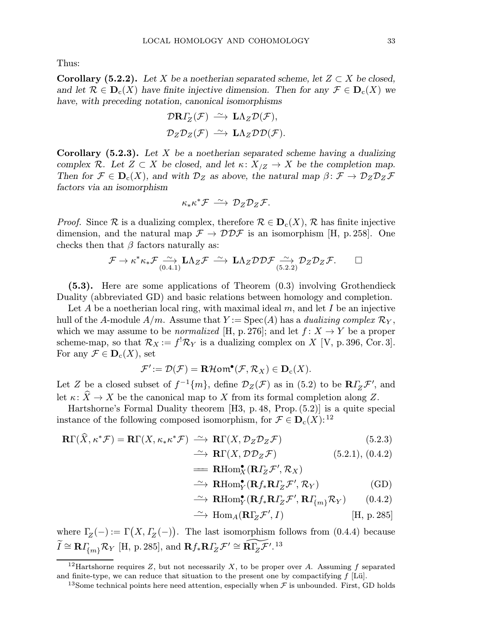Thus:

**Corollary (5.2.2).** Let X be a noetherian separated scheme, let  $Z \subset X$  be closed, and let  $\mathcal{R} \in \mathbf{D}_{c}(X)$  have finite injective dimension. Then for any  $\mathcal{F} \in \mathbf{D}_{c}(X)$  we have, with preceding notation, canonical isomorphisms

$$
\mathcal{D}R\varGamma_Z(\mathcal{F}) \xrightarrow{\sim} \mathbf{L}\Lambda_Z \mathcal{D}(\mathcal{F}),
$$
  

$$
\mathcal{D}_Z \mathcal{D}_Z(\mathcal{F}) \xrightarrow{\sim} \mathbf{L}\Lambda_Z \mathcal{D} \mathcal{D}(\mathcal{F}).
$$

**Corollary** (5.2.3). Let X be a noetherian separated scheme having a dualizing complex R. Let  $Z \subset X$  be closed, and let  $\kappa: X_{Z} \to X$  be the completion map. Then for  $\mathcal{F} \in \mathbf{D}_{c}(X)$ , and with  $\mathcal{D}_{Z}$  as above, the natural map  $\beta \colon \mathcal{F} \to \mathcal{D}_{Z}\mathcal{D}_{Z}\mathcal{F}$ factors via an isomorphism

$$
\kappa_* \kappa^* \mathcal{F} \, \xrightarrow{\sim} \, \mathcal{D}_Z \mathcal{D}_Z \mathcal{F}.
$$

*Proof.* Since R is a dualizing complex, therefore  $\mathcal{R} \in \mathbf{D}_{c}(X)$ , R has finite injective dimension, and the natural map  $\mathcal{F} \to \mathcal{DDF}$  is an isomorphism [H, p. 258]. One checks then that  $\beta$  factors naturally as:

$$
\mathcal{F} \to \kappa^* \kappa_* \mathcal{F} \underset{(0.4.1)}{\sim} \mathbf{L} \Lambda_Z \mathcal{F} \stackrel{\sim}{\longrightarrow} \mathbf{L} \Lambda_Z \mathcal{D} \mathcal{D} \mathcal{F} \underset{(5.2.2)}{\sim} \mathcal{D}_Z \mathcal{D}_Z \mathcal{F}.
$$

(5.3). Here are some applications of Theorem (0.3) involving Grothendieck Duality (abbreviated GD) and basic relations between homology and completion.

Let A be a noetherian local ring, with maximal ideal  $m$ , and let I be an injective hull of the A-module  $A/m$ . Assume that  $Y := \text{Spec}(A)$  has a *dualizing complex*  $\mathcal{R}_Y$ , which we may assume to be *normalized* [H, p. 276]; and let  $f: X \rightarrow Y$  be a proper scheme-map, so that  $\mathcal{R}_X := f^! \mathcal{R}_Y$  is a dualizing complex on X [V, p. 396, Cor. 3]. For any  $\mathcal{F} \in \mathbf{D}_{\mathrm{c}}(X)$ , set

$$
\mathcal{F}' := \mathcal{D}(\mathcal{F}) = \mathbf{R}\mathcal{H}om^{\bullet}(\mathcal{F}, \mathcal{R}_X) \in \mathbf{D}_c(X).
$$

Let Z be a closed subset of  $f^{-1}\{m\}$ , define  $\mathcal{D}_Z(\mathcal{F})$  as in (5.2) to be  $\mathbb{R}\Gamma_Z\mathcal{F}'$ , and let  $\kappa: \widehat{X} \to X$  be the canonical map to X from its formal completion along Z.

Hartshorne's Formal Duality theorem [H3, p. 48, Prop.(5.2)] is a quite special instance of the following composed isomorphism, for  $\mathcal{F} \in \mathbf{D}_{c}(X)$ :<sup>12</sup>

$$
\mathbf{R}\Gamma(\widehat{X},\kappa^*\mathcal{F}) = \mathbf{R}\Gamma(X,\kappa_*\kappa^*\mathcal{F}) \stackrel{\sim}{\longrightarrow} \mathbf{R}\Gamma(X,\mathcal{D}_Z\mathcal{D}_Z\mathcal{F})
$$
(5.2.3)

 $\longrightarrow$ **R**Γ(*X*,  $\mathcal{D}\mathcal{D}_Z\mathcal{F}$ ) (5.2.1), (0.4.2)

$$
\mathop{{\rm \boldsymbol{=}}\nolimits}\mathbf{R}\mathrm{Hom}_X^{\bullet}(\mathbf{R}\varGamma_Z\mathcal{F}',\mathcal{R}_X)
$$

$$
\xrightarrow{\sim} \mathbf{R}\mathrm{Hom}^{\bullet}_{Y}(\mathbf{R}f_{*}\mathbf{R}I_{Z}^{\prime}\mathcal{F}', \mathcal{R}_{Y})
$$
 (GD)

$$
\xrightarrow{\sim} \mathbf{R}\mathrm{Hom}^{\bullet}_{Y}(\mathbf{R}f_{*}\mathbf{R}I_{Z}^{\prime}\mathcal{F}', \mathbf{R}I_{\{m\}}^{\prime}\mathcal{R}_{Y}) \qquad (0.4.2)
$$

$$
\xrightarrow{\sim} \text{Hom}_A(\mathbf{R}\Gamma_Z\mathcal{F}', I) \qquad \qquad [\text{H, p. 285}]
$$

where  $\Gamma$ <sub>Z</sub>(-) :=  $\Gamma$ (X,  $\Gamma$ <sub>Z</sub>(-)). The last isomorphism follows from (0.4.4) because  $\widetilde{I} \cong \mathbf{R} I_{\{m\}}^{\phantom{\dagger}} \mathcal{R}_Y$  [H, p. 285], and  $\mathbf{R} f_* \mathbf{R} I_Z^{\phantom{\dagger}} \mathcal{F}' \cong \widetilde{\mathbf{R} \Gamma_Z \mathcal{F}}'$ .<sup>13</sup>

<sup>&</sup>lt;sup>12</sup>Hartshorne requires Z, but not necessarily X, to be proper over A. Assuming f separated and finite-type, we can reduce that situation to the present one by compactifying  $f$  [Lü].

<sup>&</sup>lt;sup>13</sup>Some technical points here need attention, especially when  $\mathcal F$  is unbounded. First, GD holds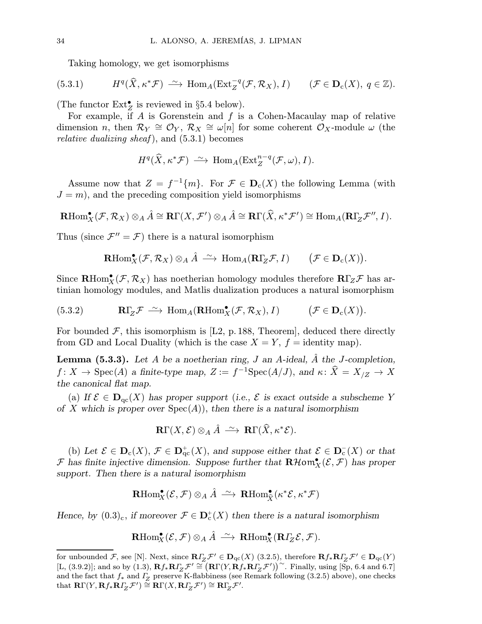Taking homology, we get isomorphisms

(5.3.1) 
$$
H^q(\widehat{X}, \kappa^* \mathcal{F}) \stackrel{\sim}{\longrightarrow} \text{Hom}_A(\text{Ext}_Z^{-q}(\mathcal{F}, \mathcal{R}_X), I) \qquad (\mathcal{F} \in \mathbf{D}_c(X), q \in \mathbb{Z}).
$$

(The functor  $\text{Ext}_Z^{\bullet}$  is reviewed in §5.4 below).

For example, if  $A$  is Gorenstein and  $f$  is a Cohen-Macaulay map of relative dimension n, then  $\mathcal{R}_Y \cong \mathcal{O}_Y$ ,  $\mathcal{R}_X \cong \omega[n]$  for some coherent  $\mathcal{O}_X$ -module  $\omega$  (the *relative dualizing sheaf*), and  $(5.3.1)$  becomes

$$
H^q(\widehat{X},\kappa^* \mathcal{F}) \, \xrightarrow{\sim} \, \text{Hom}_A(\text{Ext}^{n-q}_Z(\mathcal{F},\omega),I).
$$

Assume now that  $Z = f^{-1}{m}$ . For  $\mathcal{F} \in \mathbf{D}_{c}(X)$  the following Lemma (with  $J = m$ , and the preceding composition yield isomorphisms

$$
\mathbf{R}\mathrm{Hom}^\bullet_X(\mathcal{F},\mathcal{R}_X)\otimes_A\hat{A}\cong\mathbf{R}\Gamma(X,\mathcal{F}')\otimes_A\hat{A}\cong\mathbf{R}\Gamma(\widehat{X},\kappa^*\mathcal{F}')\cong\mathrm{Hom}_A(\mathbf{R}\Gamma_{\!Z}\mathcal{F}'',I).
$$

Thus (since  $\mathcal{F}'' = \mathcal{F}$ ) there is a natural isomorphism

$$
\mathbf{R}\mathrm{Hom}_X^{\bullet}(\mathcal{F},\mathcal{R}_X)\otimes_A \hat{A} \ \stackrel{\sim}{\longrightarrow} \ \mathrm{Hom}_A(\mathbf{R}\Gamma_{\!Z}\mathcal{F},I) \qquad \bigl(\mathcal{F}\in \mathbf{D}_{\mathrm{c}}(X)\bigr).
$$

Since  $\mathbf{R}\text{Hom}_X^{\bullet}(\mathcal{F}, \mathcal{R}_X)$  has noetherian homology modules therefore  $\mathbf{R}\Gamma_Z\mathcal{F}$  has artinian homology modules, and Matlis dualization produces a natural isomorphism

(5.3.2) 
$$
\mathbf{R}\Gamma_Z\mathcal{F} \stackrel{\sim}{\longrightarrow} \text{Hom}_A(\mathbf{R}\text{Hom}_X^{\bullet}(\mathcal{F}, \mathcal{R}_X), I) \qquad (\mathcal{F} \in \mathbf{D}_c(X)).
$$

For bounded  $\mathcal F$ , this isomorphism is [L2, p. 188, Theorem], deduced there directly from GD and Local Duality (which is the case  $X = Y$ ,  $f =$  identity map).

**Lemma (5.3.3).** Let A be a noetherian ring, J an A-ideal,  $\hat{A}$  the J-completion,  $f: X \to \text{Spec}(A)$  a finite-type map,  $Z := f^{-1}\text{Spec}(A/J)$ , and  $\kappa: \widehat{X} = X_{/Z} \to X$ the canonical flat map.

(a) If  $\mathcal{E} \in \mathbf{D}_{\mathrm{qc}}(X)$  has proper support (i.e.,  $\mathcal{E}$  is exact outside a subscheme Y of X which is proper over  $Spec(A)$ , then there is a natural isomorphism

$$
\mathbf{R}\Gamma(X,\mathcal{E})\otimes_A\hat{A}\ \stackrel{\sim}{\longrightarrow}\ \mathbf{R}\Gamma(\widehat{X},\kappa^*\mathcal{E}).
$$

(b) Let  $\mathcal{E} \in \mathbf{D}_{\mathcal{C}}(X)$ ,  $\mathcal{F} \in \mathbf{D}_{\mathcal{C}}^{+}(X)$ , and suppose either that  $\mathcal{E} \in \mathbf{D}_{\mathcal{C}}^{-}(X)$  or that F has finite injective dimension. Suppose further that  $\mathbf{R}\mathcal{H}$ om $^{\bullet}_{X}(\mathcal{E},\mathcal{F})$  has proper support. Then there is a natural isomorphism

$$
\mathrm{\mathbf{R}Hom}^{\bullet}_X(\mathcal{E},\mathcal{F})\otimes_A \hat{A} \ \stackrel{\sim}{\longrightarrow} \ \mathrm{\mathbf{R}Hom}^{\bullet}_{\widehat{X}}(\kappa^*\mathcal{E},\kappa^*\mathcal{F})
$$

Hence, by  $(0.3)_{c}$ , if moreover  $\mathcal{F} \in \mathbf{D}_{c}^{+}(X)$  then there is a natural isomorphism

$$
\mathbf{R}\mathrm{Hom}^\bullet_X(\mathcal{E},\mathcal{F}) \otimes_A \hat{A} \ \stackrel{\sim}{\longrightarrow} \ \mathbf{R}\mathrm{Hom}^\bullet_X(\mathbf{R}\varGamma_Z\mathcal{E},\mathcal{F}).
$$

for unbounded F, see [N]. Next, since  $R\Gamma_Z\mathcal{F}' \in \mathbf{D}_{\mathrm{qc}}(X)$  (3.2.5), therefore  $Rf_*R\Gamma_Z\mathcal{F}' \in \mathbf{D}_{\mathrm{qc}}(Y)$ [L, (3.9.2)]; and so by (1.3),  $\mathbf{R} f_* \mathbf{R} \Gamma_Z \mathcal{F}' \cong (\mathbf{R} \Gamma(Y, \mathbf{R} f_* \mathbf{R} \Gamma_Z \mathcal{F}'))^{\sim}$ . Finally, using [Sp, 6.4 and 6.7] and the fact that  $f_*$  and  $\Gamma_Z$  preserve K-flabbiness (see Remark following (3.2.5) above), one checks that  $\mathbf{R}\Gamma(Y,\mathbf{R}f_{*}\mathbf{R}f_{Z} \mathcal{F}') \stackrel{\simeq}{=} \mathbf{R}\Gamma(X,\mathbf{R}f_{Z} \mathcal{F}') \stackrel{\simeq}{=} \mathbf{R}\Gamma(Z^T).$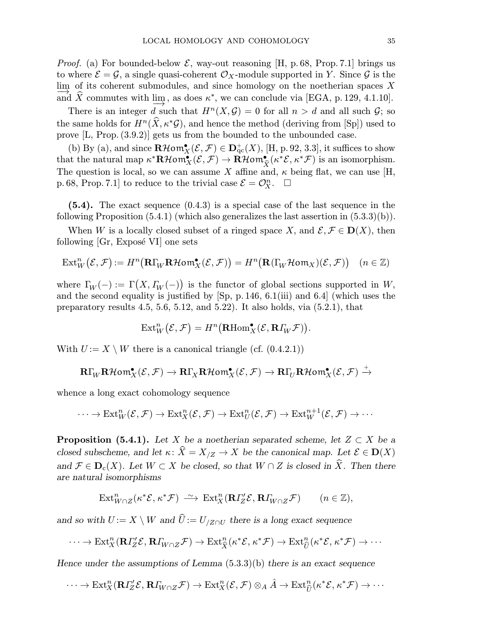*Proof.* (a) For bounded-below  $\mathcal{E}$ , way-out reasoning [H, p. 68, Prop. 7.1] brings us to where  $\mathcal{E} = \mathcal{G}$ , a single quasi-coherent  $\mathcal{O}_X$ -module supported in Y. Since  $\mathcal{G}$  is the lim of its coherent submodules, and since homology on the noetherian spaces  $X$ and  $\hat{X}$  commutes with lim<sub>+</sub>, as does  $\kappa^*$ , we can conclude via [EGA, p. 129, 4.1.10].

There is an integer d such that  $H^{n}(X, \mathcal{G}) = 0$  for all  $n > d$  and all such  $\mathcal{G}$ ; so the same holds for  $H^n(\widehat{X}, \kappa^*\mathcal{G})$ , and hence the method (deriving from [Sp]) used to prove [L, Prop.(3.9.2)] gets us from the bounded to the unbounded case.

(b) By (a), and since  $\mathbf{R}\mathcal{H}\mathbf{om}_{X}^{\bullet}(\mathcal{E},\mathcal{F}) \in \mathbf{D}_{\mathrm{qc}}^{+}(X)$ , [H, p. 92, 3.3], it suffices to show that the natural map  $\kappa^*{\bf R}\mathcal{H}$ om $_{\bf X}^{\bullet}(\mathcal{E},\mathcal{F}) \to {\bf R}\mathcal{H}$ om $_{\widehat{X}}^{\bullet}(\kappa^*\mathcal{E},\kappa^*\mathcal{F})$  is an isomorphism. The question is local, so we can assume X affine and,  $\kappa$  being flat, we can use [H, p. 68, Prop. 7.1 to reduce to the trivial case  $\mathcal{E} = \mathcal{O}_X^n$ .  $\Box$ 

(5.4). The exact sequence (0.4.3) is a special case of the last sequence in the following Proposition  $(5.4.1)$  (which also generalizes the last assertion in  $(5.3.3)(b)$ ).

When W is a locally closed subset of a ringed space X, and  $\mathcal{E}, \mathcal{F} \in D(X)$ , then following  $\left[Gr, Expose~VI\right]$  one sets

$$
\text{Ext}^n_W(\mathcal{E}, \mathcal{F}) := H^n\big(\mathbf{R}\Gamma_W\mathbf{R}\mathcal{H}\mathbf{om}^\bullet_X(\mathcal{E}, \mathcal{F})\big) = H^n\big(\mathbf{R}\big(\Gamma_W\mathcal{H}\mathbf{om}_X\big)(\mathcal{E}, \mathcal{F})\big) \quad (n \in \mathbb{Z})
$$

where  $\Gamma_W(-) := \Gamma(X, \Gamma_W(-))$  is the functor of global sections supported in W, and the second equality is justified by [Sp, p.146, 6.1(iii) and 6.4] (which uses the preparatory results 4.5, 5.6, 5.12, and 5.22). It also holds, via (5.2.1), that

$$
\text{Ext}^n_W(\mathcal{E}, \mathcal{F}) = H^n(\mathbf{R}\text{Hom}^\bullet_X(\mathcal{E}, \mathbf{R}\varGamma_W\mathcal{F})).
$$

With  $U := X \setminus W$  there is a canonical triangle (cf. (0.4.2.1))

$$
\mathbf{R}\Gamma_{\!W}\mathbf{R}\mathcal{H}\mathsf{om}^\bullet_X(\mathcal{E},\mathcal{F}) \rightarrow \mathbf{R}\Gamma_X\mathbf{R}\mathcal{H}\mathsf{om}^\bullet_X(\mathcal{E},\mathcal{F}) \rightarrow \mathbf{R}\Gamma_{\!U}\mathbf{R}\mathcal{H}\mathsf{om}^\bullet_X(\mathcal{E},\mathcal{F}) \stackrel{+}{\rightarrow}
$$

whence a long exact cohomology sequence

$$
\cdots \to \text{Ext}^n_W(\mathcal{E}, \mathcal{F}) \to \text{Ext}^n_X(\mathcal{E}, \mathcal{F}) \to \text{Ext}^n_U(\mathcal{E}, \mathcal{F}) \to \text{Ext}^{n+1}_W(\mathcal{E}, \mathcal{F}) \to \cdots
$$

**Proposition (5.4.1).** Let X be a noetherian separated scheme, let  $Z \subset X$  be a closed subscheme, and let  $\kappa \colon \widehat{X} = X_{/Z} \to X$  be the canonical map. Let  $\mathcal{E} \in D(X)$ and  $\mathcal{F} \in \mathbf{D}_{c}(X)$ . Let  $W \subset X$  be closed, so that  $W \cap Z$  is closed in  $\widehat{X}$ . Then there are natural isomorphisms

$$
\text{Ext}^n_{W \cap Z}(\kappa^* \mathcal{E}, \kappa^* \mathcal{F}) \xrightarrow{\sim} \text{Ext}^n_X(\mathbf{R} I'_Z \mathcal{E}, \mathbf{R} I'_{W \cap Z} \mathcal{F}) \qquad (n \in \mathbb{Z}),
$$

and so with  $U := X \setminus W$  and  $\widehat{U} := U_{Z \cap U}$  there is a long exact sequence

$$
\cdots \to \text{Ext}^n_X(\mathbf{R} \Gamma'_Z \mathcal{E}, \mathbf{R} \Gamma'_{W\cap Z} \mathcal{F}) \to \text{Ext}^n_{\widehat{X}}(\kappa^* \mathcal{E}, \kappa^* \mathcal{F}) \to \text{Ext}^n_{\widehat{U}}(\kappa^* \mathcal{E}, \kappa^* \mathcal{F}) \to \cdots
$$

Hence under the assumptions of Lemma  $(5.3.3)(b)$  there is an exact sequence

$$
\cdots \to \text{Ext}^n_X(\mathbf{R} \Gamma'_Z \mathcal{E}, \mathbf{R} \Gamma'_{W \cap Z} \mathcal{F}) \to \text{Ext}^n_X(\mathcal{E}, \mathcal{F}) \otimes_A \hat{A} \to \text{Ext}^n_{\widehat{U}}(\kappa^* \mathcal{E}, \kappa^* \mathcal{F}) \to \cdots
$$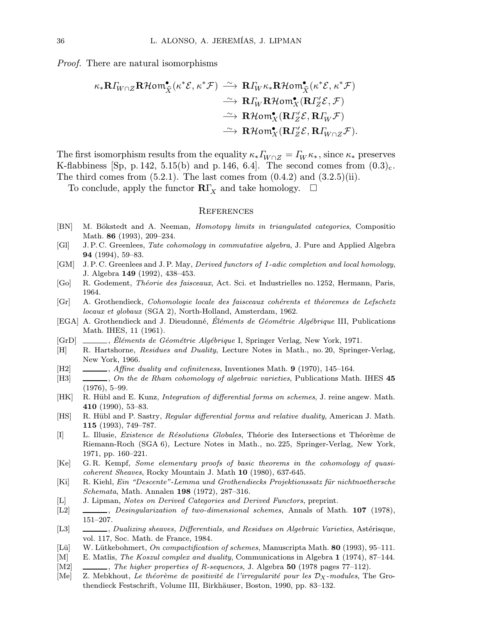Proof. There are natural isomorphisms

$$
\begin{aligned}\n\kappa_* \mathbf{R} I_{W\cap Z} \mathbf{R}\mathcal{H} \text{om}^\bullet_{\widehat{X}}(\kappa^* \mathcal{E}, \kappa^* \mathcal{F}) &\xrightarrow{\sim} \mathbf{R} I_W \kappa_* \mathbf{R}\mathcal{H} \text{om}^\bullet_{\widehat{X}}(\kappa^* \mathcal{E}, \kappa^* \mathcal{F}) \\
&\xrightarrow{\sim} \mathbf{R} I_W \mathbf{R}\mathcal{H} \text{om}^\bullet_{X}(\mathbf{R} I_Z' \mathcal{E}, \mathcal{F}) \\
&\xrightarrow{\sim} \mathbf{R}\mathcal{H} \text{om}^\bullet_{X}(\mathbf{R} I_Z' \mathcal{E}, \mathbf{R} I_W \mathcal{F}) \\
&\xrightarrow{\sim} \mathbf{R}\mathcal{H} \text{om}^\bullet_{X}(\mathbf{R} I_Z' \mathcal{E}, \mathbf{R} I_{W\cap Z} \mathcal{F}).\n\end{aligned}
$$

The first isomorphism results from the equality  $\kappa_* \Gamma_{W\cap Z} = \Gamma_W \kappa_*$ , since  $\kappa_*$  preserves K-flabbiness [Sp, p. 142, 5.15(b) and p. 146, 6.4]. The second comes from  $(0.3)_{c}$ . The third comes from  $(5.2.1)$ . The last comes from  $(0.4.2)$  and  $(3.2.5)(ii)$ .

To conclude, apply the functor  $\mathbf{R}\Gamma_X$  and take homology.  $\Box$ 

## **REFERENCES**

- [BN] M. Bökstedt and A. Neeman, *Homotopy limits in triangulated categories*, Composition Math. 86 (1993), 209–234.
- [GI] J. P. C. Greenlees, Tate cohomology in commutative algebra, J. Pure and Applied Algebra 94 (1994), 59–83.
- [GM] J. P. C. Greenlees and J. P. May, *Derived functors of I-adic completion and local homology*, J. Algebra 149 (1992), 438–453.
- [Go] R. Godement, *Théorie des faisceaux*, Act. Sci. et Industrielles no. 1252, Hermann, Paris, 1964.
- [Gr] A. Grothendieck, Cohomologie locale des faisceaux cohérents et théoremes de Lefschetz locaux et globaux (SGA 2), North-Holland, Amsterdam, 1962.
- [EGA] A. Grothendieck and J. Dieudonné, Éléments de Géométrie Algébrique III, Publications Math. IHES, 11 (1961).
- [GrD] , El´ ´ ements de G´eom´etrie Alg´ebrique I, Springer Verlag, New York, 1971.
- [H] R. Hartshorne, Residues and Duality, Lecture Notes in Math., no. 20, Springer-Verlag, New York, 1966.
- $[H2] \quad \underline{\hspace{1cm}}$ , Affine duality and cofiniteness, Inventiones Math. 9 (1970), 145–164.
- [H3]  $\_\_\_\_\_\_$ , On the de Rham cohomology of algebraic varieties, Publications Math. IHES 45 (1976), 5–99.
- [HK] R. Hübl and E. Kunz, *Integration of differential forms on schemes*, J. reine angew. Math. 410 (1990), 53–83.
- [HS] R. Hübl and P. Sastry, Regular differential forms and relative duality, American J. Math. 115 (1993), 749–787.
- [I] L. Illusie, *Existence de Résolutions Globales*, Théorie des Intersections et Théorème de Riemann-Roch (SGA 6), Lecture Notes in Math., no. 225, Springer-Verlag, New York, 1971, pp. 160–221.
- [Ke] G. R. Kempf, Some elementary proofs of basic theorems in the cohomology of quasicoherent Sheaves, Rocky Mountain J. Math 10 (1980), 637-645.
- [Ki] R. Kiehl, Ein "Descente"-Lemma und Grothendiecks Projektionssatz für nichtnoethersche Schemata, Math. Annalen 198 (1972), 287–316.
- [L] J. Lipman, Notes on Derived Categories and Derived Functors, preprint.
- [L2]  $\_\_\_\_\_\_\_\_\_\.\$  Desingularization of two-dimensional schemes, Annals of Math. 107 (1978), 151–207.
- [L3]  $\_\_\_\_\_\_$  Dualizing sheaves, Differentials, and Residues on Algebraic Varieties, Astérisque, vol. 117, Soc. Math. de France, 1984.
- [Lü] W. Lütkebohmert, On compactification of schemes, Manuscripta Math. 80 (1993), 95–111.
- [M] E. Matlis, *The Koszul complex and duality*, Communications in Algebra 1 (1974), 87–144.
- [M2]  $\_\_\_\_\_\_\_\$  The higher properties of R-sequences, J. Algebra 50 (1978 pages 77–112).
- [Me] Z. Mebkhout, Le théorème de positivité de l'irregularité pour les  $\mathcal{D}_X$ -modules, The Grothendieck Festschrift, Volume III, Birkhäuser, Boston, 1990, pp. 83-132.